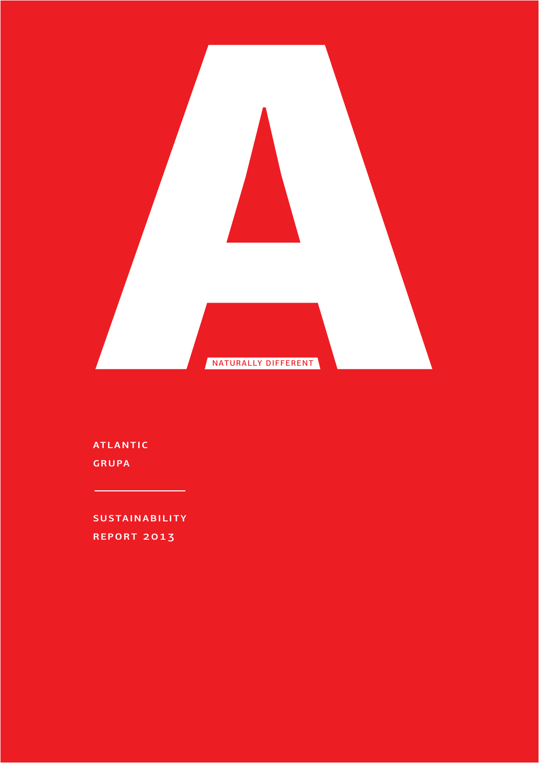

atlantic GRUPA

**SUSTAINABILITY** REPORT 2013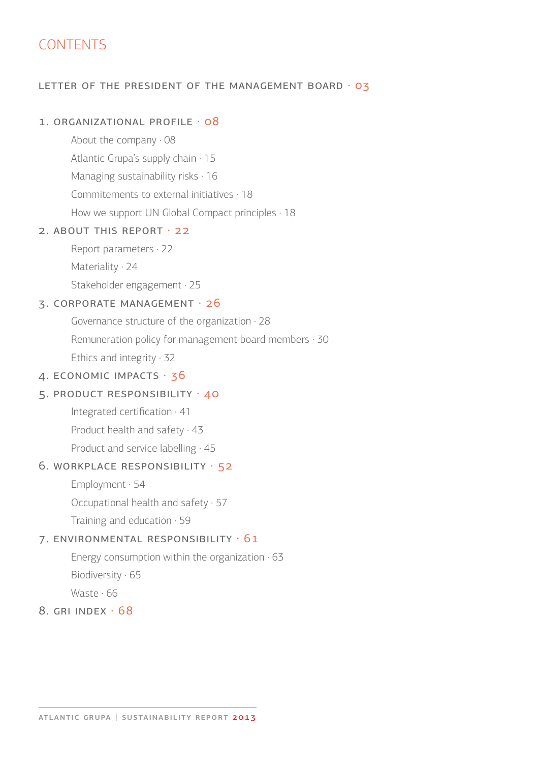# **CONTENTS**

#### LETTER OF THE PRESIDENT OF THE MANAGEMENT BOARD · 03

#### 1. ORGANIZATIONAL PROFILE · 08

About the company · 08 Atlantic Grupa's supply chain · 15 Managing sustainability risks · 16 Commitements to external initiatives · 18 How we support UN Global Compact principles  $\cdot$  18

#### 2. ABOUT THIS REPORT · 22

Report parameters · 22 Materiality · 24 Stakeholder engagement · 25

#### 3. corporate management · 26

Governance structure of the organization · 28 Remuneration policy for management board members · 30 Ethics and integrity · 32

#### 4. economic impacts · 36

#### 5. product responsibility · 40

 Integrated certification · 41 Product health and safety · 43 Product and service labelling  $.45$ 

#### 6. workplace responsibility · 52

Employment · 54

Occupational health and safety · 57

Training and education · 59

#### 7. environmental responsibility · 61

Energy consumption within the organization  $\cdot$  63 Biodiversity · 65

Waste · 66

# 8. gri index · 68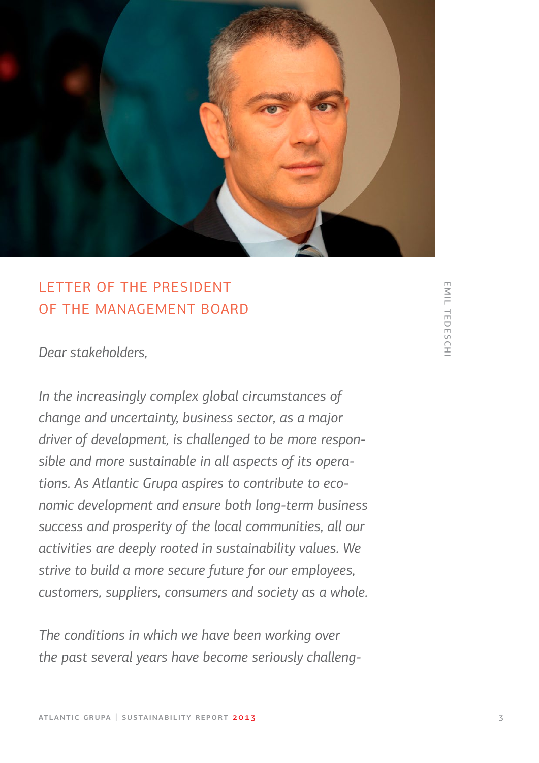

# LETTER OF THE PRESIDENT OF THE MANAGEMENT BOARD

*Dear stakeholders,*

*In the increasingly complex global circumstances of change and uncertainty, business sector, as a major driver of development, is challenged to be more responsible and more sustainable in all aspects of its operations. As Atlantic Grupa aspires to contribute to economic development and ensure both long-term business success and prosperity of the local communities, all our activities are deeply rooted in sustainability values. We strive to build a more secure future for our employees, customers, suppliers, consumers and society as a whole.*

*The conditions in which we have been working over the past several years have become seriously challeng-*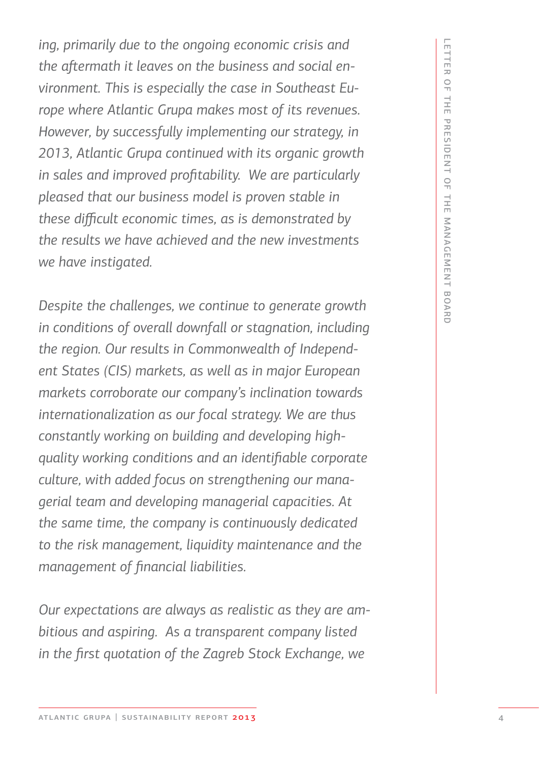*ing, primarily due to the ongoing economic crisis and the aftermath it leaves on the business and social environment. This is especially the case in Southeast Europe where Atlantic Grupa makes most of its revenues. However, by successfully implementing our strategy, in 2013, Atlantic Grupa continued with its organic growth in sales and improved profitability. We are particularly pleased that our business model is proven stable in these difficult economic times, as is demonstrated by the results we have achieved and the new investments we have instigated.* 

*Despite the challenges, we continue to generate growth*  in conditions of overall downfall or stagnation, including *the region. Our results in Commonwealth of Independent States (CIS) markets, as well as in major European markets corroborate our company's inclination towards internationalization as our focal strategy. We are thus constantly working on building and developing highquality working conditions and an identifiable corporate culture, with added focus on strengthening our managerial team and developing managerial capacities. At the same time, the company is continuously dedicated to the risk management, liquidity maintenance and the management of financial liabilities.* 

*Our expectations are always as realistic as they are ambitious and aspiring. As a transparent company listed in the first quotation of the Zagreb Stock Exchange, we*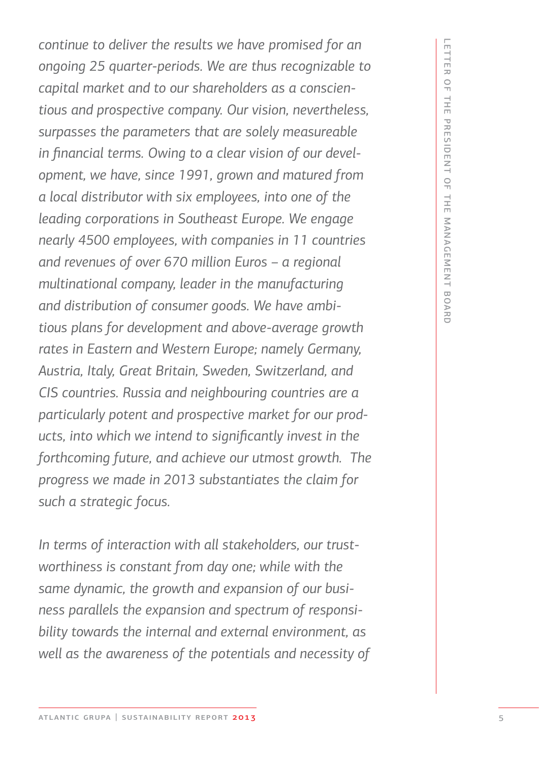*continue to deliver the results we have promised for an ongoing 25 quarter-periods. We are thus recognizable to capital market and to our shareholders as a conscientious and prospective company. Our vision, nevertheless, surpasses the parameters that are solely measureable in financial terms. Owing to a clear vision of our development, we have, since 1991, grown and matured from a local distributor with six employees, into one of the leading corporations in Southeast Europe. We engage nearly 4500 employees, with companies in 11 countries and revenues of over 670 million Euros – a regional multinational company, leader in the manufacturing and distribution of consumer goods. We have ambitious plans for development and above-average growth rates in Eastern and Western Europe; namely Germany, Austria, Italy, Great Britain, Sweden, Switzerland, and CIS countries. Russia and neighbouring countries are a particularly potent and prospective market for our products, into which we intend to significantly invest in the forthcoming future, and achieve our utmost growth. The progress we made in 2013 substantiates the claim for such a strategic focus.* 

*In terms of interaction with all stakeholders, our trustworthiness is constant from day one; while with the same dynamic, the growth and expansion of our business parallels the expansion and spectrum of responsibility towards the internal and external environment, as well as the awareness of the potentials and necessity of*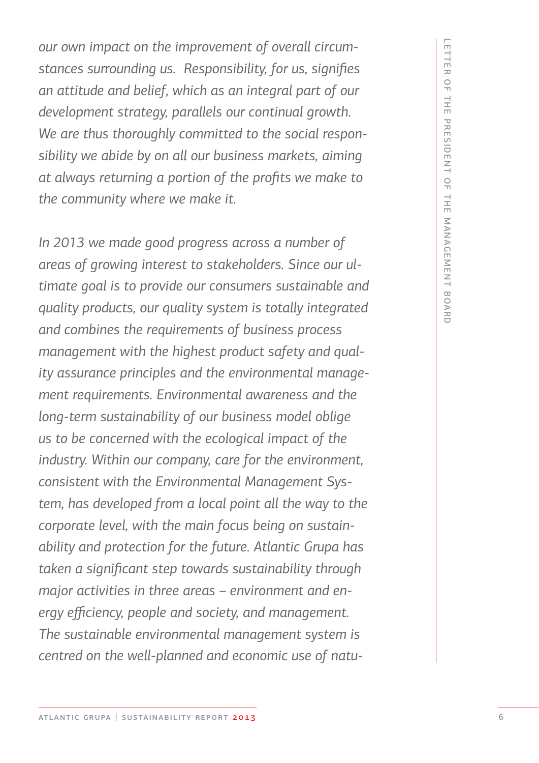*our own impact on the improvement of overall circumstances surrounding us. Responsibility, for us, signifies an attitude and belief, which as an integral part of our development strategy, parallels our continual growth. We are thus thoroughly committed to the social responsibility we abide by on all our business markets, aiming at always returning a portion of the profits we make to the community where we make it.*

*In 2013 we made good progress across a number of areas of growing interest to stakeholders. Since our ultimate goal is to provide our consumers sustainable and quality products, our quality system is totally integrated and combines the requirements of business process management with the highest product safety and quality assurance principles and the environmental management requirements. Environmental awareness and the long-term sustainability of our business model oblige us to be concerned with the ecological impact of the industry. Within our company, care for the environment, consistent with the Environmental Management System, has developed from a local point all the way to the corporate level, with the main focus being on sustainability and protection for the future. Atlantic Grupa has taken a significant step towards sustainability through major activities in three areas – environment and energy efficiency, people and society, and management. The sustainable environmental management system is centred on the well-planned and economic use of natu-*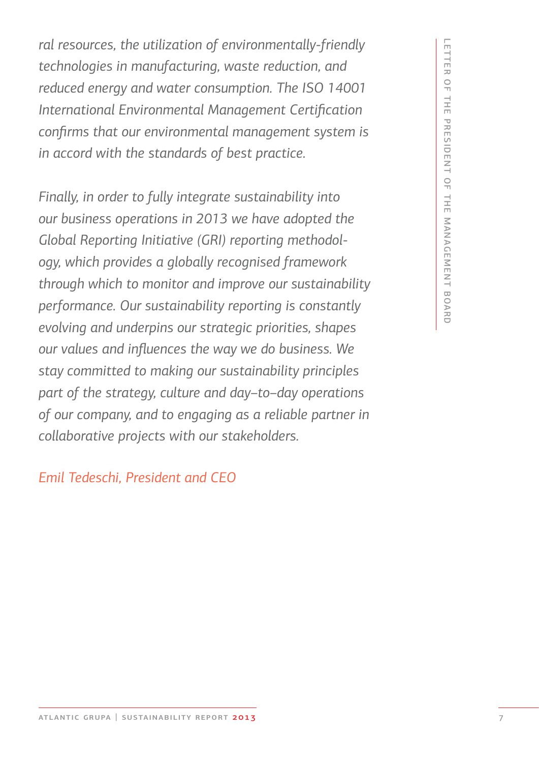*ral resources, the utilization of environmentally-friendly technologies in manufacturing, waste reduction, and reduced energy and water consumption. The ISO 14001 International Environmental Management Certification confirms that our environmental management system is in accord with the standards of best practice.* 

*Finally, in order to fully integrate sustainability into our business operations in 2013 we have adopted the Global Reporting Initiative (GRI) reporting methodology, which provides a globally recognised framework through which to monitor and improve our sustainability performance. Our sustainability reporting is constantly evolving and underpins our strategic priorities, shapes our values and influences the way we do business. We stay committed to making our sustainability principles part of the strategy, culture and day–to–day operations of our company, and to engaging as a reliable partner in collaborative projects with our stakeholders.* 

*Emil Tedeschi, President and CEO*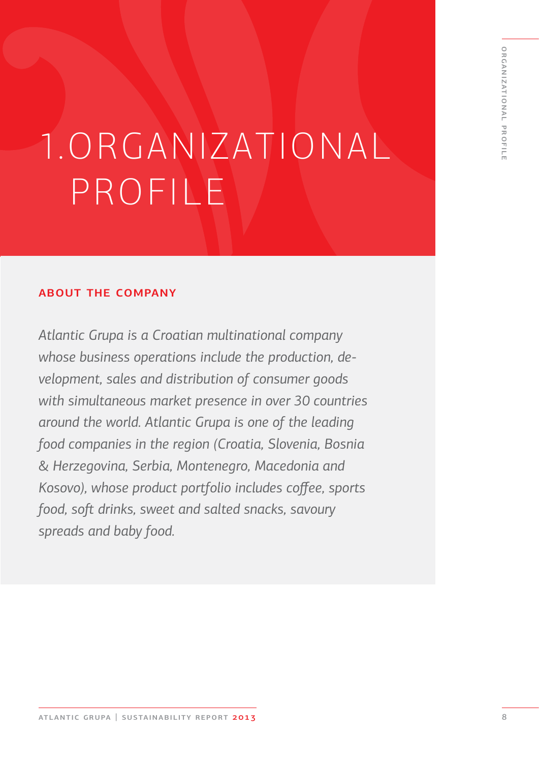# 1.ORGANIZATIONAL PROFILE

# about the company

*Atlantic Grupa is a Croatian multinational company whose business operations include the production, development, sales and distribution of consumer goods with simultaneous market presence in over 30 countries around the world. Atlantic Grupa is one of the leading food companies in the region (Croatia, Slovenia, Bosnia*  & *Herzegovina, Serbia, Montenegro, Macedonia and Kosovo), whose product portfolio includes coffee, sports food, soft drinks, sweet and salted snacks, savoury spreads and baby food.*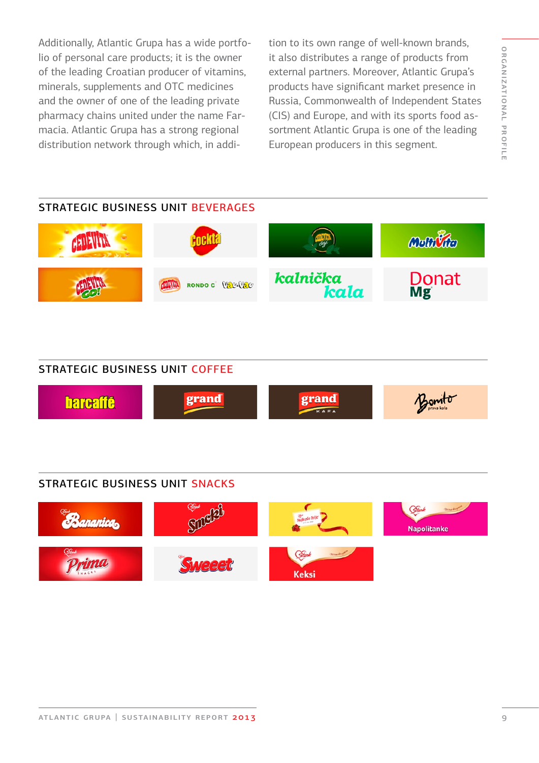Additionally, Atlantic Grupa has a wide portfolio of personal care products; it is the owner of the leading Croatian producer of vitamins, minerals, supplements and OTC medicines and the owner of one of the leading private pharmacy chains united under the name Farmacia. Atlantic Grupa has a strong regional distribution network through which, in addition to its own range of well-known brands, it also distributes a range of products from external partners. Moreover, Atlantic Grupa's products have significant market presence in Russia, Commonwealth of Independent States (CIS) and Europe, and with its sports food assortment Atlantic Grupa is one of the leading European producers in this segment.

# STRATEGIC BUSINESS UNIT BEVERAGES Moltivico AETHALIN **Donat** kalnička RONDO C VECAVEC kala Mg

#### STRATEGIC BUSINESS UNIT COFFEE



#### STRATEGIC BUSINESS UNIT SNACKS

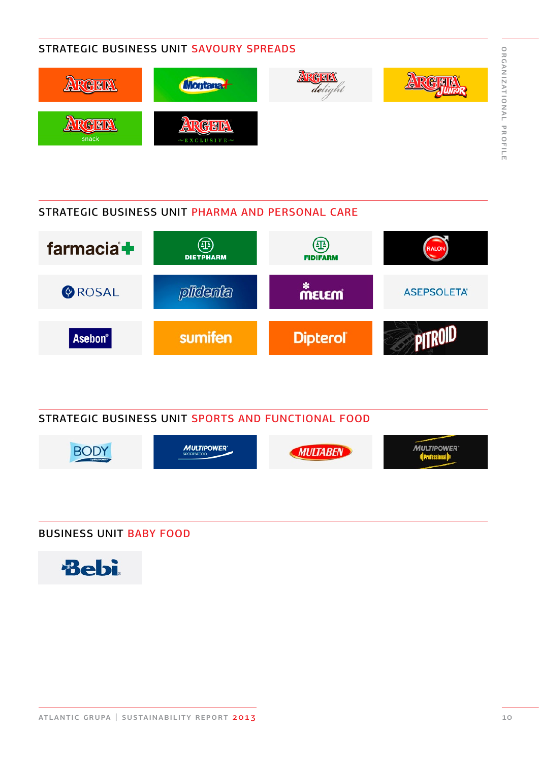# STRATEGIC BUSINESS UNIT SAVOURY SPREADS



# STRATEGIC BUSINESS UNIT PHARMA AND PERSONAL CARE



### STRATEGIC BUSINESS UNIT SPORTS AND FUNCTIONAL FOOD



# BUSINESS UNIT BABY FOOD



organizational profile

ORGANIZATIONAL PROFILE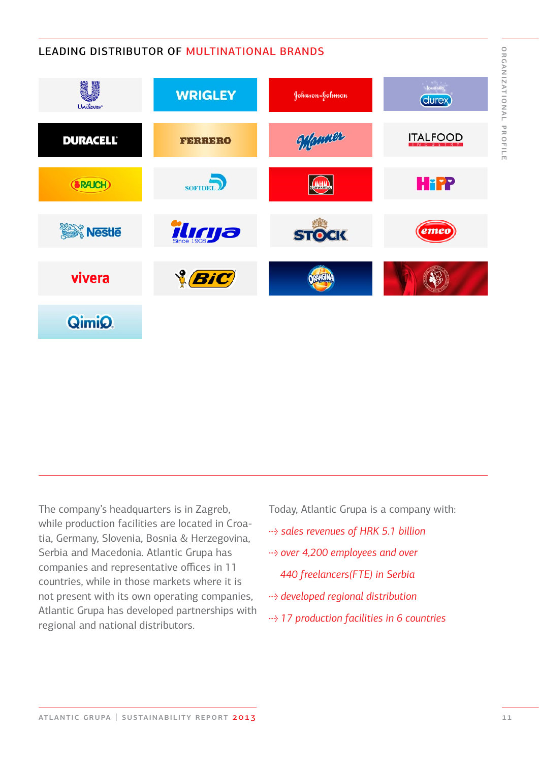# LEADING DISTRIBUTOR OF MULTINATIONAL BRANDS



The company's headquarters is in Zagreb, while production facilities are located in Croatia, Germany, Slovenia, Bosnia & Herzegovina, Serbia and Macedonia. Atlantic Grupa has companies and representative offices in 11 countries, while in those markets where it is not present with its own operating companies, Atlantic Grupa has developed partnerships with regional and national distributors.

Today, Atlantic Grupa is a company with:

- → *sales revenues of HRK 5.1 billion*
- → *over 4,200 employees and over* 
	- *440 freelancers(FTE) in Serbia*
- → *developed regional distribution*
- → *17 production facilities in 6 countries*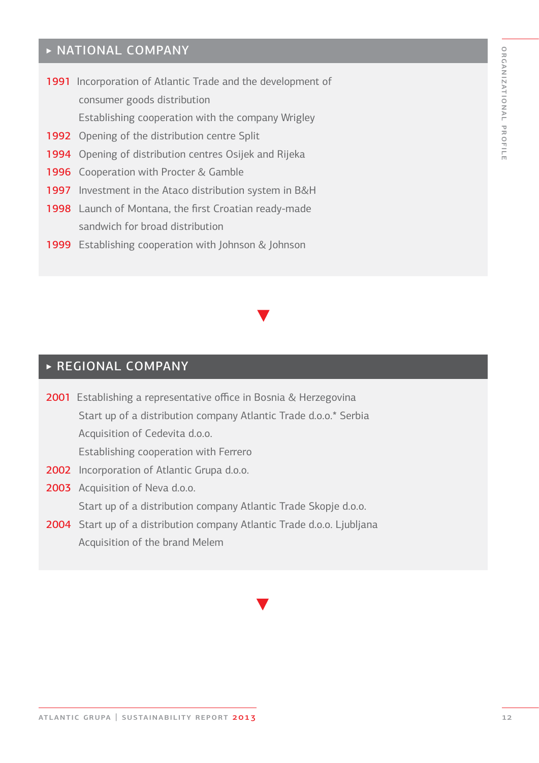# ORGANIZATIONAL PROFILE organizational profile

# ‣ NATIONAL COMPANY

- 1991 Incorporation of Atlantic Trade and the development of consumer goods distribution Establishing cooperation with the company Wrigley
- 1992 Opening of the distribution centre Split
- 1994 Opening of distribution centres Osijek and Rijeka
- 1996 Cooperation with Procter & Gamble
- 1997 Investment in the Ataco distribution system in B&H
- 1998 Launch of Montana, the first Croatian ready-made sandwich for broad distribution
- 1999 Establishing cooperation with Johnson & Johnson

# ‣ REGIONAL COMPANY

- 2001 Establishing a representative office in Bosnia & Herzegovina Start up of a distribution company Atlantic Trade d.o.o.\* Serbia Acquisition of Cedevita d.o.o. Establishing cooperation with Ferrero
- 2002 Incorporation of Atlantic Grupa d.o.o.
- 2003 Acquisition of Neva d.o.o. Start up of a distribution company Atlantic Trade Skopje d.o.o.
- 2004 Start up of a distribution company Atlantic Trade d.o.o. Ljubljana Acquisition of the brand Melem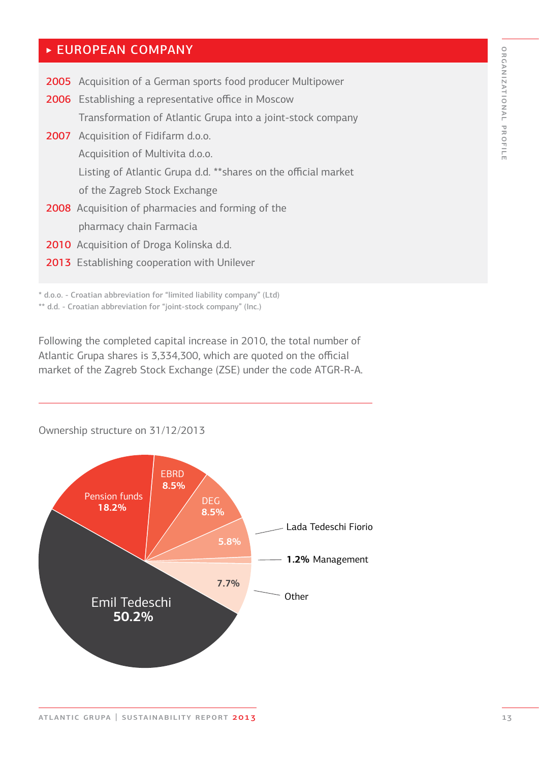# ORGANIZATIONAL PROFILE organizational profile

# ‣ EUROPEAN COMPANY

| <b>2005</b> Acquisition of a German sports food producer Multipower |
|---------------------------------------------------------------------|
| <b>2006</b> Establishing a representative office in Moscow          |
| Transformation of Atlantic Grupa into a joint-stock company         |
| 2007 Acquisition of Fidifarm d.o.o.                                 |
| Acquisition of Multivita d.o.o.                                     |
| Listing of Atlantic Grupa d.d. **shares on the official market      |
| of the Zagreb Stock Exchange                                        |
| <b>2008</b> Acquisition of pharmacies and forming of the            |
| pharmacy chain Farmacia                                             |
| 2010 Acquisition of Droga Kolinska d.d.                             |
| 2013 Establishing cooperation with Unilever                         |
|                                                                     |

\* d.o.o. - Croatian abbreviation for "limited liability company" (Ltd) \*\* d.d. - Croatian abbreviation for "joint-stock company" (Inc.)

Following the completed capital increase in 2010, the total number of Atlantic Grupa shares is 3,334,300, which are quoted on the official market of the Zagreb Stock Exchange (ZSE) under the code ATGR-R-A.

### Ownership structure on 31/12/2013

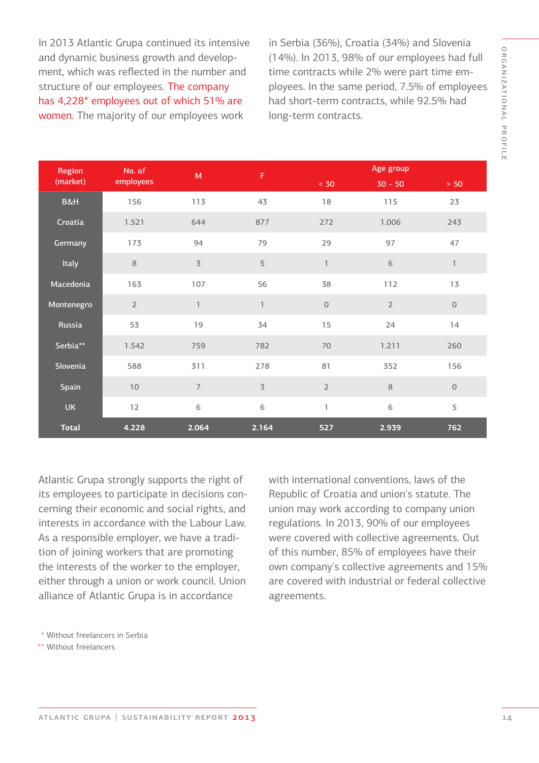In 2013 Atlantic Grupa continued its intensive and dynamic business growth and development, which was reflected in the number and structure of our employees. The company has 4,228\* employees out of which 51% are women. The majority of our employees work

in Serbia (36%), Croatia (34%) and Slovenia (14%). In 2013, 98% of our employees had full time contracts while 2% were part time employees. In the same period, 7.5% of employees had short-term contracts, while 92.5% had long-term contracts.

| Region       | No. of<br>employees | M              | $\mathsf F$    | Age group      |                |                     |
|--------------|---------------------|----------------|----------------|----------------|----------------|---------------------|
| (market)     |                     |                |                | < 30           | $30 - 50$      | $> 50$              |
| B&H          | 156                 | 113            | 43             | 18             | 115            | 23                  |
| Croatia      | 1.521               | 644            | 877            | 272            | 1.006          | 243                 |
| Germany      | 173                 | 94             | 79             | 29             | 97             | 47                  |
| Italy        | 8                   | $\overline{3}$ | 5              | $\mathbb{I}$   | $\,$ 6 $\,$    | $\mathbb{1}$        |
| Macedonia    | 163                 | 107            | 56             | 38             | 112            | 13                  |
| Montenegro   | $\overline{2}$      | $\mathbf{1}$   | $\mathbb{I}$   | $\mathsf O$    | $\overline{2}$ | $\mathsf{O}$        |
| Russia       | 53                  | 19             | 34             | 15             | 24             | 14                  |
| Serbia**     | 1.542               | 759            | 782            | 70             | 1.211          | 260                 |
| Slovenia     | 588                 | 311            | 278            | 81             | 352            | 156                 |
| Spain        | $10$                | $\overline{7}$ | $\overline{3}$ | $\overline{2}$ | $\,8\,$        | $\mathsf{O}\xspace$ |
| <b>UK</b>    | 12                  | 6              | 6              | $\mathbb{I}$   | 6              | 5                   |
| <b>Total</b> | 4.228               | 2.064          | 2.164          | 527            | 2.939          | 762                 |

Atlantic Grupa strongly supports the right of its employees to participate in decisions concerning their economic and social rights, and interests in accordance with the Labour Law. As a responsible employer, we have a tradition of joining workers that are promoting the interests of the worker to the employer, either through a union or work council. Union alliance of Atlantic Grupa is in accordance

with international conventions, laws of the Republic of Croatia and union's statute. The union may work according to company union regulations. In 2013, 90% of our employees were covered with collective agreements. Out of this number, 85% of employees have their own company's collective agreements and 15% are covered with industrial or federal collective agreements.

Without freelancers in Serbia \*

Without freelancers \*\*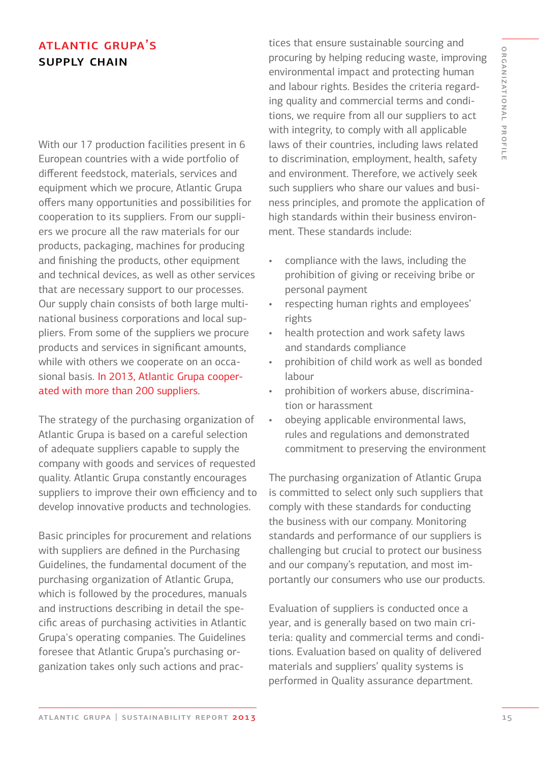# **ATLANTIC GRUPA'S** supply chain

With our 17 production facilities present in 6 European countries with a wide portfolio of different feedstock, materials, services and equipment which we procure, Atlantic Grupa offers many opportunities and possibilities for cooperation to its suppliers. From our suppliers we procure all the raw materials for our products, packaging, machines for producing and finishing the products, other equipment and technical devices, as well as other services that are necessary support to our processes. Our supply chain consists of both large multinational business corporations and local suppliers. From some of the suppliers we procure products and services in significant amounts, while with others we cooperate on an occasional basis. In 2013, Atlantic Grupa cooperated with more than 200 suppliers.

The strategy of the purchasing organization of Atlantic Grupa is based on a careful selection of adequate suppliers capable to supply the company with goods and services of requested quality. Atlantic Grupa constantly encourages suppliers to improve their own efficiency and to develop innovative products and technologies.

Basic principles for procurement and relations with suppliers are defined in the Purchasing Guidelines, the fundamental document of the purchasing organization of Atlantic Grupa, which is followed by the procedures, manuals and instructions describing in detail the specific areas of purchasing activities in Atlantic Grupa's operating companies. The Guidelines foresee that Atlantic Grupa's purchasing organization takes only such actions and practices that ensure sustainable sourcing and procuring by helping reducing waste, improving environmental impact and protecting human and labour rights. Besides the criteria regarding quality and commercial terms and conditions, we require from all our suppliers to act with integrity, to comply with all applicable laws of their countries, including laws related to discrimination, employment, health, safety and environment. Therefore, we actively seek such suppliers who share our values and business principles, and promote the application of high standards within their business environment. These standards include:

- compliance with the laws, including the prohibition of giving or receiving bribe or personal payment
- respecting human rights and employees' rights
- health protection and work safety laws and standards compliance
- prohibition of child work as well as bonded labour
- prohibition of workers abuse, discrimination or harassment
- obeying applicable environmental laws, rules and regulations and demonstrated commitment to preserving the environment

The purchasing organization of Atlantic Grupa is committed to select only such suppliers that comply with these standards for conducting the business with our company. Monitoring standards and performance of our suppliers is challenging but crucial to protect our business and our company's reputation, and most importantly our consumers who use our products.

Evaluation of suppliers is conducted once a year, and is generally based on two main criteria: quality and commercial terms and conditions. Evaluation based on quality of delivered materials and suppliers' quality systems is performed in Quality assurance department.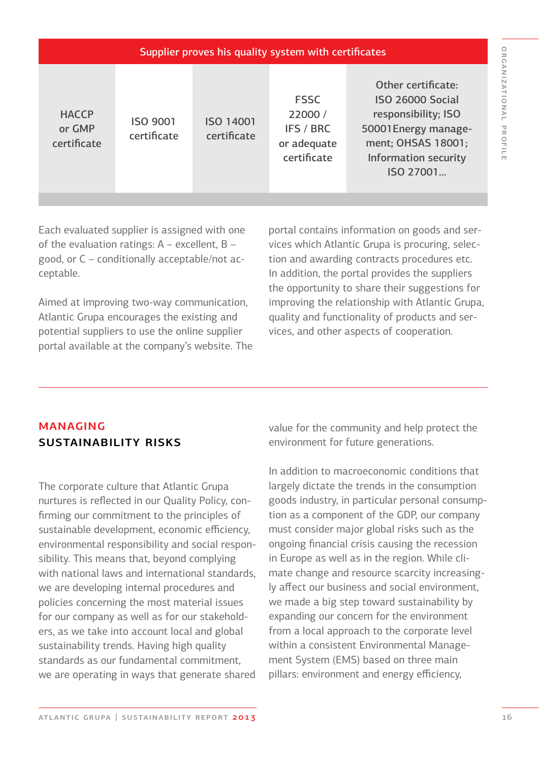| Supplier proves his quality system with certificates |                                |                                 |                                                                   |                                                                                                                                                         |  |  |  |  |  |
|------------------------------------------------------|--------------------------------|---------------------------------|-------------------------------------------------------------------|---------------------------------------------------------------------------------------------------------------------------------------------------------|--|--|--|--|--|
| <b>HACCP</b><br>or GMP<br>certificate                | <b>ISO 9001</b><br>certificate | <b>ISO 14001</b><br>certificate | <b>FSSC</b><br>22000 /<br>IFS / BRC<br>or adequate<br>certificate | Other certificate:<br><b>ISO 26000 Social</b><br>responsibility; ISO<br>50001 Energy manage-<br>ment; OHSAS 18001;<br>Information security<br>ISO 27001 |  |  |  |  |  |

Each evaluated supplier is assigned with one of the evaluation ratings: A – excellent, B – good, or C – conditionally acceptable/not acceptable.

Aimed at improving two-way communication, Atlantic Grupa encourages the existing and potential suppliers to use the online supplier portal available at the company's website. The

portal contains information on goods and services which Atlantic Grupa is procuring, selection and awarding contracts procedures etc. In addition, the portal provides the suppliers the opportunity to share their suggestions for improving the relationship with Atlantic Grupa, quality and functionality of products and services, and other aspects of cooperation.

# managing sustainability risks

The corporate culture that Atlantic Grupa nurtures is reflected in our Quality Policy, confirming our commitment to the principles of sustainable development, economic efficiency, environmental responsibility and social responsibility. This means that, beyond complying with national laws and international standards, we are developing internal procedures and policies concerning the most material issues for our company as well as for our stakeholders, as we take into account local and global sustainability trends. Having high quality standards as our fundamental commitment, we are operating in ways that generate shared value for the community and help protect the environment for future generations.

In addition to macroeconomic conditions that largely dictate the trends in the consumption goods industry, in particular personal consumption as a component of the GDP, our company must consider major global risks such as the ongoing financial crisis causing the recession in Europe as well as in the region. While climate change and resource scarcity increasingly affect our business and social environment, we made a big step toward sustainability by expanding our concern for the environment from a local approach to the corporate level within a consistent Environmental Management System (EMS) based on three main pillars: environment and energy efficiency,

organizational profile

ORGANIZATIONAL PROFILE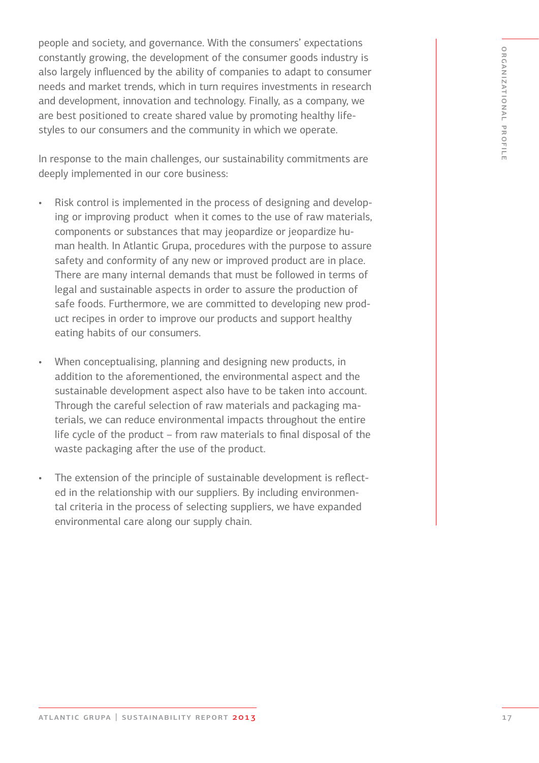people and society, and governance. With the consumers' expectations constantly growing, the development of the consumer goods industry is also largely influenced by the ability of companies to adapt to consumer needs and market trends, which in turn requires investments in research and development, innovation and technology. Finally, as a company, we are best positioned to create shared value by promoting healthy lifestyles to our consumers and the community in which we operate.

In response to the main challenges, our sustainability commitments are deeply implemented in our core business:

- Risk control is implemented in the process of designing and developing or improving product when it comes to the use of raw materials, components or substances that may jeopardize or jeopardize human health. In Atlantic Grupa, procedures with the purpose to assure safety and conformity of any new or improved product are in place. There are many internal demands that must be followed in terms of legal and sustainable aspects in order to assure the production of safe foods. Furthermore, we are committed to developing new product recipes in order to improve our products and support healthy eating habits of our consumers.
- When conceptualising, planning and designing new products, in addition to the aforementioned, the environmental aspect and the sustainable development aspect also have to be taken into account. Through the careful selection of raw materials and packaging materials, we can reduce environmental impacts throughout the entire life cycle of the product – from raw materials to final disposal of the waste packaging after the use of the product.
- The extension of the principle of sustainable development is reflected in the relationship with our suppliers. By including environmental criteria in the process of selecting suppliers, we have expanded environmental care along our supply chain.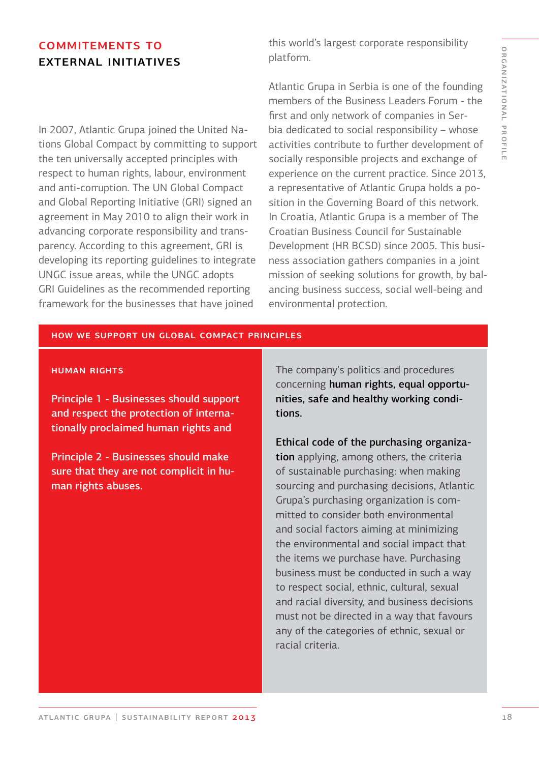# commitements to external initiatives

In 2007, Atlantic Grupa joined the United Nations Global Compact by committing to support the ten universally accepted principles with respect to human rights, labour, environment and anti-corruption. The UN Global Compact and Global Reporting Initiative (GRI) signed an agreement in May 2010 to align their work in advancing corporate responsibility and transparency. According to this agreement, GRI is developing its reporting guidelines to integrate UNGC issue areas, while the UNGC adopts GRI Guidelines as the recommended reporting framework for the businesses that have joined

this world's largest corporate responsibility platform.

Atlantic Grupa in Serbia is one of the founding members of the Business Leaders Forum - the first and only network of companies in Serbia dedicated to social responsibility – whose activities contribute to further development of socially responsible projects and exchange of experience on the current practice. Since 2013, a representative of Atlantic Grupa holds a position in the Governing Board of this network. In Croatia, Atlantic Grupa is a member of The Croatian Business Council for Sustainable Development (HR BCSD) since 2005. This business association gathers companies in a joint mission of seeking solutions for growth, by balancing business success, social well-being and environmental protection.

#### how we support un global compact principles

#### **HUMAN RIGHTS**

Principle 1 - Businesses should support and respect the protection of internationally proclaimed human rights and

Principle 2 - Businesses should make sure that they are not complicit in human rights abuses.

The company's politics and procedures concerning human rights, equal opportunities, safe and healthy working conditions.

Ethical code of the purchasing organization applying, among others, the criteria of sustainable purchasing: when making sourcing and purchasing decisions, Atlantic Grupa's purchasing organization is committed to consider both environmental and social factors aiming at minimizing the environmental and social impact that the items we purchase have. Purchasing business must be conducted in such a way to respect social, ethnic, cultural, sexual and racial diversity, and business decisions must not be directed in a way that favours any of the categories of ethnic, sexual or racial criteria.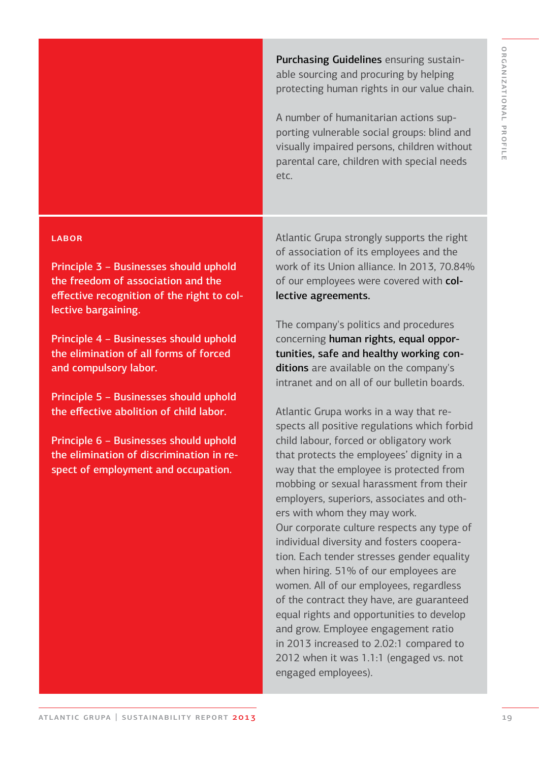Purchasing Guidelines ensuring sustainable sourcing and procuring by helping protecting human rights in our value chain.

A number of humanitarian actions supporting vulnerable social groups: blind and visually impaired persons, children without parental care, children with special needs etc.

#### LABOR

Principle 3 – Businesses should uphold the freedom of association and the effective recognition of the right to collective bargaining.

Principle 4 – Businesses should uphold the elimination of all forms of forced and compulsory labor.

Principle 5 – Businesses should uphold the effective abolition of child labor.

Principle 6 – Businesses should uphold the elimination of discrimination in respect of employment and occupation.

Atlantic Grupa strongly supports the right of association of its employees and the work of its Union alliance. In 2013, 70.84% of our employees were covered with collective agreements.

The company's politics and procedures concerning human rights, equal opportunities, safe and healthy working conditions are available on the company's intranet and on all of our bulletin boards.

Atlantic Grupa works in a way that respects all positive regulations which forbid child labour, forced or obligatory work that protects the employees' dignity in a way that the employee is protected from mobbing or sexual harassment from their employers, superiors, associates and others with whom they may work. Our corporate culture respects any type of individual diversity and fosters cooperation. Each tender stresses gender equality when hiring. 51% of our employees are women. All of our employees, regardless of the contract they have, are guaranteed equal rights and opportunities to develop and grow. Employee engagement ratio in 2013 increased to 2.02:1 compared to

2012 when it was 1.1:1 (engaged vs. not

engaged employees).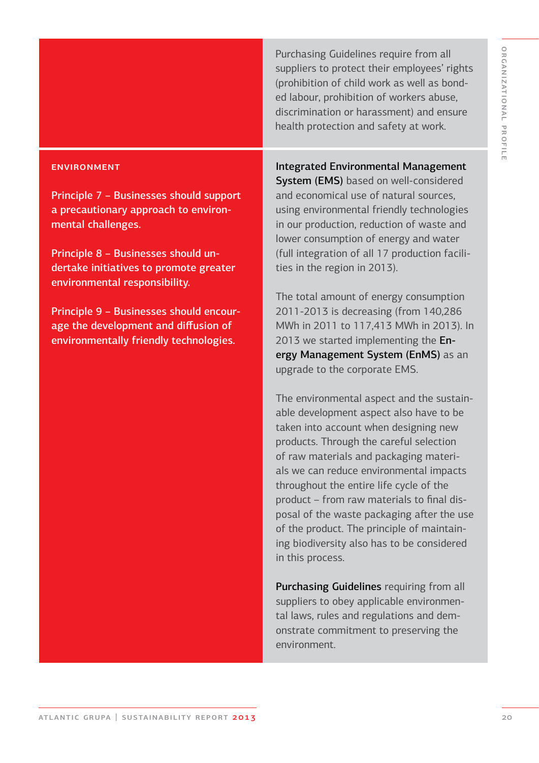Purchasing Guidelines require from all suppliers to protect their employees' rights (prohibition of child work as well as bonded labour, prohibition of workers abuse, discrimination or harassment) and ensure health protection and safety at work.

#### **ENVIRONMENT**

Principle 7 – Businesses should support a precautionary approach to environmental challenges.

Principle 8 – Businesses should undertake initiatives to promote greater environmental responsibility.

Principle 9 – Businesses should encourage the development and diffusion of environmentally friendly technologies.

Integrated Environmental Management

System (EMS) based on well-considered and economical use of natural sources, using environmental friendly technologies in our production, reduction of waste and lower consumption of energy and water (full integration of all 17 production facilities in the region in 2013).

The total amount of energy consumption 2011-2013 is decreasing (from 140,286 MWh in 2011 to 117,413 MWh in 2013). In 2013 we started implementing the Energy Management System (EnMS) as an upgrade to the corporate EMS.

The environmental aspect and the sustainable development aspect also have to be taken into account when designing new products. Through the careful selection of raw materials and packaging materials we can reduce environmental impacts throughout the entire life cycle of the product – from raw materials to final disposal of the waste packaging after the use of the product. The principle of maintaining biodiversity also has to be considered in this process.

Purchasing Guidelines requiring from all suppliers to obey applicable environmental laws, rules and regulations and demonstrate commitment to preserving the environment.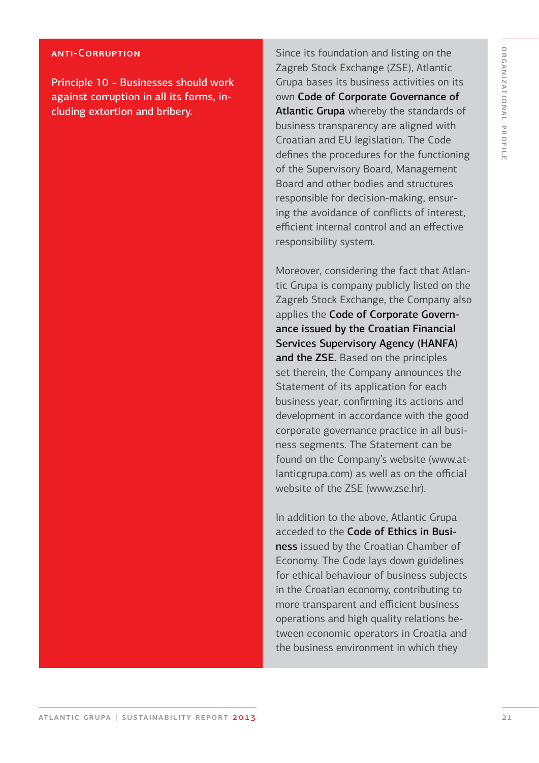#### anti-Corruption

Principle 10 – Businesses should work against corruption in all its forms, including extortion and bribery.

Since its foundation and listing on the Zagreb Stock Exchange (ZSE), Atlantic Grupa bases its business activities on its own Code of Corporate Governance of Atlantic Grupa whereby the standards of business transparency are aligned with Croatian and EU legislation. The Code defines the procedures for the functioning of the Supervisory Board, Management Board and other bodies and structures responsible for decision-making, ensuring the avoidance of conflicts of interest, efficient internal control and an effective responsibility system.

Moreover, considering the fact that Atlantic Grupa is company publicly listed on the Zagreb Stock Exchange, the Company also applies the Code of Corporate Governance issued by the Croatian Financial Services Supervisory Agency (HANFA) and the ZSE. Based on the principles set therein, the Company announces the Statement of its application for each business year, confirming its actions and development in accordance with the good corporate governance practice in all business segments. The Statement can be found on the Company's website (www.atlanticgrupa.com) as well as on the official website of the ZSE (www.zse.hr).

In addition to the above, Atlantic Grupa acceded to the Code of Ethics in Business issued by the Croatian Chamber of Economy. The Code lays down guidelines for ethical behaviour of business subjects in the Croatian economy, contributing to more transparent and efficient business operations and high quality relations between economic operators in Croatia and the business environment in which they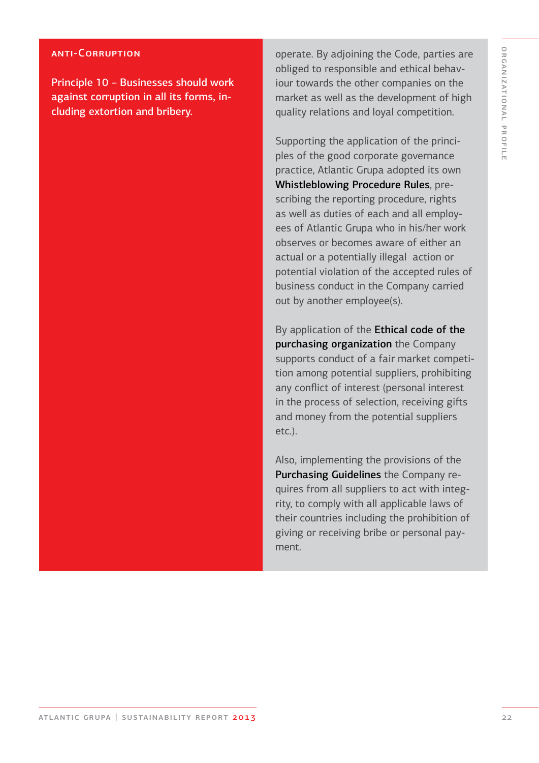#### anti-Corruption

Principle 10 – Businesses should work against corruption in all its forms, including extortion and bribery.

operate. By adjoining the Code, parties are obliged to responsible and ethical behaviour towards the other companies on the market as well as the development of high quality relations and loyal competition.

Supporting the application of the principles of the good corporate governance practice, Atlantic Grupa adopted its own Whistleblowing Procedure Rules, prescribing the reporting procedure, rights as well as duties of each and all employees of Atlantic Grupa who in his/her work observes or becomes aware of either an actual or a potentially illegal action or potential violation of the accepted rules of business conduct in the Company carried out by another employee(s).

By application of the Ethical code of the purchasing organization the Company supports conduct of a fair market competition among potential suppliers, prohibiting any conflict of interest (personal interest in the process of selection, receiving gifts and money from the potential suppliers etc.).

Also, implementing the provisions of the Purchasing Guidelines the Company requires from all suppliers to act with integrity, to comply with all applicable laws of their countries including the prohibition of giving or receiving bribe or personal payment.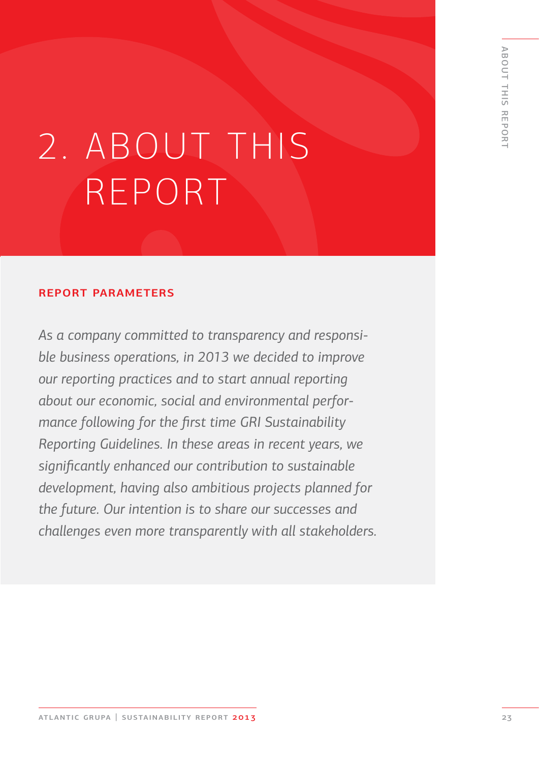# 2. ABOUT THIS REPORT

#### report parameters

*As a company committed to transparency and responsible business operations, in 2013 we decided to improve our reporting practices and to start annual reporting about our economic, social and environmental performance following for the first time GRI Sustainability Reporting Guidelines. In these areas in recent years, we significantly enhanced our contribution to sustainable development, having also ambitious projects planned for the future. Our intention is to share our successes and challenges even more transparently with all stakeholders.*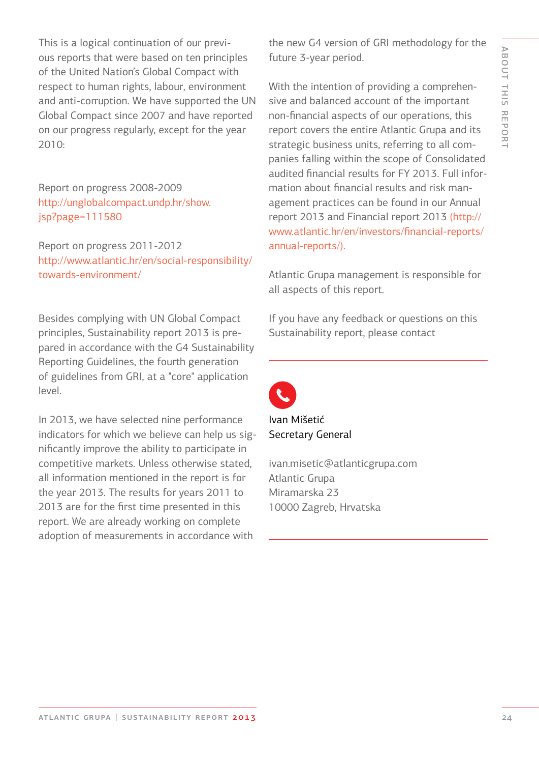This is a logical continuation of our previous reports that were based on ten principles of the United Nation's Global Compact with respect to human rights, labour, environment and anti-corruption. We have supported the UN Global Compact since 2007 and have reported on our progress regularly, except for the year 2010:

Report on progress 2008-2009 http://unglobalcompact.undp.hr/show. jsp?page=111580

Report on progress 2011-2012 http://www.atlantic.hr/en/social-responsibility/ towards-environment/

Besides complying with UN Global Compact principles, Sustainability report 2013 is prepared in accordance with the G4 Sustainability Reporting Guidelines, the fourth generation of guidelines from GRI, at a "core" application level.

In 2013, we have selected nine performance indicators for which we believe can help us significantly improve the ability to participate in competitive markets. Unless otherwise stated, all information mentioned in the report is for the year 2013. The results for years 2011 to 2013 are for the first time presented in this report. We are already working on complete adoption of measurements in accordance with

the new G4 version of GRI methodology for the future 3-year period.

With the intention of providing a comprehensive and balanced account of the important non-financial aspects of our operations, this report covers the entire Atlantic Grupa and its strategic business units, referring to all companies falling within the scope of Consolidated audited financial results for FY 2013. Full information about financial results and risk management practices can be found in our Annual report 2013 and Financial report 2013 (http:// www.atlantic.hr/en/investors/financial-reports/ annual-reports/).

Atlantic Grupa management is responsible for all aspects of this report.

If you have any feedback or questions on this Sustainability report, please contact



Ivan Mišetić Secretary General

ivan.misetic@atlanticgrupa.com Atlantic Grupa Miramarska 23 10000 Zagreb, Hrvatska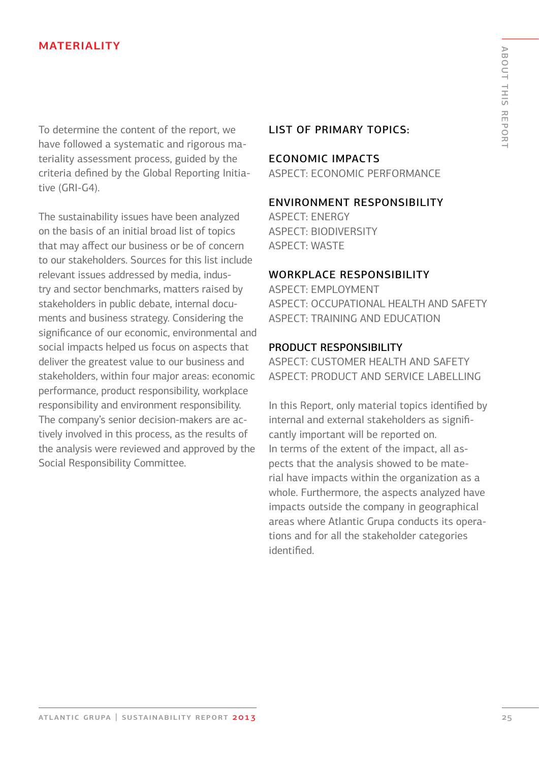#### **MATERIALITY**

To determine the content of the report, we have followed a systematic and rigorous materiality assessment process, guided by the criteria defined by the Global Reporting Initiative (GRI-G4).

The sustainability issues have been analyzed on the basis of an initial broad list of topics that may affect our business or be of concern to our stakeholders. Sources for this list include relevant issues addressed by media, industry and sector benchmarks, matters raised by stakeholders in public debate, internal documents and business strategy. Considering the significance of our economic, environmental and social impacts helped us focus on aspects that deliver the greatest value to our business and stakeholders, within four major areas: economic performance, product responsibility, workplace responsibility and environment responsibility. The company's senior decision-makers are actively involved in this process, as the results of the analysis were reviewed and approved by the Social Responsibility Committee.

#### LIST OF PRIMARY TOPICS:

#### ECONOMIC IMPACTS

ASPECT: ECONOMIC PERFORMANCE

#### ENVIRONMENT RESPONSIBILITY

ASPECT: ENERGY ASPECT: BIODIVERSITY ASPECT: WASTE

#### WORKPLACE RESPONSIBILITY

ASPECT: EMPLOYMENT ASPECT: OCCUPATIONAL HEALTH AND SAFETY ASPECT: TRAINING AND EDUCATION

#### PRODUCT RESPONSIBILITY

ASPECT: CUSTOMER HEALTH AND SAFETY ASPECT: PRODUCT AND SERVICE LABELLING

In this Report, only material topics identified by internal and external stakeholders as significantly important will be reported on. In terms of the extent of the impact, all aspects that the analysis showed to be material have impacts within the organization as a whole. Furthermore, the aspects analyzed have impacts outside the company in geographical areas where Atlantic Grupa conducts its operations and for all the stakeholder categories identified.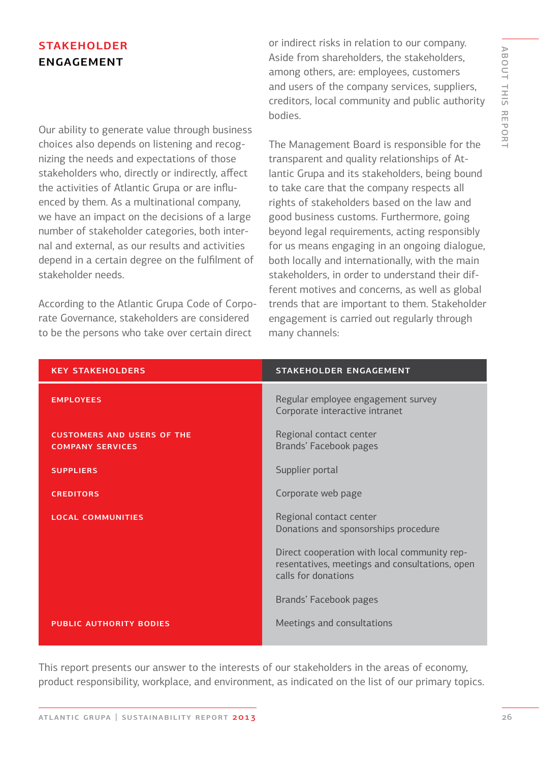# **STAKEHOLDER ENGAGEMENT**

Our ability to generate value through business choices also depends on listening and recognizing the needs and expectations of those stakeholders who, directly or indirectly, affect the activities of Atlantic Grupa or are influenced by them. As a multinational company, we have an impact on the decisions of a large number of stakeholder categories, both internal and external, as our results and activities depend in a certain degree on the fulfilment of stakeholder needs.

According to the Atlantic Grupa Code of Corporate Governance, stakeholders are considered to be the persons who take over certain direct

or indirect risks in relation to our company. Aside from shareholders, the stakeholders, among others, are: employees, customers and users of the company services, suppliers, creditors, local community and public authority bodies.

The Management Board is responsible for the transparent and quality relationships of Atlantic Grupa and its stakeholders, being bound to take care that the company respects all rights of stakeholders based on the law and good business customs. Furthermore, going beyond legal requirements, acting responsibly for us means engaging in an ongoing dialogue, both locally and internationally, with the main stakeholders, in order to understand their different motives and concerns, as well as global trends that are important to them. Stakeholder engagement is carried out regularly through many channels:

| <b>KEY STAKEHOLDERS</b>                                      | <b>STAKEHOLDER ENGAGEMENT</b>                                                                                         |
|--------------------------------------------------------------|-----------------------------------------------------------------------------------------------------------------------|
| <b>EMPLOYEES</b>                                             | Regular employee engagement survey<br>Corporate interactive intranet                                                  |
| <b>CUSTOMERS AND USERS OF THE</b><br><b>COMPANY SERVICES</b> | Regional contact center<br>Brands' Facebook pages                                                                     |
| <b>SUPPLIERS</b>                                             | Supplier portal                                                                                                       |
| <b>CREDITORS</b>                                             | Corporate web page                                                                                                    |
| <b>LOCAL COMMUNITIES</b>                                     | Regional contact center<br>Donations and sponsorships procedure                                                       |
|                                                              | Direct cooperation with local community rep-<br>resentatives, meetings and consultations, open<br>calls for donations |
|                                                              | Brands' Facebook pages                                                                                                |
| <b>PUBLIC AUTHORITY BODIES</b>                               | Meetings and consultations                                                                                            |

This report presents our answer to the interests of our stakeholders in the areas of economy, product responsibility, workplace, and environment, as indicated on the list of our primary topics.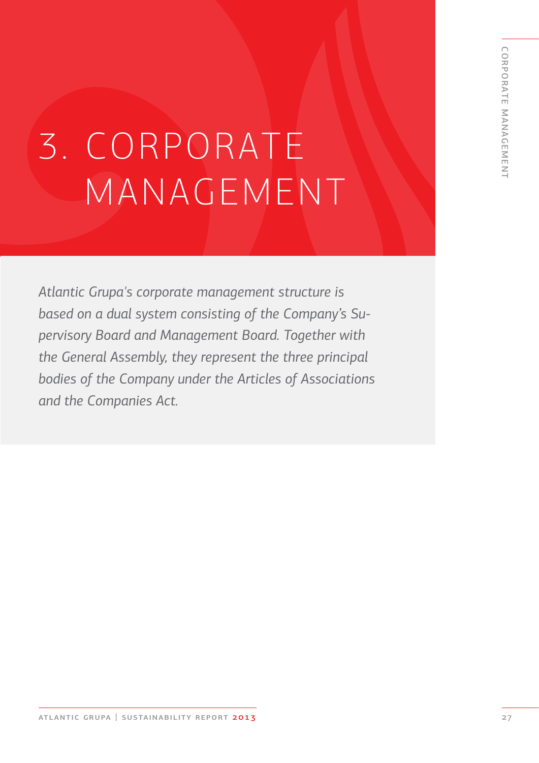# 3. CORPORATE MANAGEMENT

*Atlantic Grupa's corporate management structure is based on a dual system consisting of the Company's Supervisory Board and Management Board. Together with the General Assembly, they represent the three principal bodies of the Company under the Articles of Associations and the Companies Act.*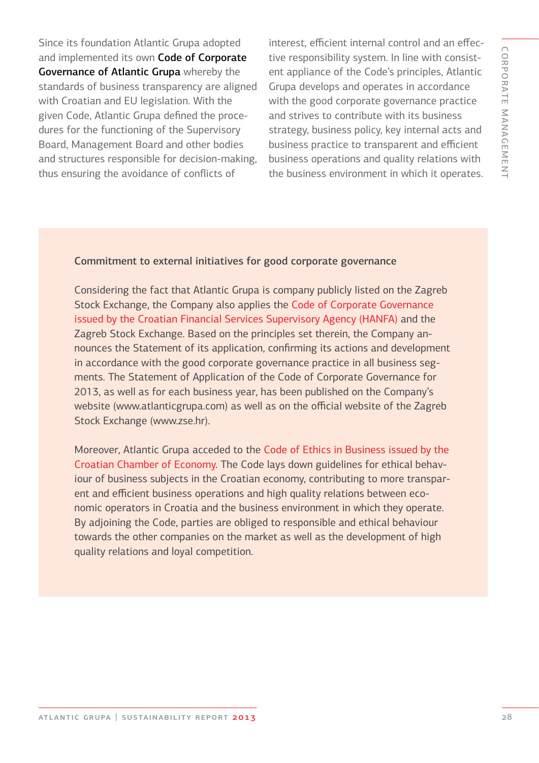Since its foundation Atlantic Grupa adopted and implemented its own Code of Corporate Governance of Atlantic Grupa whereby the standards of business transparency are aligned with Croatian and EU legislation. With the given Code, Atlantic Grupa defined the procedures for the functioning of the Supervisory Board, Management Board and other bodies and structures responsible for decision-making, thus ensuring the avoidance of conflicts of

interest, efficient internal control and an effective responsibility system. In line with consistent appliance of the Code's principles, Atlantic Grupa develops and operates in accordance with the good corporate governance practice and strives to contribute with its business strategy, business policy, key internal acts and business practice to transparent and efficient business operations and quality relations with the business environment in which it operates.

#### Commitment to external initiatives for good corporate governance

Considering the fact that Atlantic Grupa is company publicly listed on the Zagreb Stock Exchange, the Company also applies the Code of Corporate Governance issued by the Croatian Financial Services Supervisory Agency (HANFA) and the Zagreb Stock Exchange. Based on the principles set therein, the Company announces the Statement of its application, confirming its actions and development in accordance with the good corporate governance practice in all business segments. The Statement of Application of the Code of Corporate Governance for 2013, as well as for each business year, has been published on the Company's website (www.atlanticgrupa.com) as well as on the official website of the Zagreb Stock Exchange (www.zse.hr).

Moreover, Atlantic Grupa acceded to the Code of Ethics in Business issued by the Croatian Chamber of Economy. The Code lays down guidelines for ethical behaviour of business subjects in the Croatian economy, contributing to more transparent and efficient business operations and high quality relations between economic operators in Croatia and the business environment in which they operate. By adjoining the Code, parties are obliged to responsible and ethical behaviour towards the other companies on the market as well as the development of high quality relations and loyal competition.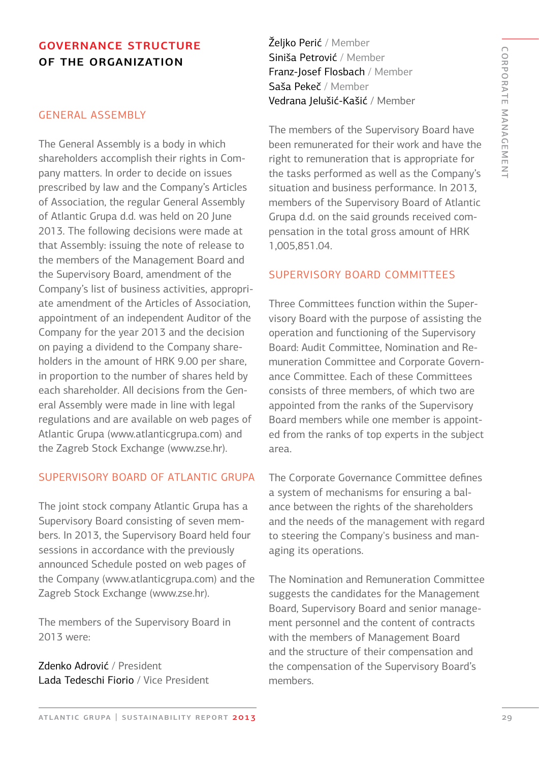# governance structure of the organization

#### GENERAL ASSEMBLY

The General Assembly is a body in which shareholders accomplish their rights in Company matters. In order to decide on issues prescribed by law and the Company's Articles of Association, the regular General Assembly of Atlantic Grupa d.d. was held on 20 June 2013. The following decisions were made at that Assembly: issuing the note of release to the members of the Management Board and the Supervisory Board, amendment of the Company's list of business activities, appropriate amendment of the Articles of Association, appointment of an independent Auditor of the Company for the year 2013 and the decision on paying a dividend to the Company shareholders in the amount of HRK 9.00 per share, in proportion to the number of shares held by each shareholder. All decisions from the General Assembly were made in line with legal regulations and are available on web pages of Atlantic Grupa (www.atlanticgrupa.com) and the Zagreb Stock Exchange (www.zse.hr).

#### SUPERVISORY BOARD OF ATLANTIC GRUPA

The joint stock company Atlantic Grupa has a Supervisory Board consisting of seven members. In 2013, the Supervisory Board held four sessions in accordance with the previously announced Schedule posted on web pages of the Company (www.atlanticgrupa.com) and the Zagreb Stock Exchange (www.zse.hr).

The members of the Supervisory Board in 2013 were:

Zdenko Adrović / President Lada Tedeschi Fiorio / Vice President Željko Perić / Member Siniša Petrović / Member Franz-Josef Flosbach / Member Saša Pekeč / Member Vedrana Jelušić-Kašić / Member

The members of the Supervisory Board have been remunerated for their work and have the right to remuneration that is appropriate for the tasks performed as well as the Company's situation and business performance. In 2013, members of the Supervisory Board of Atlantic Grupa d.d. on the said grounds received compensation in the total gross amount of HRK 1,005,851.04.

#### SUPERVISORY BOARD COMMITTEES

Three Committees function within the Supervisory Board with the purpose of assisting the operation and functioning of the Supervisory Board: Audit Committee, Nomination and Remuneration Committee and Corporate Governance Committee. Each of these Committees consists of three members, of which two are appointed from the ranks of the Supervisory Board members while one member is appointed from the ranks of top experts in the subject area.

The Corporate Governance Committee defines a system of mechanisms for ensuring a balance between the rights of the shareholders and the needs of the management with regard to steering the Company's business and managing its operations.

The Nomination and Remuneration Committee suggests the candidates for the Management Board, Supervisory Board and senior management personnel and the content of contracts with the members of Management Board and the structure of their compensation and the compensation of the Supervisory Board's members.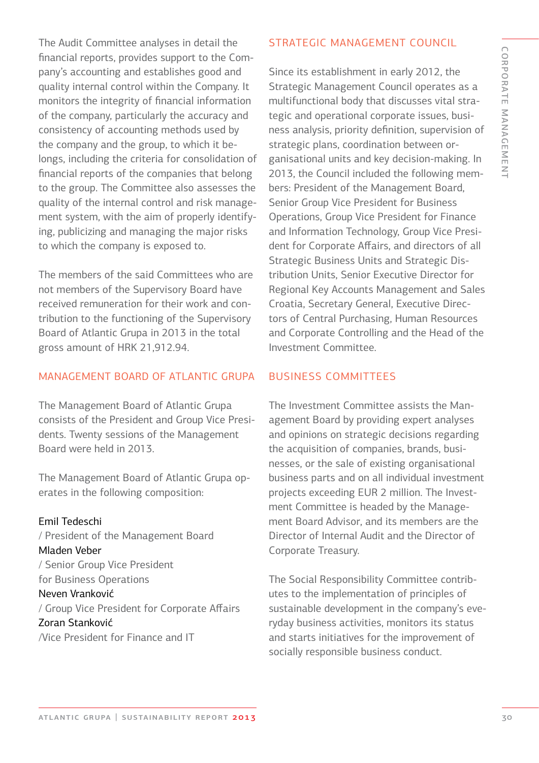The Audit Committee analyses in detail the financial reports, provides support to the Company's accounting and establishes good and quality internal control within the Company. It monitors the integrity of financial information of the company, particularly the accuracy and consistency of accounting methods used by the company and the group, to which it belongs, including the criteria for consolidation of financial reports of the companies that belong to the group. The Committee also assesses the quality of the internal control and risk management system, with the aim of properly identifying, publicizing and managing the major risks to which the company is exposed to.

The members of the said Committees who are not members of the Supervisory Board have received remuneration for their work and contribution to the functioning of the Supervisory Board of Atlantic Grupa in 2013 in the total gross amount of HRK 21,912.94.

# MANAGEMENT BOARD OF ATLANTIC GRUPA

The Management Board of Atlantic Grupa consists of the President and Group Vice Presidents. Twenty sessions of the Management Board were held in 2013.

The Management Board of Atlantic Grupa operates in the following composition:

### Emil Tedeschi

/ President of the Management Board Mladen Veber / Senior Group Vice President for Business Operations Neven Vranković / Group Vice President for Corporate Affairs Zoran Stanković /Vice President for Finance and IT

# STRATEGIC MANAGEMENT COUNCIL

Since its establishment in early 2012, the Strategic Management Council operates as a multifunctional body that discusses vital strategic and operational corporate issues, business analysis, priority definition, supervision of strategic plans, coordination between organisational units and key decision-making. In 2013, the Council included the following members: President of the Management Board, Senior Group Vice President for Business Operations, Group Vice President for Finance and Information Technology, Group Vice President for Corporate Affairs, and directors of all Strategic Business Units and Strategic Distribution Units, Senior Executive Director for Regional Key Accounts Management and Sales Croatia, Secretary General, Executive Directors of Central Purchasing, Human Resources and Corporate Controlling and the Head of the Investment Committee.

#### BUSINESS COMMITTEES

The Investment Committee assists the Management Board by providing expert analyses and opinions on strategic decisions regarding the acquisition of companies, brands, businesses, or the sale of existing organisational business parts and on all individual investment projects exceeding EUR 2 million. The Investment Committee is headed by the Management Board Advisor, and its members are the Director of Internal Audit and the Director of Corporate Treasury.

The Social Responsibility Committee contributes to the implementation of principles of sustainable development in the company's everyday business activities, monitors its status and starts initiatives for the improvement of socially responsible business conduct.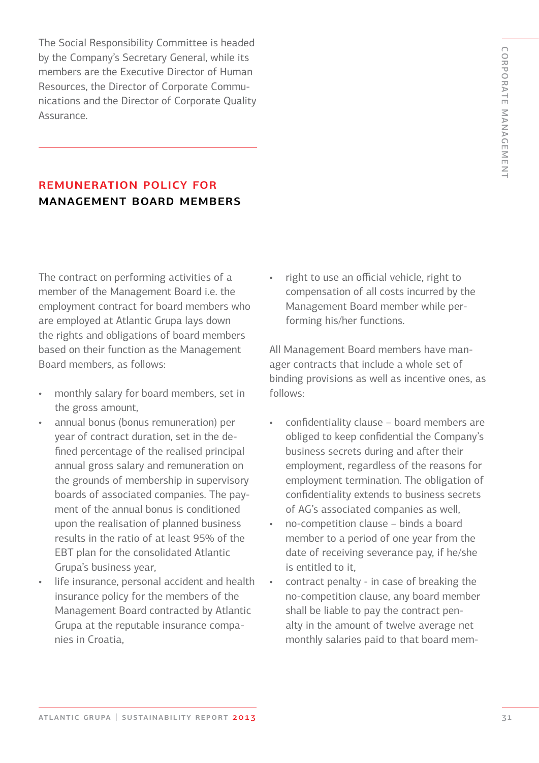C O RPORATE MA N A GEME N T

The Social Responsibility Committee is headed by the Company's Secretary General, while its members are the Executive Director of Human Resources, the Director of Corporate Communications and the Director of Corporate Quality Assurance.

# remuneration policy for management board members

The contract on performing activities of a member of the Management Board i.e. the employment contract for board members who are employed at Atlantic Grupa lays down the rights and obligations of board members based on their function as the Management Board members, as follows:

- monthly salary for board members, set in the gross amount,
- annual bonus (bonus remuneration) per year of contract duration, set in the defined percentage of the realised principal annual gross salary and remuneration on the grounds of membership in supervisory boards of associated companies. The payment of the annual bonus is conditioned upon the realisation of planned business results in the ratio of at least 95% of the EBT plan for the consolidated Atlantic Grupa's business year,
- life insurance, personal accident and health insurance policy for the members of the Management Board contracted by Atlantic Grupa at the reputable insurance companies in Croatia,

• right to use an official vehicle, right to compensation of all costs incurred by the Management Board member while performing his/her functions.

All Management Board members have manager contracts that include a whole set of binding provisions as well as incentive ones, as follows:

- confidentiality clause board members are obliged to keep confidential the Company's business secrets during and after their employment, regardless of the reasons for employment termination. The obligation of confidentiality extends to business secrets of AG's associated companies as well,
- no-competition clause binds a board member to a period of one year from the date of receiving severance pay, if he/she is entitled to it,
- contract penalty in case of breaking the no-competition clause, any board member shall be liable to pay the contract penalty in the amount of twelve average net monthly salaries paid to that board mem-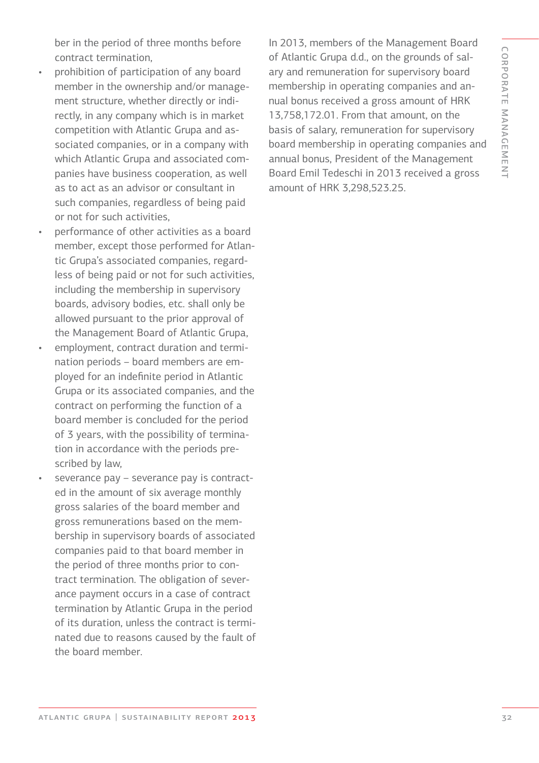ber in the period of three months before contract termination,

- prohibition of participation of any board member in the ownership and/or management structure, whether directly or indirectly, in any company which is in market competition with Atlantic Grupa and associated companies, or in a company with which Atlantic Grupa and associated companies have business cooperation, as well as to act as an advisor or consultant in such companies, regardless of being paid or not for such activities,
- performance of other activities as a board member, except those performed for Atlantic Grupa's associated companies, regardless of being paid or not for such activities, including the membership in supervisory boards, advisory bodies, etc. shall only be allowed pursuant to the prior approval of the Management Board of Atlantic Grupa,
- employment, contract duration and termination periods – board members are employed for an indefinite period in Atlantic Grupa or its associated companies, and the contract on performing the function of a board member is concluded for the period of 3 years, with the possibility of termination in accordance with the periods prescribed by law,
- severance pay severance pay is contracted in the amount of six average monthly gross salaries of the board member and gross remunerations based on the membership in supervisory boards of associated companies paid to that board member in the period of three months prior to contract termination. The obligation of severance payment occurs in a case of contract termination by Atlantic Grupa in the period of its duration, unless the contract is terminated due to reasons caused by the fault of the board member.

In 2013, members of the Management Board of Atlantic Grupa d.d., on the grounds of salary and remuneration for supervisory board membership in operating companies and annual bonus received a gross amount of HRK 13,758,172.01. From that amount, on the basis of salary, remuneration for supervisory board membership in operating companies and annual bonus, President of the Management Board Emil Tedeschi in 2013 received a gross amount of HRK 3,298,523.25.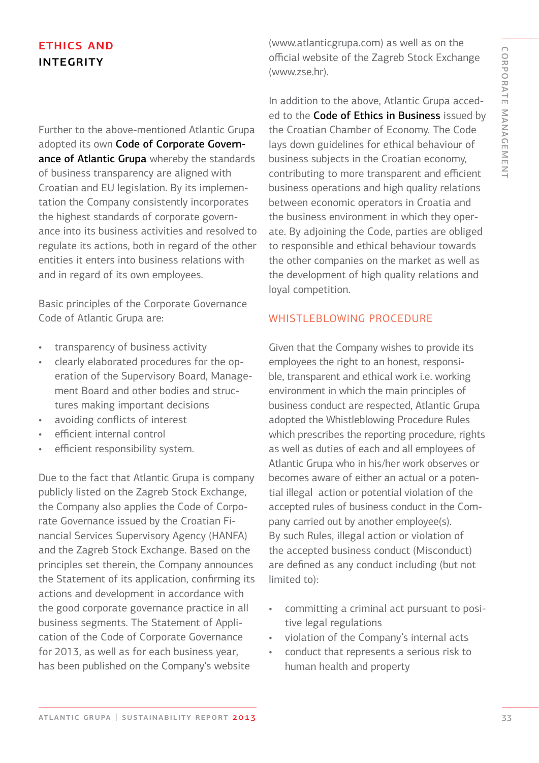# ethics and **INTEGRITY**

Further to the above-mentioned Atlantic Grupa adopted its own Code of Corporate Governance of Atlantic Grupa whereby the standards of business transparency are aligned with Croatian and EU legislation. By its implementation the Company consistently incorporates the highest standards of corporate governance into its business activities and resolved to regulate its actions, both in regard of the other entities it enters into business relations with and in regard of its own employees.

Basic principles of the Corporate Governance Code of Atlantic Grupa are:

- transparency of business activity
- clearly elaborated procedures for the operation of the Supervisory Board, Management Board and other bodies and structures making important decisions
- avoiding conflicts of interest
- efficient internal control
- efficient responsibility system.

Due to the fact that Atlantic Grupa is company publicly listed on the Zagreb Stock Exchange, the Company also applies the Code of Corporate Governance issued by the Croatian Financial Services Supervisory Agency (HANFA) and the Zagreb Stock Exchange. Based on the principles set therein, the Company announces the Statement of its application, confirming its actions and development in accordance with the good corporate governance practice in all business segments. The Statement of Application of the Code of Corporate Governance for 2013, as well as for each business year, has been published on the Company's website

(www.atlanticgrupa.com) as well as on the official website of the Zagreb Stock Exchange (www.zse.hr).

In addition to the above, Atlantic Grupa acceded to the Code of Ethics in Business issued by the Croatian Chamber of Economy. The Code lays down guidelines for ethical behaviour of business subjects in the Croatian economy, contributing to more transparent and efficient business operations and high quality relations between economic operators in Croatia and the business environment in which they operate. By adjoining the Code, parties are obliged to responsible and ethical behaviour towards the other companies on the market as well as the development of high quality relations and loyal competition.

#### WHISTLEBLOWING PROCEDURE

Given that the Company wishes to provide its employees the right to an honest, responsible, transparent and ethical work i.e. working environment in which the main principles of business conduct are respected, Atlantic Grupa adopted the Whistleblowing Procedure Rules which prescribes the reporting procedure, rights as well as duties of each and all employees of Atlantic Grupa who in his/her work observes or becomes aware of either an actual or a potential illegal action or potential violation of the accepted rules of business conduct in the Company carried out by another employee(s). By such Rules, illegal action or violation of the accepted business conduct (Misconduct) are defined as any conduct including (but not limited to):

- committing a criminal act pursuant to positive legal regulations
- violation of the Company's internal acts
- conduct that represents a serious risk to human health and property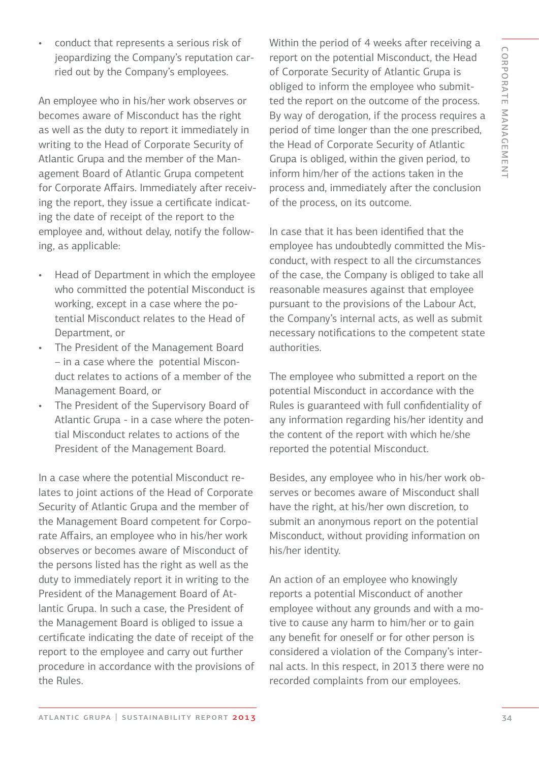• conduct that represents a serious risk of jeopardizing the Company's reputation carried out by the Company's employees.

An employee who in his/her work observes or becomes aware of Misconduct has the right as well as the duty to report it immediately in writing to the Head of Corporate Security of Atlantic Grupa and the member of the Management Board of Atlantic Grupa competent for Corporate Affairs. Immediately after receiving the report, they issue a certificate indicating the date of receipt of the report to the employee and, without delay, notify the following, as applicable:

- Head of Department in which the employee who committed the potential Misconduct is working, except in a case where the potential Misconduct relates to the Head of Department, or
- The President of the Management Board – in a case where the potential Misconduct relates to actions of a member of the Management Board, or
- The President of the Supervisory Board of Atlantic Grupa - in a case where the potential Misconduct relates to actions of the President of the Management Board.

In a case where the potential Misconduct relates to joint actions of the Head of Corporate Security of Atlantic Grupa and the member of the Management Board competent for Corporate Affairs, an employee who in his/her work observes or becomes aware of Misconduct of the persons listed has the right as well as the duty to immediately report it in writing to the President of the Management Board of Atlantic Grupa. In such a case, the President of the Management Board is obliged to issue a certificate indicating the date of receipt of the report to the employee and carry out further procedure in accordance with the provisions of the Rules.

Within the period of 4 weeks after receiving a report on the potential Misconduct, the Head of Corporate Security of Atlantic Grupa is obliged to inform the employee who submitted the report on the outcome of the process. By way of derogation, if the process requires a period of time longer than the one prescribed, the Head of Corporate Security of Atlantic Grupa is obliged, within the given period, to inform him/her of the actions taken in the process and, immediately after the conclusion of the process, on its outcome.

In case that it has been identified that the employee has undoubtedly committed the Misconduct, with respect to all the circumstances of the case, the Company is obliged to take all reasonable measures against that employee pursuant to the provisions of the Labour Act, the Company's internal acts, as well as submit necessary notifications to the competent state authorities.

The employee who submitted a report on the potential Misconduct in accordance with the Rules is guaranteed with full confidentiality of any information regarding his/her identity and the content of the report with which he/she reported the potential Misconduct.

Besides, any employee who in his/her work observes or becomes aware of Misconduct shall have the right, at his/her own discretion, to submit an anonymous report on the potential Misconduct, without providing information on his/her identity.

An action of an employee who knowingly reports a potential Misconduct of another employee without any grounds and with a motive to cause any harm to him/her or to gain any benefit for oneself or for other person is considered a violation of the Company's internal acts. In this respect, in 2013 there were no recorded complaints from our employees.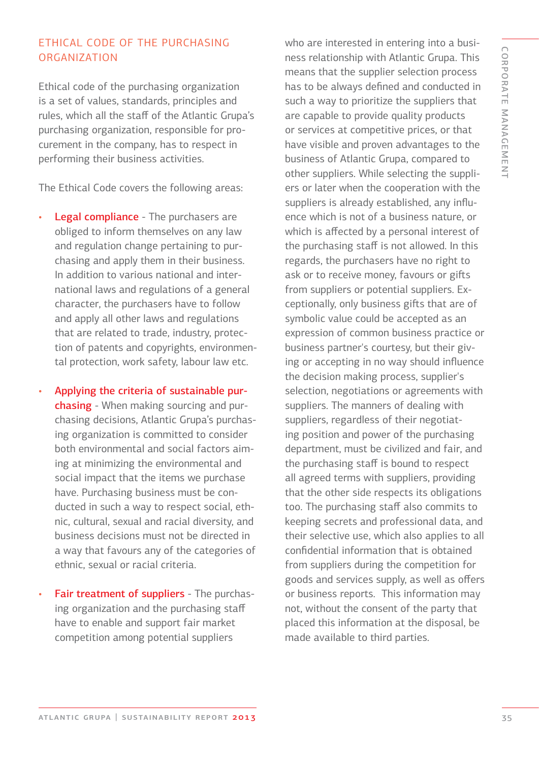#### Ethical code of the purchasing **ORGANIZATION**

Ethical code of the purchasing organization is a set of values, standards, principles and rules, which all the staff of the Atlantic Grupa's purchasing organization, responsible for procurement in the company, has to respect in performing their business activities.

The Ethical Code covers the following areas:

- Legal compliance The purchasers are obliged to inform themselves on any law and regulation change pertaining to purchasing and apply them in their business. In addition to various national and international laws and regulations of a general character, the purchasers have to follow and apply all other laws and regulations that are related to trade, industry, protection of patents and copyrights, environmental protection, work safety, labour law etc.
- Applying the criteria of sustainable purchasing - When making sourcing and purchasing decisions, Atlantic Grupa's purchasing organization is committed to consider both environmental and social factors aiming at minimizing the environmental and social impact that the items we purchase have. Purchasing business must be conducted in such a way to respect social, ethnic, cultural, sexual and racial diversity, and business decisions must not be directed in a way that favours any of the categories of ethnic, sexual or racial criteria.
- Fair treatment of suppliers The purchasing organization and the purchasing staff have to enable and support fair market competition among potential suppliers

who are interested in entering into a business relationship with Atlantic Grupa. This means that the supplier selection process has to be always defined and conducted in such a way to prioritize the suppliers that are capable to provide quality products or services at competitive prices, or that have visible and proven advantages to the business of Atlantic Grupa, compared to other suppliers. While selecting the suppliers or later when the cooperation with the suppliers is already established, any influence which is not of a business nature, or which is affected by a personal interest of the purchasing staff is not allowed. In this regards, the purchasers have no right to ask or to receive money, favours or gifts from suppliers or potential suppliers. Exceptionally, only business gifts that are of symbolic value could be accepted as an expression of common business practice or business partner's courtesy, but their giving or accepting in no way should influence the decision making process, supplier's selection, negotiations or agreements with suppliers. The manners of dealing with suppliers, regardless of their negotiating position and power of the purchasing department, must be civilized and fair, and the purchasing staff is bound to respect all agreed terms with suppliers, providing that the other side respects its obligations too. The purchasing staff also commits to keeping secrets and professional data, and their selective use, which also applies to all confidential information that is obtained from suppliers during the competition for goods and services supply, as well as offers or business reports. This information may not, without the consent of the party that placed this information at the disposal, be made available to third parties.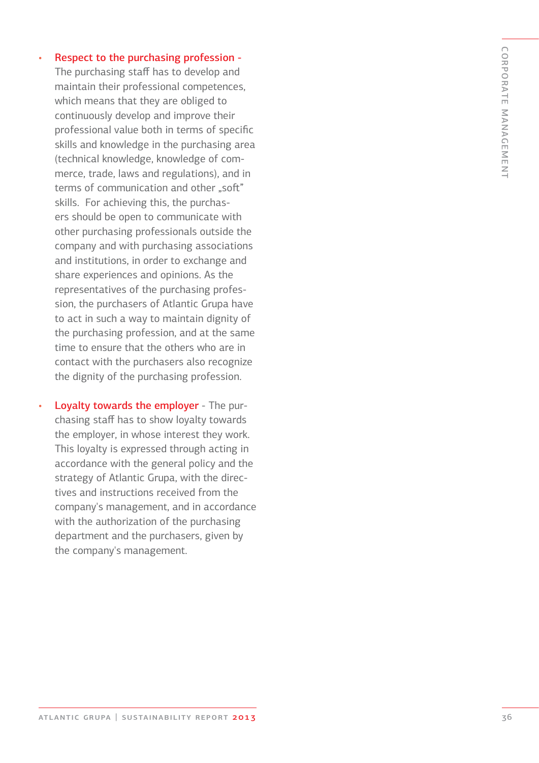Respect to the purchasing profession - The purchasing staff has to develop and maintain their professional competences, which means that they are obliged to continuously develop and improve their professional value both in terms of specific skills and knowledge in the purchasing area (technical knowledge, knowledge of com merce, trade, laws and regulations), and in terms of communication and other ..soft" skills. For achieving this, the purchas ers should be open to communicate with other purchasing professionals outside the company and with purchasing associations and institutions, in order to exchange and share experiences and opinions. As the representatives of the purchasing profes sion, the purchasers of Atlantic Grupa have to act in such a way to maintain dignity of the purchasing profession, and at the same time to ensure that the others who are in contact with the purchasers also recognize the dignity of the purchasing profession.

•

• Loyalty towards the employer - The purchasing staff has to show loyalty towards the employer, in whose interest they work. This loyalty is expressed through acting in accordance with the general policy and the strategy of Atlantic Grupa, with the direc tives and instructions received from the company's management, and in accordance with the authorization of the purchasing department and the purchasers, given by the company's management.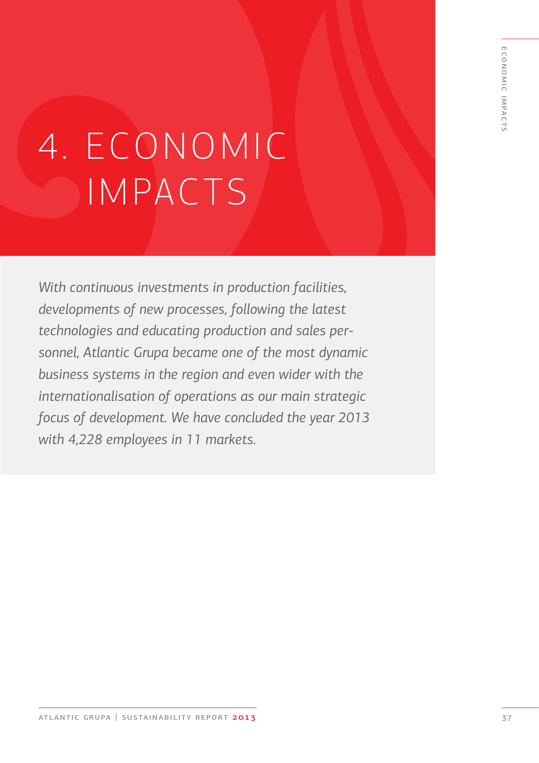# 4. ECONOMIC IMPACTS

*With continuous investments in production facilities, developments of new processes, following the latest technologies and educating production and sales personnel, Atlantic Grupa became one of the most dynamic business systems in the region and even wider with the internationalisation of operations as our main strategic focus of development. We have concluded the year 2013 with 4,228 employees in 11 markets.*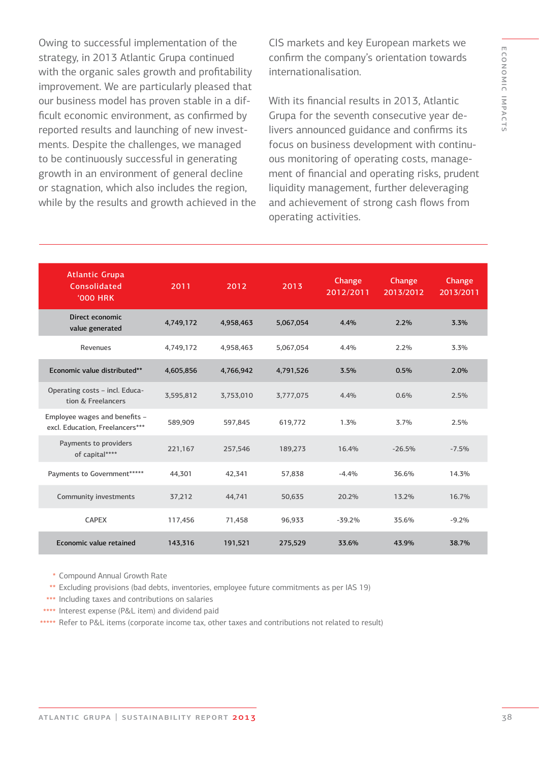Owing to successful implementation of the strategy, in 2013 Atlantic Grupa continued with the organic sales growth and profitability improvement. We are particularly pleased that our business model has proven stable in a difficult economic environment, as confirmed by reported results and launching of new investments. Despite the challenges, we managed to be continuously successful in generating growth in an environment of general decline or stagnation, which also includes the region, while by the results and growth achieved in the CIS markets and key European markets we confirm the company's orientation towards internationalisation.

With its financial results in 2013, Atlantic Grupa for the seventh consecutive year delivers announced guidance and confirms its focus on business development with continuous monitoring of operating costs, management of financial and operating risks, prudent liquidity management, further deleveraging and achievement of strong cash flows from operating activities.

| <b>Atlantic Grupa</b><br>Consolidated<br><b>'000 HRK</b>         | 2011      | 2012      | 2013      | Change<br>2012/2011 | Change<br>2013/2012 | Change<br>2013/2011 |
|------------------------------------------------------------------|-----------|-----------|-----------|---------------------|---------------------|---------------------|
| Direct economic<br>value generated                               | 4,749,172 | 4,958,463 | 5,067,054 | 4.4%                | 2.2%                | 3.3%                |
| Revenues                                                         | 4,749,172 | 4,958,463 | 5,067,054 | 4.4%                | 2.2%                | 3.3%                |
| Economic value distributed**                                     | 4,605,856 | 4,766,942 | 4,791,526 | 3.5%                | 0.5%                | 2.0%                |
| Operating costs - incl. Educa-<br>tion & Freelancers             | 3,595,812 | 3,753,010 | 3,777,075 | 4.4%                | 0.6%                | 2.5%                |
| Employee wages and benefits -<br>excl. Education, Freelancers*** | 589,909   | 597,845   | 619,772   | 1.3%                | 3.7%                | 2.5%                |
| Payments to providers<br>of capital****                          | 221,167   | 257,546   | 189,273   | 16.4%               | $-26.5%$            | $-7.5%$             |
| Payments to Government******                                     | 44,301    | 42,341    | 57,838    | $-4.4%$             | 36.6%               | 14.3%               |
| Community investments                                            | 37,212    | 44,741    | 50,635    | 20.2%               | 13.2%               | 16.7%               |
| <b>CAPEX</b>                                                     | 117,456   | 71,458    | 96,933    | $-39.2%$            | 35.6%               | $-9.2%$             |
| Economic value retained                                          | 143,316   | 191,521   | 275,529   | 33.6%               | 43.9%               | 38.7%               |

- Compound Annual Growth Rate \*
- Excluding provisions (bad debts, inventories, employee future commitments as per IAS 19) \*\*
- \*\*\* Including taxes and contributions on salaries
- \*\*\*\* Interest expense (P&L item) and dividend paid
- Refer to P&L items (corporate income tax, other taxes and contributions not related to result) \*\*\*\*\*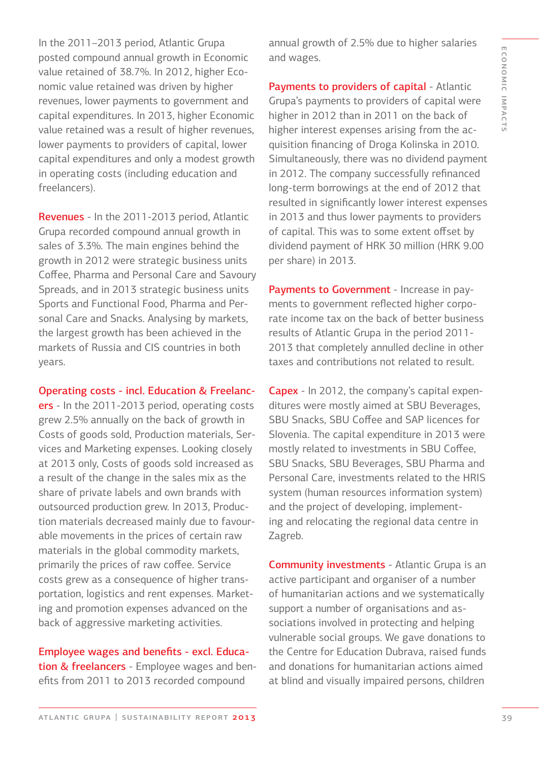In the 2011–2013 period, Atlantic Grupa posted compound annual growth in Economic value retained of 38.7%. In 2012, higher Economic value retained was driven by higher revenues, lower payments to government and capital expenditures. In 2013, higher Economic value retained was a result of higher revenues, lower payments to providers of capital, lower capital expenditures and only a modest growth in operating costs (including education and freelancers).

Revenues - In the 2011-2013 period, Atlantic Grupa recorded compound annual growth in sales of 3.3%. The main engines behind the growth in 2012 were strategic business units Coffee, Pharma and Personal Care and Savoury Spreads, and in 2013 strategic business units Sports and Functional Food, Pharma and Personal Care and Snacks. Analysing by markets, the largest growth has been achieved in the markets of Russia and CIS countries in both years.

Operating costs - incl. Education & Freelanc-

ers - In the 2011-2013 period, operating costs grew 2.5% annually on the back of growth in Costs of goods sold, Production materials, Services and Marketing expenses. Looking closely at 2013 only, Costs of goods sold increased as a result of the change in the sales mix as the share of private labels and own brands with outsourced production grew. In 2013, Production materials decreased mainly due to favourable movements in the prices of certain raw materials in the global commodity markets, primarily the prices of raw coffee. Service costs grew as a consequence of higher transportation, logistics and rent expenses. Marketing and promotion expenses advanced on the back of aggressive marketing activities.

Employee wages and benefits - excl. Education & freelancers - Employee wages and benefits from 2011 to 2013 recorded compound

annual growth of 2.5% due to higher salaries and wages.

Payments to providers of capital - Atlantic Grupa's payments to providers of capital were higher in 2012 than in 2011 on the back of higher interest expenses arising from the acquisition financing of Droga Kolinska in 2010. Simultaneously, there was no dividend payment in 2012. The company successfully refinanced long-term borrowings at the end of 2012 that resulted in significantly lower interest expenses in 2013 and thus lower payments to providers of capital. This was to some extent offset by dividend payment of HRK 30 million (HRK 9.00 per share) in 2013.

Payments to Government - Increase in payments to government reflected higher corporate income tax on the back of better business results of Atlantic Grupa in the period 2011- 2013 that completely annulled decline in other taxes and contributions not related to result.

Capex - In 2012, the company's capital expenditures were mostly aimed at SBU Beverages, SBU Snacks, SBU Coffee and SAP licences for Slovenia. The capital expenditure in 2013 were mostly related to investments in SBU Coffee, SBU Snacks, SBU Beverages, SBU Pharma and Personal Care, investments related to the HRIS system (human resources information system) and the project of developing, implementing and relocating the regional data centre in Zagreb.

Community investments - Atlantic Grupa is an active participant and organiser of a number of humanitarian actions and we systematically support a number of organisations and associations involved in protecting and helping vulnerable social groups. We gave donations to the Centre for Education Dubrava, raised funds and donations for humanitarian actions aimed at blind and visually impaired persons, children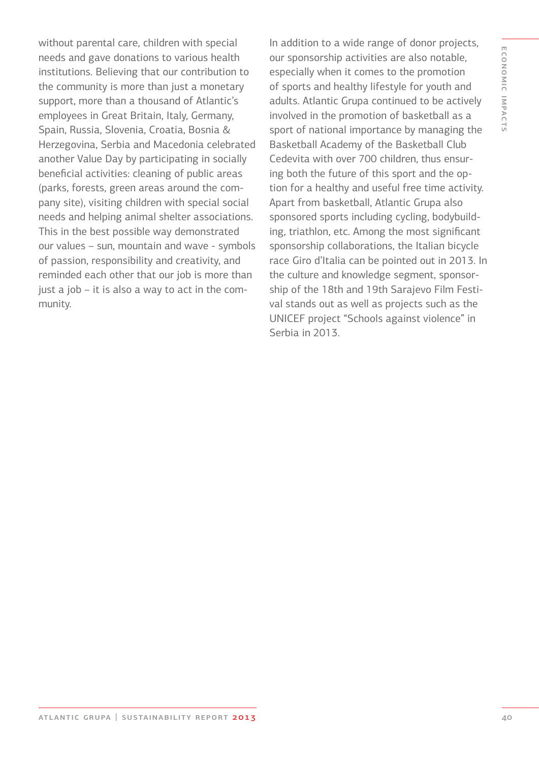without parental care, children with special needs and gave donations to various health institutions. Believing that our contribution to the community is more than just a monetary support, more than a thousand of Atlantic's employees in Great Britain, Italy, Germany, Spain, Russia, Slovenia, Croatia, Bosnia & Herzegovina, Serbia and Macedonia celebrated another Value Day by participating in socially beneficial activities: cleaning of public areas (parks, forests, green areas around the company site), visiting children with special social needs and helping animal shelter associations. This in the best possible way demonstrated our values – sun, mountain and wave - symbols of passion, responsibility and creativity, and reminded each other that our job is more than just a job – it is also a way to act in the community.

In addition to a wide range of donor projects, our sponsorship activities are also notable, especially when it comes to the promotion of sports and healthy lifestyle for youth and adults. Atlantic Grupa continued to be actively involved in the promotion of basketball as a sport of national importance by managing the Basketball Academy of the Basketball Club Cedevita with over 700 children, thus ensuring both the future of this sport and the option for a healthy and useful free time activity. Apart from basketball, Atlantic Grupa also sponsored sports including cycling, bodybuilding, triathlon, etc. Among the most significant sponsorship collaborations, the Italian bicycle race Giro d'Italia can be pointed out in 2013. In the culture and knowledge segment, sponsorship of the 18th and 19th Sarajevo Film Festival stands out as well as projects such as the UNICEF project "Schools against violence" in Serbia in 2013.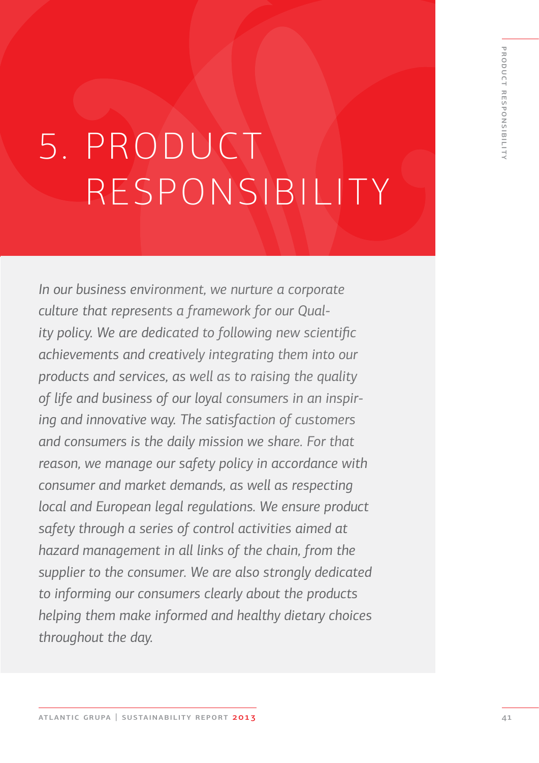# 5. PRODUCT RESPONSIBILITY

*In our business environment, we nurture a corporate culture that represents a framework for our Quality policy. We are dedicated to following new scientific achievements and creatively integrating them into our products and services, as well as to raising the quality of life and business of our loyal consumers in an inspiring and innovative way. The satisfaction of customers and consumers is the daily mission we share. For that reason, we manage our safety policy in accordance with consumer and market demands, as well as respecting local and European legal regulations. We ensure product safety through a series of control activities aimed at hazard management in all links of the chain, from the supplier to the consumer. We are also strongly dedicated to informing our consumers clearly about the products helping them make informed and healthy dietary choices throughout the day.*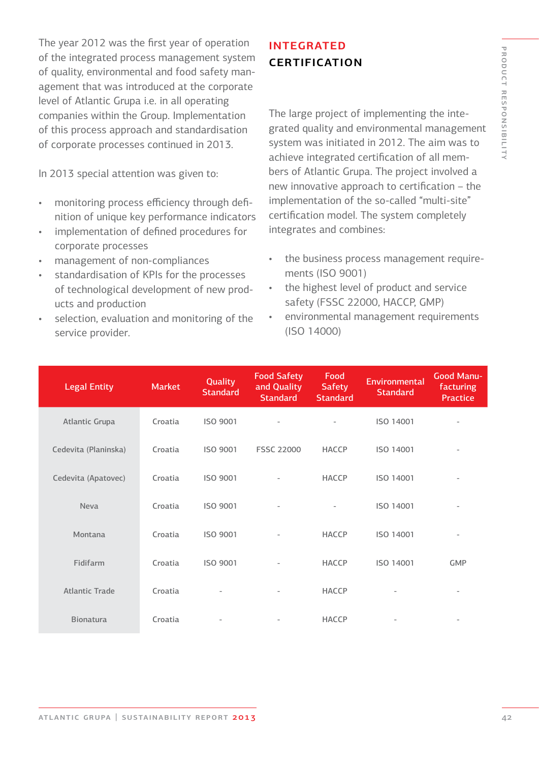The year 2012 was the first year of operation of the integrated process management system of quality, environmental and food safety management that was introduced at the corporate level of Atlantic Grupa i.e. in all operating companies within the Group. Implementation of this process approach and standardisation of corporate processes continued in 2013.

In 2013 special attention was given to:

- monitoring process efficiency through definition of unique key performance indicators
- implementation of defined procedures for corporate processes
- management of non-compliances
- standardisation of KPIs for the processes of technological development of new products and production
- selection, evaluation and monitoring of the service provider.

### **INTEGRATED CERTIFICATION**

The large project of implementing the integrated quality and environmental management system was initiated in 2012. The aim was to achieve integrated certification of all members of Atlantic Grupa. The project involved a new innovative approach to certification – the implementation of the so-called "multi-site" certification model. The system completely integrates and combines:

- the business process management requirements (ISO 9001)
- the highest level of product and service safety (FSSC 22000, HACCP, GMP)
- environmental management requirements (ISO 14000)

| <b>Legal Entity</b>  | <b>Market</b> | Quality<br><b>Standard</b> | <b>Food Safety</b><br>and Quality<br><b>Standard</b> | Food<br><b>Safety</b><br><b>Standard</b> | Environmental<br><b>Standard</b> | <b>Good Manu-</b><br>facturing<br>Practice |
|----------------------|---------------|----------------------------|------------------------------------------------------|------------------------------------------|----------------------------------|--------------------------------------------|
| Atlantic Grupa       | Croatia       | ISO 9001                   |                                                      |                                          | ISO 14001                        |                                            |
| Cedevita (Planinska) | Croatia       | ISO 9001                   | <b>FSSC 22000</b>                                    | HACCP                                    | ISO 14001                        |                                            |
| Cedevita (Apatovec)  | Croatia       | ISO 9001                   | $\overline{\phantom{0}}$                             | HACCP                                    | ISO 14001                        |                                            |
| <b>Neva</b>          | Croatia       | ISO 9001                   |                                                      | $\overline{\phantom{0}}$                 | ISO 14001                        |                                            |
| Montana              | Croatia       | ISO 9001                   | $\overline{\phantom{0}}$                             | <b>HACCP</b>                             | ISO 14001                        | $\overline{a}$                             |
| Fidifarm             | Croatia       | ISO 9001                   | $\overline{\phantom{0}}$                             | <b>HACCP</b>                             | ISO 14001                        | <b>GMP</b>                                 |
| Atlantic Trade       | Croatia       |                            | $\overline{\phantom{0}}$                             | <b>HACCP</b>                             |                                  |                                            |
| <b>Bionatura</b>     | Croatia       | $\qquad \qquad -$          |                                                      | <b>HACCP</b>                             | $\overline{\phantom{a}}$         |                                            |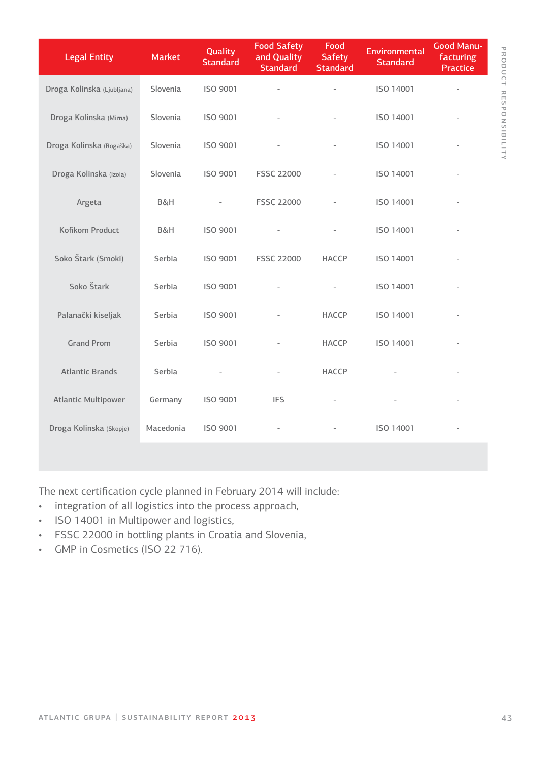| <b>Legal Entity</b>        | <b>Market</b> | Quality<br><b>Standard</b> | <b>Food Safety</b><br>and Quality<br><b>Standard</b> | Food<br><b>Safety</b><br><b>Standard</b> | Environmental<br><b>Standard</b> | <b>Good Manu-</b><br>facturing<br>Practice |
|----------------------------|---------------|----------------------------|------------------------------------------------------|------------------------------------------|----------------------------------|--------------------------------------------|
| Droga Kolinska (Ljubljana) | Slovenia      | ISO 9001                   |                                                      |                                          | ISO 14001                        |                                            |
| Droga Kolinska (Mirna)     | Slovenia      | ISO 9001                   |                                                      |                                          | ISO 14001                        |                                            |
| Droga Kolinska (Rogaška)   | Slovenia      | ISO 9001                   |                                                      |                                          | ISO 14001                        |                                            |
| Droga Kolinska (Izola)     | Slovenia      | ISO 9001                   | <b>FSSC 22000</b>                                    |                                          | ISO 14001                        | $\overline{\phantom{0}}$                   |
| Argeta                     | B&H           |                            | <b>FSSC 22000</b>                                    |                                          | ISO 14001                        |                                            |
| Kofikom Product            | B&H           | ISO 9001                   |                                                      |                                          | ISO 14001                        |                                            |
| Soko Štark (Smoki)         | Serbia        | ISO 9001                   | <b>FSSC 22000</b>                                    | <b>HACCP</b>                             | ISO 14001                        |                                            |
| Soko Štark                 | Serbia        | ISO 9001                   |                                                      |                                          | ISO 14001                        |                                            |
| Palanački kiseljak         | Serbia        | ISO 9001                   |                                                      | <b>HACCP</b>                             | ISO 14001                        |                                            |
| <b>Grand Prom</b>          | Serbia        | ISO 9001                   |                                                      | <b>HACCP</b>                             | ISO 14001                        |                                            |
| <b>Atlantic Brands</b>     | Serbia        |                            | $\overline{\phantom{a}}$                             | <b>HACCP</b>                             |                                  |                                            |
| <b>Atlantic Multipower</b> | Germany       | ISO 9001                   | <b>IFS</b>                                           |                                          |                                  |                                            |
| Droga Kolinska (Skopje)    | Macedonia     | ISO 9001                   |                                                      |                                          | ISO 14001                        |                                            |

The next certification cycle planned in February 2014 will include:

- integration of all logistics into the process approach,
- ISO 14001 in Multipower and logistics,
- FSSC 22000 in bottling plants in Croatia and Slovenia,
- GMP in Cosmetics (ISO 22 716).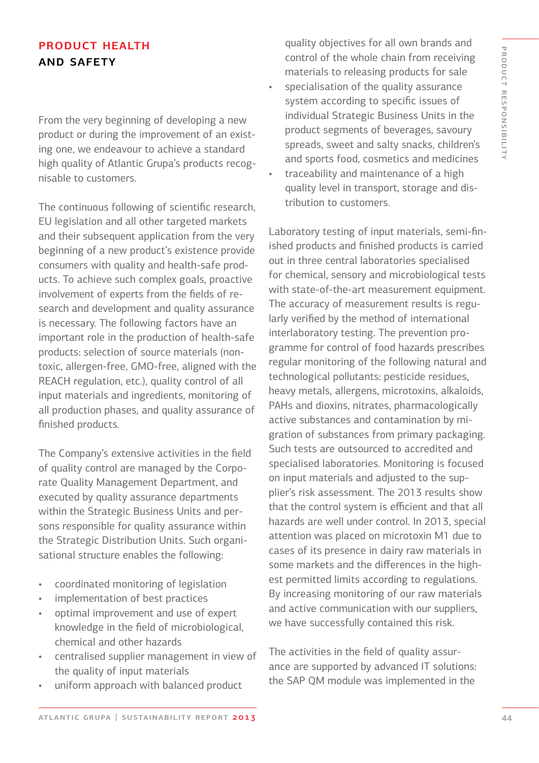## product health and safety

From the very beginning of developing a new product or during the improvement of an existing one, we endeavour to achieve a standard high quality of Atlantic Grupa's products recognisable to customers.

The continuous following of scientific research, EU legislation and all other targeted markets and their subsequent application from the very beginning of a new product's existence provide consumers with quality and health-safe products. To achieve such complex goals, proactive involvement of experts from the fields of research and development and quality assurance is necessary. The following factors have an important role in the production of health-safe products: selection of source materials (nontoxic, allergen-free, GMO-free, aligned with the REACH regulation, etc.), quality control of all input materials and ingredients, monitoring of all production phases, and quality assurance of finished products.

The Company's extensive activities in the field of quality control are managed by the Corporate Quality Management Department, and executed by quality assurance departments within the Strategic Business Units and persons responsible for quality assurance within the Strategic Distribution Units. Such organisational structure enables the following:

- coordinated monitoring of legislation
- implementation of best practices
- optimal improvement and use of expert knowledge in the field of microbiological, chemical and other hazards
- centralised supplier management in view of the quality of input materials
- uniform approach with balanced product

quality objectives for all own brands and control of the whole chain from receiving materials to releasing products for sale

- specialisation of the quality assurance system according to specific issues of individual Strategic Business Units in the product segments of beverages, savoury spreads, sweet and salty snacks, children's and sports food, cosmetics and medicines
- traceability and maintenance of a high quality level in transport, storage and distribution to customers.

Laboratory testing of input materials, semi-finished products and finished products is carried out in three central laboratories specialised for chemical, sensory and microbiological tests with state-of-the-art measurement equipment. The accuracy of measurement results is regularly verified by the method of international interlaboratory testing. The prevention programme for control of food hazards prescribes regular monitoring of the following natural and technological pollutants: pesticide residues, heavy metals, allergens, microtoxins, alkaloids, PAHs and dioxins, nitrates, pharmacologically active substances and contamination by migration of substances from primary packaging. Such tests are outsourced to accredited and specialised laboratories. Monitoring is focused on input materials and adjusted to the supplier's risk assessment. The 2013 results show that the control system is efficient and that all hazards are well under control. In 2013, special attention was placed on microtoxin M1 due to cases of its presence in dairy raw materials in some markets and the differences in the highest permitted limits according to regulations. By increasing monitoring of our raw materials and active communication with our suppliers, we have successfully contained this risk.

The activities in the field of quality assurance are supported by advanced IT solutions: the SAP QM module was implemented in the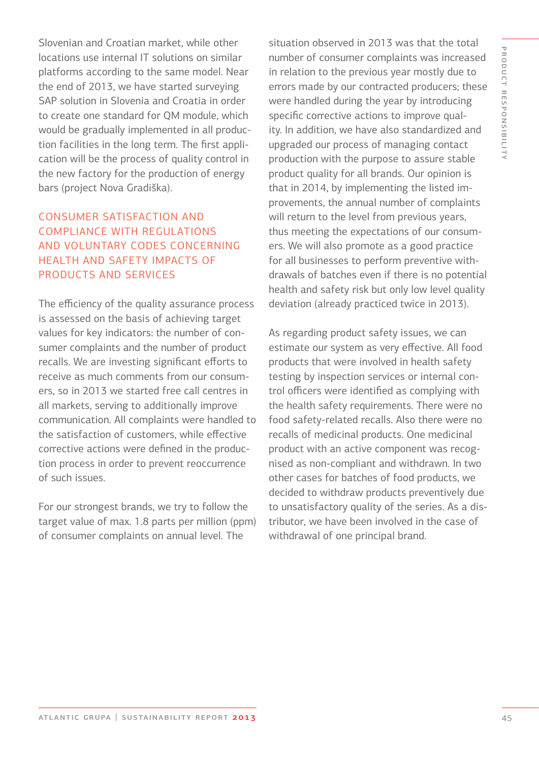Slovenian and Croatian market, while other locations use internal IT solutions on similar platforms according to the same model. Near the end of 2013, we have started surveying SAP solution in Slovenia and Croatia in order to create one standard for QM module, which would be gradually implemented in all production facilities in the long term. The first application will be the process of quality control in the new factory for the production of energy bars (project Nova Gradiška).

### consumer satisfaction and compliance with regulations and voluntary codes concerning health and safety impacts of products and services

The efficiency of the quality assurance process is assessed on the basis of achieving target values for key indicators: the number of consumer complaints and the number of product recalls. We are investing significant efforts to receive as much comments from our consumers, so in 2013 we started free call centres in all markets, serving to additionally improve communication. All complaints were handled to the satisfaction of customers, while effective corrective actions were defined in the production process in order to prevent reoccurrence of such issues.

For our strongest brands, we try to follow the target value of max. 1.8 parts per million (ppm) of consumer complaints on annual level. The

situation observed in 2013 was that the total number of consumer complaints was increased in relation to the previous year mostly due to errors made by our contracted producers; these were handled during the year by introducing specific corrective actions to improve quality. In addition, we have also standardized and upgraded our process of managing contact production with the purpose to assure stable product quality for all brands. Our opinion is that in 2014, by implementing the listed improvements, the annual number of complaints will return to the level from previous years, thus meeting the expectations of our consumers. We will also promote as a good practice for all businesses to perform preventive withdrawals of batches even if there is no potential health and safety risk but only low level quality deviation (already practiced twice in 2013).

As regarding product safety issues, we can estimate our system as very effective. All food products that were involved in health safety testing by inspection services or internal control officers were identified as complying with the health safety requirements. There were no food safety-related recalls. Also there were no recalls of medicinal products. One medicinal product with an active component was recognised as non-compliant and withdrawn. In two other cases for batches of food products, we decided to withdraw products preventively due to unsatisfactory quality of the series. As a distributor, we have been involved in the case of withdrawal of one principal brand.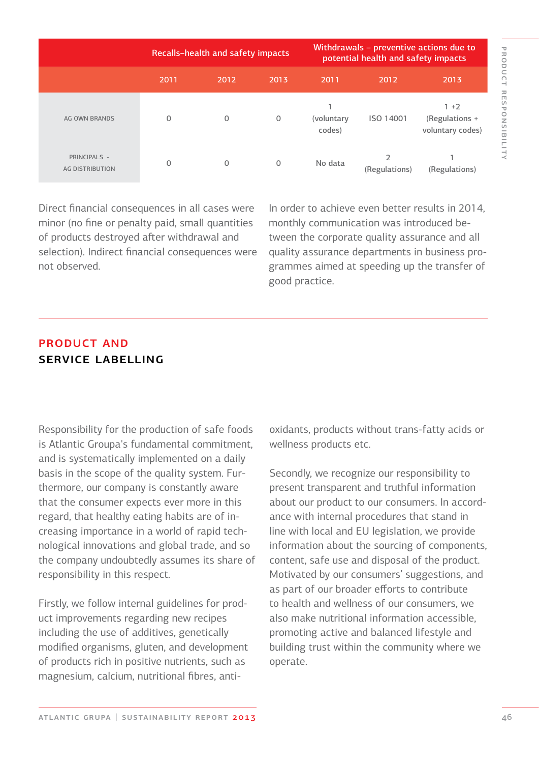|                                        | <b>Recalls-health and safety impacts</b> |              |      | Withdrawals - preventive actions due to<br>potential health and safety impacts |                                 |                                               |  |
|----------------------------------------|------------------------------------------|--------------|------|--------------------------------------------------------------------------------|---------------------------------|-----------------------------------------------|--|
|                                        | 2011                                     | 2012         | 2013 | 2011                                                                           | 2012                            | 2013                                          |  |
| <b>AG OWN BRANDS</b>                   | $\mathbf{O}$                             | $\mathbf{0}$ | 0    | (voluntary<br>codes)                                                           | ISO 14001                       | $1 + 2$<br>(Regulations +<br>voluntary codes) |  |
| PRINCIPALS -<br><b>AG DISTRIBUTION</b> | $\Omega$                                 | 0            | 0    | No data                                                                        | $\overline{2}$<br>(Regulations) | (Regulations)                                 |  |

Direct financial consequences in all cases were minor (no fine or penalty paid, small quantities of products destroyed after withdrawal and selection). Indirect financial consequences were not observed.

In order to achieve even better results in 2014, monthly communication was introduced between the corporate quality assurance and all quality assurance departments in business programmes aimed at speeding up the transfer of good practice.

### product and service labelling

Responsibility for the production of safe foods is Atlantic Groupa's fundamental commitment, and is systematically implemented on a daily basis in the scope of the quality system. Furthermore, our company is constantly aware that the consumer expects ever more in this regard, that healthy eating habits are of increasing importance in a world of rapid technological innovations and global trade, and so the company undoubtedly assumes its share of responsibility in this respect.

Firstly, we follow internal guidelines for product improvements regarding new recipes including the use of additives, genetically modified organisms, gluten, and development of products rich in positive nutrients, such as magnesium, calcium, nutritional fibres, antioxidants, products without trans-fatty acids or wellness products etc.

Secondly, we recognize our responsibility to present transparent and truthful information about our product to our consumers. In accordance with internal procedures that stand in line with local and EU legislation, we provide information about the sourcing of components, content, safe use and disposal of the product. Motivated by our consumers' suggestions, and as part of our broader efforts to contribute to health and wellness of our consumers, we also make nutritional information accessible, promoting active and balanced lifestyle and building trust within the community where we operate.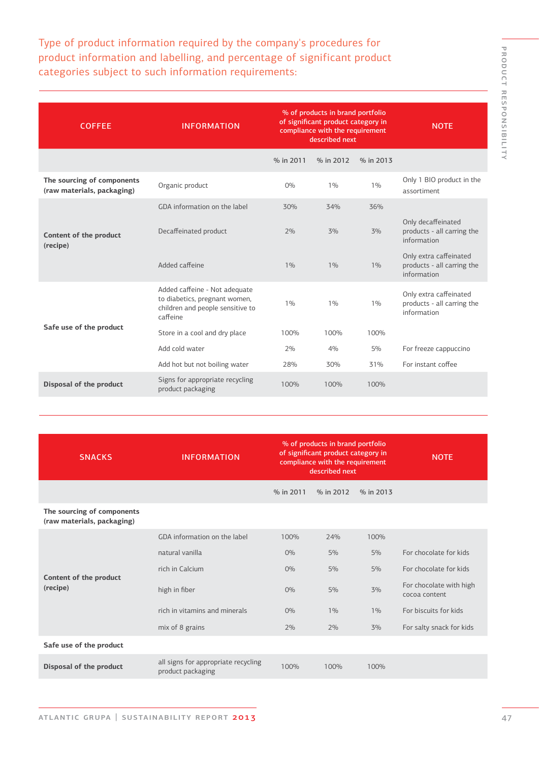PRODUCT RESPONSIBILITY product responsibility

Type of product information required by the company's procedures for product information and labelling, and percentage of significant product categories subject to such information requirements:

| <b>COFFEE</b>                                            | <b>INFORMATION</b>                                                                                             | % of products in brand portfolio<br>of significant product category in<br>compliance with the requirement<br>described next |           |           | <b>NOTE</b>                                                         |
|----------------------------------------------------------|----------------------------------------------------------------------------------------------------------------|-----------------------------------------------------------------------------------------------------------------------------|-----------|-----------|---------------------------------------------------------------------|
|                                                          |                                                                                                                | % in 2011                                                                                                                   | % in 2012 | % in 2013 |                                                                     |
| The sourcing of components<br>(raw materials, packaging) | Organic product                                                                                                | 0%                                                                                                                          | 1%        | 1%        | Only 1 BIO product in the<br>assortiment                            |
|                                                          | GDA information on the label                                                                                   | 30%                                                                                                                         | 34%       | 36%       |                                                                     |
| Content of the product<br>(recipe)                       | Decaffeinated product                                                                                          | 2%                                                                                                                          | 3%        | 3%        | Only decaffeinated<br>products - all carring the<br>information     |
|                                                          | Added caffeine                                                                                                 | 1%                                                                                                                          | 1%        | 1%        | Only extra caffeinated<br>products - all carring the<br>information |
|                                                          | Added caffeine - Not adequate<br>to diabetics, pregnant women,<br>children and people sensitive to<br>caffeine | 1%                                                                                                                          | 1%        | 1%        | Only extra caffeinated<br>products - all carring the<br>information |
| Safe use of the product                                  | Store in a cool and dry place                                                                                  | 100%                                                                                                                        | 100%      | 100%      |                                                                     |
|                                                          | Add cold water                                                                                                 | 2%                                                                                                                          | 4%        | 5%        | For freeze cappuccino                                               |
|                                                          | Add hot but not boiling water                                                                                  | 28%                                                                                                                         | 30%       | 31%       | For instant coffee                                                  |
| Disposal of the product                                  | Signs for appropriate recycling<br>product packaging                                                           | 100%                                                                                                                        | 100%      | 100%      |                                                                     |
|                                                          |                                                                                                                |                                                                                                                             |           |           |                                                                     |

| <b>SNACKS</b>                                            | <b>INFORMATION</b>                                       | % of products in brand portfolio<br>of significant product category in<br>compliance with the requirement<br>described next |           |           |                                          |
|----------------------------------------------------------|----------------------------------------------------------|-----------------------------------------------------------------------------------------------------------------------------|-----------|-----------|------------------------------------------|
|                                                          |                                                          | % in 2011                                                                                                                   | % in 2012 | % in 2013 |                                          |
| The sourcing of components<br>(raw materials, packaging) |                                                          |                                                                                                                             |           |           |                                          |
|                                                          | GDA information on the label                             | 100%                                                                                                                        | 24%       | 100%      |                                          |
|                                                          | natural vanilla                                          | $O\%$                                                                                                                       | 5%        | 5%        | For chocolate for kids                   |
|                                                          | rich in Calcium                                          | $O\%$                                                                                                                       | 5%        | 5%        | For chocolate for kids                   |
| Content of the product<br>(recipe)                       | high in fiber                                            | $O\%$                                                                                                                       | 5%        | 3%        | For chocolate with high<br>cocoa content |
|                                                          | rich in vitamins and minerals                            | $O\%$                                                                                                                       | 1%        | 1%        | For biscuits for kids                    |
|                                                          | mix of 8 grains                                          | 2%                                                                                                                          | 2%        | 3%        | For salty snack for kids                 |
| Safe use of the product                                  |                                                          |                                                                                                                             |           |           |                                          |
| Disposal of the product                                  | all signs for appropriate recycling<br>product packaging | 100%                                                                                                                        | 100%      | 100%      |                                          |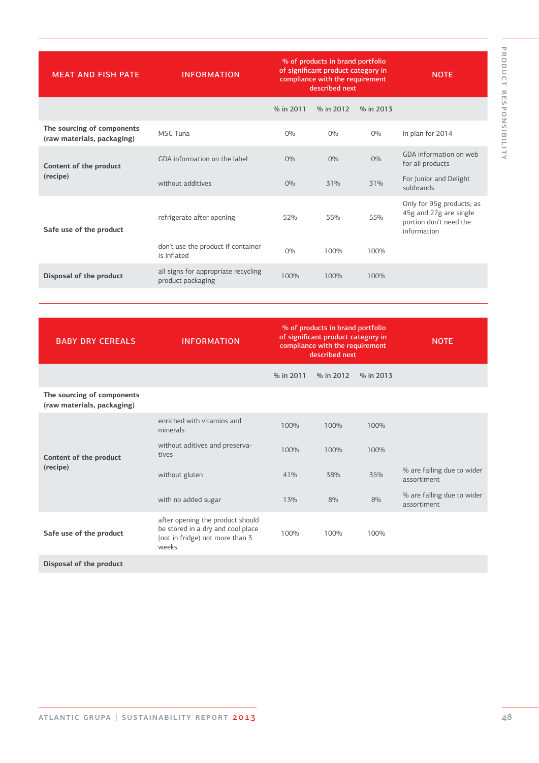| <b>MEAT AND FISH PATE</b>                                | <b>INFORMATION</b>                                       | % of products in brand portfolio<br>of significant product category in<br>compliance with the requirement<br>described next |           | <b>NOTE</b> |                                                                                              |
|----------------------------------------------------------|----------------------------------------------------------|-----------------------------------------------------------------------------------------------------------------------------|-----------|-------------|----------------------------------------------------------------------------------------------|
|                                                          |                                                          | % in 2011                                                                                                                   | % in 2012 | % in 2013   |                                                                                              |
| The sourcing of components<br>(raw materials, packaging) | MSC Tuna                                                 | 0%                                                                                                                          | $O\%$     | $O\%$       | In plan for 2014                                                                             |
| Content of the product                                   | GDA information on the label                             | $O\%$                                                                                                                       | $O\%$     | $O\%$       | GDA information on web<br>for all products                                                   |
| (recipe)                                                 | without additives                                        | $O\%$                                                                                                                       | 31%       | 31%         | For Junior and Delight<br>subbrands                                                          |
| Safe use of the product                                  | refrigerate after opening                                | 52%                                                                                                                         | 55%       | 55%         | Only for 95g products; as<br>45g and 27g are single<br>portion don't need the<br>information |
|                                                          | don't use the product if container<br>is inflated        | 0%                                                                                                                          | 100%      | 100%        |                                                                                              |
| Disposal of the product                                  | all signs for appropriate recycling<br>product packaging | 100%                                                                                                                        | 100%      | 100%        |                                                                                              |

| <b>BABY DRY CEREALS</b>                                  | <b>INFORMATION</b>                                                                                                | % of products in brand portfolio<br>of significant product category in<br>compliance with the requirement<br>described next |           |           | <b>NOTE</b>                               |
|----------------------------------------------------------|-------------------------------------------------------------------------------------------------------------------|-----------------------------------------------------------------------------------------------------------------------------|-----------|-----------|-------------------------------------------|
|                                                          |                                                                                                                   | % in 2011                                                                                                                   | % in 2012 | % in 2013 |                                           |
| The sourcing of components<br>(raw materials, packaging) |                                                                                                                   |                                                                                                                             |           |           |                                           |
| Content of the product                                   | enriched with vitamins and<br>minerals                                                                            | 100%                                                                                                                        | 100%      | 100%      |                                           |
|                                                          | without aditives and preserva-<br>tives                                                                           | 100%                                                                                                                        | 100%      | 100%      |                                           |
| (recipe)                                                 | without gluten                                                                                                    | 41%                                                                                                                         | 38%       | 35%       | % are falling due to wider<br>assortiment |
|                                                          | with no added sugar                                                                                               | 13%                                                                                                                         | 8%        | 8%        | % are falling due to wider<br>assortiment |
| Safe use of the product                                  | after opening the product should<br>be stored in a dry and cool place<br>(not in fridge) not more than 3<br>weeks | 100%                                                                                                                        | 100%      | 100%      |                                           |
| Disposal of the product                                  |                                                                                                                   |                                                                                                                             |           |           |                                           |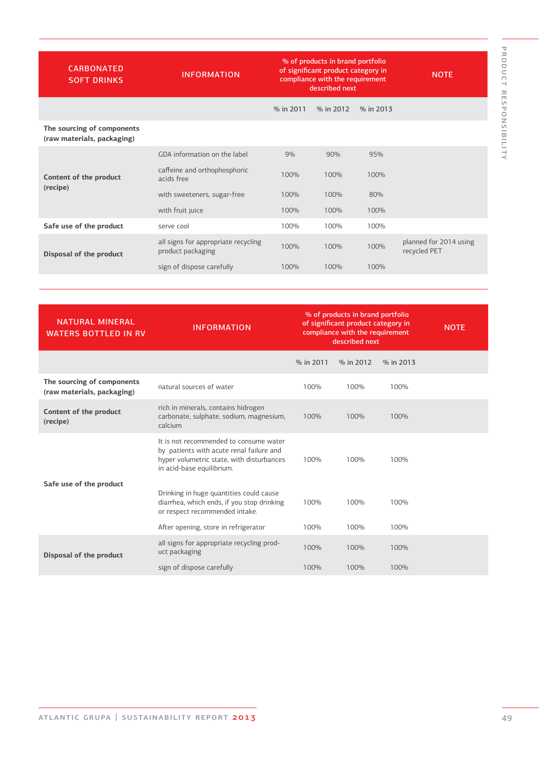| <b>CARBONATED</b><br><b>SOFT DRINKS</b>                  | <b>INFORMATION</b>                                       |           | % of products in brand portfolio<br>of significant product category in<br>compliance with the requirement<br>described next | <b>NOTE</b> |                                        |
|----------------------------------------------------------|----------------------------------------------------------|-----------|-----------------------------------------------------------------------------------------------------------------------------|-------------|----------------------------------------|
|                                                          |                                                          | % in 2011 | % in 2012                                                                                                                   | % in 2013   |                                        |
| The sourcing of components<br>(raw materials, packaging) |                                                          |           |                                                                                                                             |             |                                        |
|                                                          | GDA information on the label                             | 9%        | 90%                                                                                                                         | 95%         |                                        |
| Content of the product<br>(recipe)                       | caffeine and orthophosphoric<br>acids free               | 100%      | 100%                                                                                                                        | 100%        |                                        |
|                                                          | with sweeteners, sugar-free                              | 100%      | 100%                                                                                                                        | 80%         |                                        |
|                                                          | with fruit juice                                         | 100%      | 100%                                                                                                                        | 100%        |                                        |
| Safe use of the product                                  | serve cool                                               | 100%      | 100%                                                                                                                        | 100%        |                                        |
| Disposal of the product                                  | all signs for appropriate recycling<br>product packaging | 100%      | 100%                                                                                                                        | 100%        | planned for 2014 using<br>recycled PET |
|                                                          | sign of dispose carefully                                | 100%      | 100%                                                                                                                        | 100%        |                                        |

| <b>NATURAL MINERAL</b><br><b>WATERS BOTTLED IN RV</b>    | <b>INFORMATION</b>                                                                                                                                           | % of products in brand portfolio<br>of significant product category in<br>compliance with the requirement<br>described next |           |           | <b>NOTE</b> |
|----------------------------------------------------------|--------------------------------------------------------------------------------------------------------------------------------------------------------------|-----------------------------------------------------------------------------------------------------------------------------|-----------|-----------|-------------|
|                                                          |                                                                                                                                                              | % in 2011                                                                                                                   | % in 2012 | % in 2013 |             |
| The sourcing of components<br>(raw materials, packaging) | natural sources of water                                                                                                                                     | 100%                                                                                                                        | 100%      | 100%      |             |
| Content of the product<br>(recipe)                       | rich in minerals, contains hidrogen<br>carbonate, sulphate, sodium, magnesium,<br>calcium                                                                    | 100%                                                                                                                        | 100%      | 100%      |             |
|                                                          | It is not recommended to consume water<br>by patients with acute renal failure and<br>hyper volumetric state, with disturbances<br>in acid-base equilibrium. | 100%                                                                                                                        | 100%      | 100%      |             |
| Safe use of the product                                  | Drinking in huge quantities could cause<br>diarrhea, which ends, if you stop drinking<br>or respect recommended intake.                                      | 100%                                                                                                                        | 100%      | 100%      |             |
|                                                          | After opening, store in refrigerator                                                                                                                         | 100%                                                                                                                        | 100%      | 100%      |             |
| Disposal of the product                                  | all signs for appropriate recycling prod-<br>uct packaging                                                                                                   | 100%                                                                                                                        | 100%      | 100%      |             |
|                                                          | sign of dispose carefully                                                                                                                                    | 100%                                                                                                                        | 100%      | 100%      |             |

product responsibility

PRODUCT RESPONSIBILITY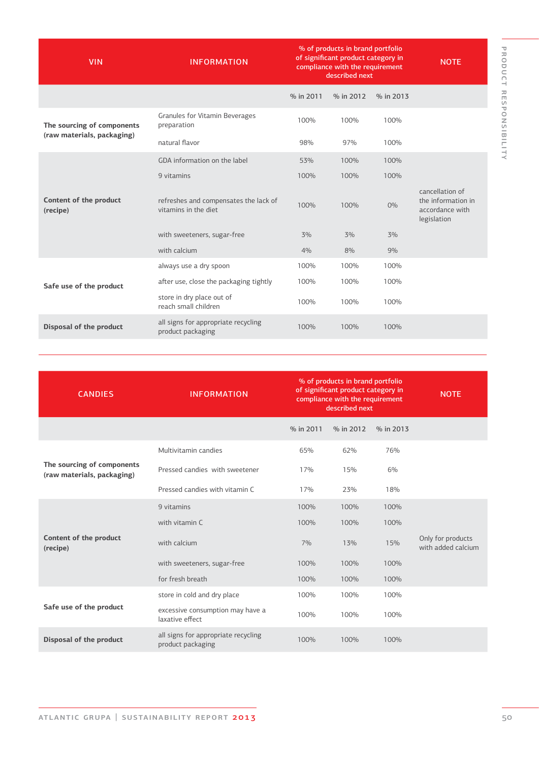| <b>VIN</b>                         | <b>INFORMATION</b>                                            | % of products in brand portfolio<br>of significant product category in<br>compliance with the requirement<br>described next |           | <b>NOTE</b> |                                                                         |
|------------------------------------|---------------------------------------------------------------|-----------------------------------------------------------------------------------------------------------------------------|-----------|-------------|-------------------------------------------------------------------------|
|                                    |                                                               | % in 2011                                                                                                                   | % in 2012 | % in 2013   |                                                                         |
| The sourcing of components         | Granules for Vitamin Beverages<br>preparation                 | 100%                                                                                                                        | 100%      | 100%        |                                                                         |
| (raw materials, packaging)         | natural flavor                                                | 98%                                                                                                                         | 97%       | 100%        |                                                                         |
|                                    | GDA information on the label                                  | 53%                                                                                                                         | 100%      | 100%        |                                                                         |
|                                    | 9 vitamins                                                    | 100%                                                                                                                        | 100%      | 100%        |                                                                         |
| Content of the product<br>(recipe) | refreshes and compensates the lack of<br>vitamins in the diet | 100%                                                                                                                        | 100%      | $O\%$       | cancellation of<br>the information in<br>accordance with<br>legislation |
|                                    | with sweeteners, sugar-free                                   | 3%                                                                                                                          | 3%        | 3%          |                                                                         |
|                                    | with calcium                                                  | 4%                                                                                                                          | 8%        | 9%          |                                                                         |
|                                    | always use a dry spoon                                        | 100%                                                                                                                        | 100%      | 100%        |                                                                         |
| Safe use of the product            | after use, close the packaging tightly                        | 100%                                                                                                                        | 100%      | 100%        |                                                                         |
|                                    | store in dry place out of<br>reach small children             | 100%                                                                                                                        | 100%      | 100%        |                                                                         |
| Disposal of the product            | all signs for appropriate recycling<br>product packaging      | 100%                                                                                                                        | 100%      | 100%        |                                                                         |

product responsibility

| <b>CANDIES</b>                                           | <b>INFORMATION</b>                                       | % of products in brand portfolio<br>of significant product category in<br>compliance with the requirement<br>described next |           |           | <b>NOTE</b>                             |
|----------------------------------------------------------|----------------------------------------------------------|-----------------------------------------------------------------------------------------------------------------------------|-----------|-----------|-----------------------------------------|
|                                                          |                                                          | % in 2011                                                                                                                   | % in 2012 | % in 2013 |                                         |
|                                                          | Multivitamin candies                                     | 65%                                                                                                                         | 62%       | 76%       |                                         |
| The sourcing of components<br>(raw materials, packaging) | Pressed candies with sweetener                           | 17%                                                                                                                         | 15%       | 6%        |                                         |
|                                                          | Pressed candies with vitamin C                           | 17%                                                                                                                         | 23%       | 18%       |                                         |
|                                                          | 9 vitamins                                               | 100%                                                                                                                        | 100%      | 100%      |                                         |
|                                                          | with vitamin C                                           | 100%                                                                                                                        | 100%      | 100%      |                                         |
| Content of the product<br>(recipe)                       | with calcium                                             | 7%                                                                                                                          | 13%       | 15%       | Only for products<br>with added calcium |
|                                                          | with sweeteners, sugar-free                              | 100%                                                                                                                        | 100%      | 100%      |                                         |
|                                                          | for fresh breath                                         | 100%                                                                                                                        | 100%      | 100%      |                                         |
|                                                          | store in cold and dry place                              | 100%                                                                                                                        | 100%      | 100%      |                                         |
| Safe use of the product                                  | excessive consumption may have a<br>laxative effect      | 100%                                                                                                                        | 100%      | 100%      |                                         |
| Disposal of the product                                  | all signs for appropriate recycling<br>product packaging | 100%                                                                                                                        | 100%      | 100%      |                                         |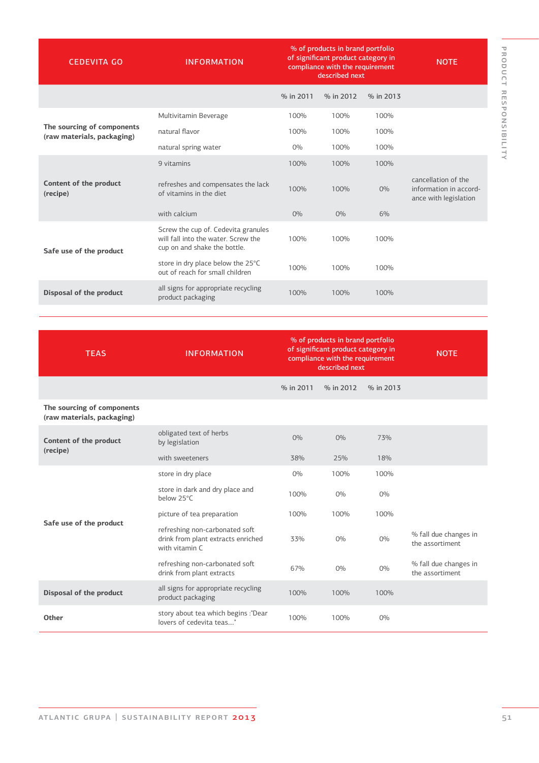| <b>CEDEVITA GO</b>                                       | <b>INFORMATION</b>                                                                                         | % of products in brand portfolio<br>of significant product category in<br>compliance with the requirement<br>described next |           |           | <b>NOTE</b>                                                            |
|----------------------------------------------------------|------------------------------------------------------------------------------------------------------------|-----------------------------------------------------------------------------------------------------------------------------|-----------|-----------|------------------------------------------------------------------------|
|                                                          |                                                                                                            | % in 2011                                                                                                                   | % in 2012 | % in 2013 |                                                                        |
|                                                          | Multivitamin Beverage                                                                                      | 100%                                                                                                                        | 100%      | 100%      |                                                                        |
| The sourcing of components<br>(raw materials, packaging) | natural flavor                                                                                             | 100%                                                                                                                        | 100%      | 100%      |                                                                        |
|                                                          | natural spring water                                                                                       | $0\%$                                                                                                                       | 100%      | 100%      |                                                                        |
|                                                          | 9 vitamins                                                                                                 | 100%                                                                                                                        | 100%      | 100%      |                                                                        |
| Content of the product<br>(recipe)                       | refreshes and compensates the lack<br>of vitamins in the diet                                              | 100%                                                                                                                        | 100%      | $O\%$     | cancellation of the<br>information in accord-<br>ance with legislation |
|                                                          | with calcium                                                                                               | $O\%$                                                                                                                       | $O\%$     | 6%        |                                                                        |
| Safe use of the product                                  | Screw the cup of. Cedevita granules<br>will fall into the water. Screw the<br>cup on and shake the bottle. | 100%                                                                                                                        | 100%      | 100%      |                                                                        |
|                                                          | store in dry place below the 25°C<br>out of reach for small children                                       | 100%                                                                                                                        | 100%      | 100%      |                                                                        |
| Disposal of the product                                  | all signs for appropriate recycling<br>product packaging                                                   | 100%                                                                                                                        | 100%      | 100%      |                                                                        |

| <b>TEAS</b>                                              | <b>INFORMATION</b>                                                                     | % of products in brand portfolio<br>of significant product category in<br>compliance with the requirement<br>described next |           | <b>NOTE</b> |                                          |
|----------------------------------------------------------|----------------------------------------------------------------------------------------|-----------------------------------------------------------------------------------------------------------------------------|-----------|-------------|------------------------------------------|
|                                                          |                                                                                        | % in 2011                                                                                                                   | % in 2012 | % in 2013   |                                          |
| The sourcing of components<br>(raw materials, packaging) |                                                                                        |                                                                                                                             |           |             |                                          |
| Content of the product                                   | obligated text of herbs<br>by legislation                                              | $O\%$                                                                                                                       | $O\%$     | 73%         |                                          |
| (recipe)                                                 | with sweeteners                                                                        | 38%                                                                                                                         | 25%       | 18%         |                                          |
|                                                          | store in dry place                                                                     | $O\%$                                                                                                                       | 100%      | 100%        |                                          |
|                                                          | store in dark and dry place and<br>below 25°C                                          | 100%                                                                                                                        | $O\%$     | $O\%$       |                                          |
|                                                          | picture of tea preparation                                                             | 100%                                                                                                                        | 100%      | 100%        |                                          |
| Safe use of the product                                  | refreshing non-carbonated soft<br>drink from plant extracts enriched<br>with vitamin C | 33%                                                                                                                         | $O\%$     | $O\%$       | % fall due changes in<br>the assortiment |
|                                                          | refreshing non-carbonated soft<br>drink from plant extracts                            | 67%                                                                                                                         | $O\%$     | $O\%$       | % fall due changes in<br>the assortiment |
| Disposal of the product                                  | all signs for appropriate recycling<br>product packaging                               | 100%                                                                                                                        | 100%      | 100%        |                                          |
| Other                                                    | story about tea which begins :"Dear<br>lovers of cedevita teas"                        | 100%                                                                                                                        | 100%      | $O\%$       |                                          |
|                                                          |                                                                                        |                                                                                                                             |           |             |                                          |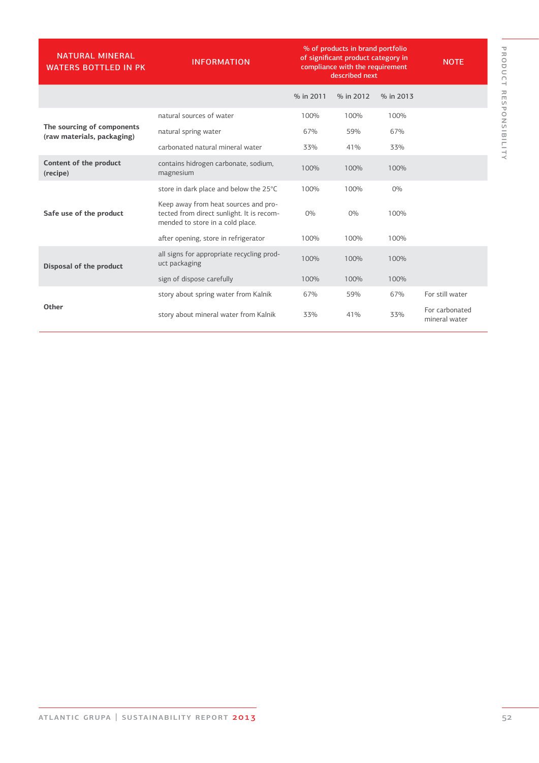| <b>NATURAL MINERAL</b><br><b>WATERS BOTTLED IN PK</b>    | <b>INFORMATION</b>                                                                                                    | % of products in brand portfolio<br>of significant product category in<br>compliance with the requirement<br>described next |           |           | <b>NOTE</b>                     |
|----------------------------------------------------------|-----------------------------------------------------------------------------------------------------------------------|-----------------------------------------------------------------------------------------------------------------------------|-----------|-----------|---------------------------------|
|                                                          |                                                                                                                       | % in 2011                                                                                                                   | % in 2012 | % in 2013 |                                 |
|                                                          | natural sources of water                                                                                              | 100%                                                                                                                        | 100%      | 100%      |                                 |
| The sourcing of components<br>(raw materials, packaging) | natural spring water                                                                                                  | 67%                                                                                                                         | 59%       | 67%       |                                 |
|                                                          | carbonated natural mineral water                                                                                      | 33%                                                                                                                         | 41%       | 33%       |                                 |
| Content of the product<br>(recipe)                       | contains hidrogen carbonate, sodium,<br>magnesium                                                                     | 100%                                                                                                                        | 100%      | 100%      |                                 |
|                                                          | store in dark place and below the 25°C                                                                                | 100%                                                                                                                        | 100%      | $O\%$     |                                 |
| Safe use of the product                                  | Keep away from heat sources and pro-<br>tected from direct sunlight. It is recom-<br>mended to store in a cold place. | $O\%$                                                                                                                       | 0%        | 100%      |                                 |
|                                                          | after opening, store in refrigerator                                                                                  | 100%                                                                                                                        | 100%      | 100%      |                                 |
| Disposal of the product                                  | all signs for appropriate recycling prod-<br>uct packaging                                                            | 100%                                                                                                                        | 100%      | 100%      |                                 |
|                                                          | sign of dispose carefully                                                                                             | 100%                                                                                                                        | 100%      | 100%      |                                 |
|                                                          | story about spring water from Kalnik                                                                                  | 67%                                                                                                                         | 59%       | 67%       | For still water                 |
| Other                                                    | story about mineral water from Kalnik                                                                                 | 33%                                                                                                                         | 41%       | 33%       | For carbonated<br>mineral water |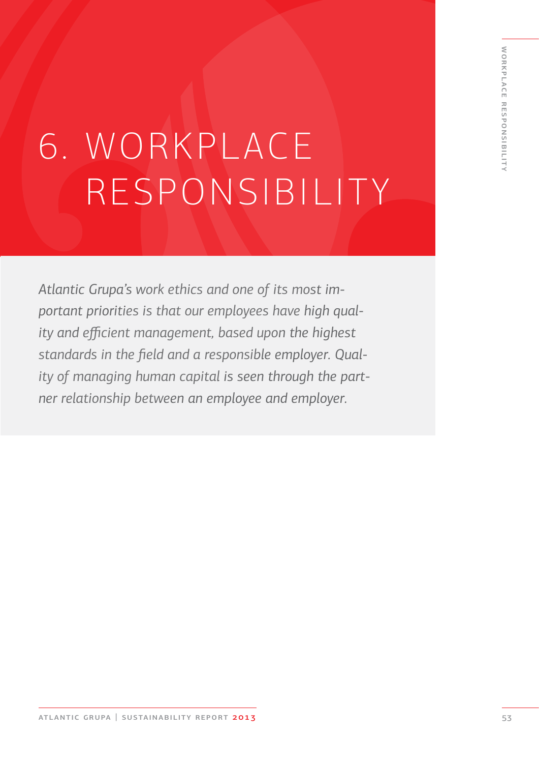# 6. WORKPLACE RESPONSIBILITY

*Atlantic Grupa's work ethics and one of its most important priorities is that our employees have high quality and efficient management, based upon the highest standards in the field and a responsible employer. Quality of managing human capital is seen through the partner relationship between an employee and employer.*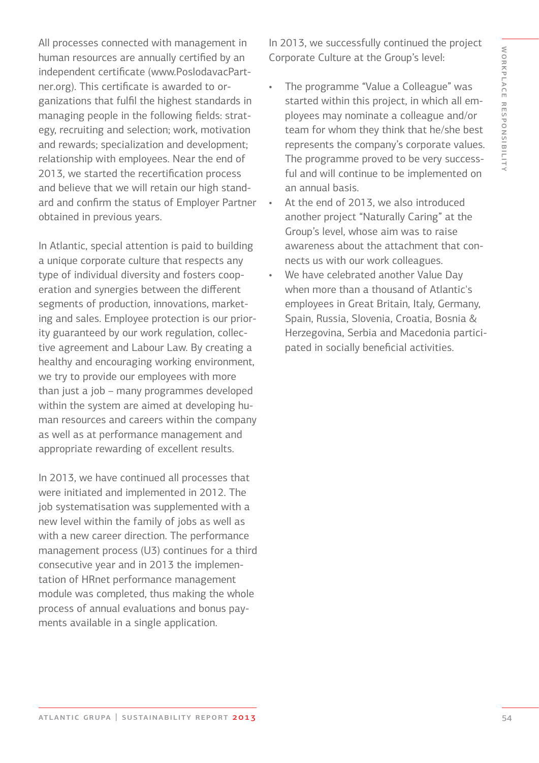All processes connected with management in human resources are annually certified by an independent certificate (www.PoslodavacPartner.org). This certificate is awarded to organizations that fulfil the highest standards in managing people in the following fields: strategy, recruiting and selection; work, motivation and rewards; specialization and development; relationship with employees. Near the end of 2013, we started the recertification process and believe that we will retain our high standard and confirm the status of Employer Partner obtained in previous years.

In Atlantic, special attention is paid to building a unique corporate culture that respects any type of individual diversity and fosters cooperation and synergies between the different segments of production, innovations, marketing and sales. Employee protection is our priority guaranteed by our work regulation, collective agreement and Labour Law. By creating a healthy and encouraging working environment, we try to provide our employees with more than just a job – many programmes developed within the system are aimed at developing human resources and careers within the company as well as at performance management and appropriate rewarding of excellent results.

In 2013, we have continued all processes that were initiated and implemented in 2012. The job systematisation was supplemented with a new level within the family of jobs as well as with a new career direction. The performance management process (U3) continues for a third consecutive year and in 2013 the implementation of HRnet performance management module was completed, thus making the whole process of annual evaluations and bonus payments available in a single application.

In 2013, we successfully continued the project Corporate Culture at the Group's level:

- The programme "Value a Colleague" was started within this project, in which all employees may nominate a colleague and/or team for whom they think that he/she best represents the company's corporate values. The programme proved to be very successful and will continue to be implemented on an annual basis.
- At the end of 2013, we also introduced another project "Naturally Caring" at the Group's level, whose aim was to raise awareness about the attachment that connects us with our work colleagues.
- We have celebrated another Value Day when more than a thousand of Atlantic's employees in Great Britain, Italy, Germany, Spain, Russia, Slovenia, Croatia, Bosnia & Herzegovina, Serbia and Macedonia participated in socially beneficial activities.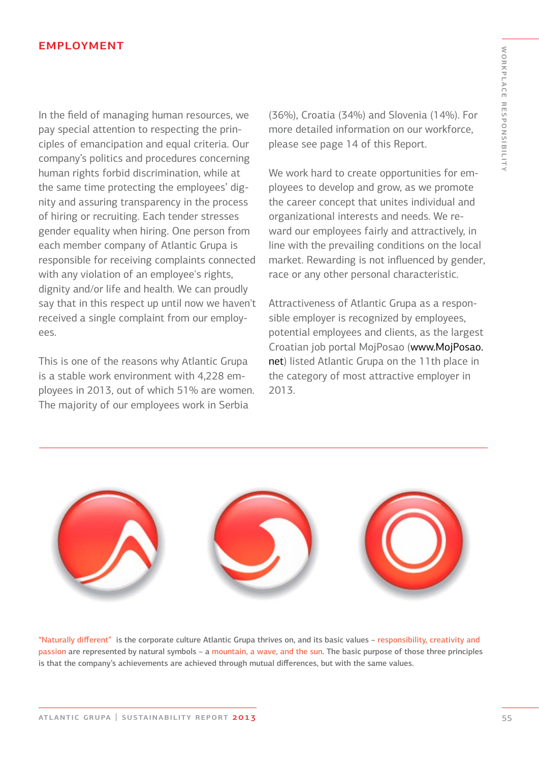#### **EMPLOYMENT**

In the field of managing human resources, we pay special attention to respecting the principles of emancipation and equal criteria. Our company's politics and procedures concerning human rights forbid discrimination, while at the same time protecting the employees' dignity and assuring transparency in the process of hiring or recruiting. Each tender stresses gender equality when hiring. One person from each member company of Atlantic Grupa is responsible for receiving complaints connected with any violation of an employee's rights, dignity and/or life and health. We can proudly say that in this respect up until now we haven't received a single complaint from our employees.

This is one of the reasons why Atlantic Grupa is a stable work environment with 4,228 employees in 2013, out of which 51% are women. The majority of our employees work in Serbia

(36%), Croatia (34%) and Slovenia (14%). For more detailed information on our workforce, please see page 14 of this Report.

We work hard to create opportunities for employees to develop and grow, as we promote the career concept that unites individual and organizational interests and needs. We reward our employees fairly and attractively, in line with the prevailing conditions on the local market. Rewarding is not influenced by gender, race or any other personal characteristic.

Attractiveness of Atlantic Grupa as a responsible employer is recognized by employees, potential employees and clients, as the largest Croatian job portal MojPosao (www.MojPosao. net) listed Atlantic Grupa on the 11th place in the category of most attractive employer in 2013.



"Naturally different" is the corporate culture Atlantic Grupa thrives on, and its basic values – responsibility, creativity and passion are represented by natural symbols – a mountain, a wave, and the sun. The basic purpose of those three principles is that the company's achievements are achieved through mutual differences, but with the same values.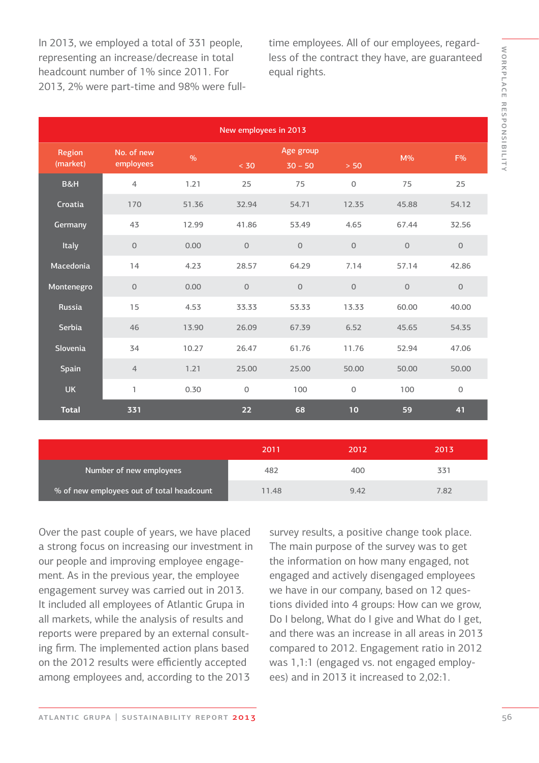In 2013, we employed a total of 331 people, representing an increase/decrease in total headcount number of 1% since 2011. For 2013, 2% were part-time and 98% were fulltime employees. All of our employees, regardless of the contract they have, are guaranteed equal rights.

| New employees in 2013 |                         |               |                |                        |                     |              |              |  |
|-----------------------|-------------------------|---------------|----------------|------------------------|---------------------|--------------|--------------|--|
| Region<br>(market)    | No. of new<br>employees | $\frac{0}{0}$ | < 30           | Age group<br>$30 - 50$ | $> 50$              | $M\%$        | F%           |  |
| B&H                   | $\overline{4}$          | 1.21          | 25             | 75                     | $\mathbf 0$         | 75           | 25           |  |
| Croatia               | 170                     | 51.36         | 32.94          | 54.71                  | 12.35               | 45.88        | 54.12        |  |
| Germany               | 43                      | 12.99         | 41.86          | 53.49                  | 4.65                | 67.44        | 32.56        |  |
| Italy                 | $\Omega$                | 0.00          | $\overline{O}$ | $\mathbf{O}$           | $\mathbf 0$         | $\Omega$     | $\mathbf{O}$ |  |
| Macedonia             | 14                      | 4.23          | 28.57          | 64.29                  | 7.14                | 57.14        | 42.86        |  |
| Montenegro            | $\mathbf{0}$            | 0.00          | $\overline{O}$ | $\mathsf{O}\xspace$    | $\mathbf 0$         | $\mathsf{O}$ | $\mathsf O$  |  |
| Russia                | 15                      | 4.53          | 33.33          | 53.33                  | 13.33               | 60.00        | 40.00        |  |
| Serbia                | 46                      | 13.90         | 26.09          | 67.39                  | 6.52                | 45.65        | 54.35        |  |
| Slovenia              | 34                      | 10.27         | 26.47          | 61.76                  | 11.76               | 52.94        | 47.06        |  |
| Spain                 | $\overline{4}$          | 1.21          | 25.00          | 25.00                  | 50.00               | 50.00        | 50.00        |  |
| <b>UK</b>             | 1                       | 0.30          | $\mathbf 0$    | 100                    | $\mathsf{O}\xspace$ | 100          | $\mathbf 0$  |  |
| <b>Total</b>          | 331                     |               | 22             | 68                     | 10                  | 59           | 41           |  |
|                       |                         |               |                |                        |                     |              |              |  |

|                                           | 2011  | 2012 | 2013' |
|-------------------------------------------|-------|------|-------|
| Number of new employees                   | 482   | 400  |       |
| % of new employees out of total headcount | 11.48 | 942  | 7.82  |

Over the past couple of years, we have placed a strong focus on increasing our investment in our people and improving employee engagement. As in the previous year, the employee engagement survey was carried out in 2013. It included all employees of Atlantic Grupa in all markets, while the analysis of results and reports were prepared by an external consulting firm. The implemented action plans based on the 2012 results were efficiently accepted among employees and, according to the 2013

survey results, a positive change took place. The main purpose of the survey was to get the information on how many engaged, not engaged and actively disengaged employees we have in our company, based on 12 questions divided into 4 groups: How can we grow, Do I belong, What do I give and What do I get, and there was an increase in all areas in 2013 compared to 2012. Engagement ratio in 2012 was 1,1:1 (engaged vs. not engaged employees) and in 2013 it increased to 2,02:1.

atlantic grupa | sustainability report 2013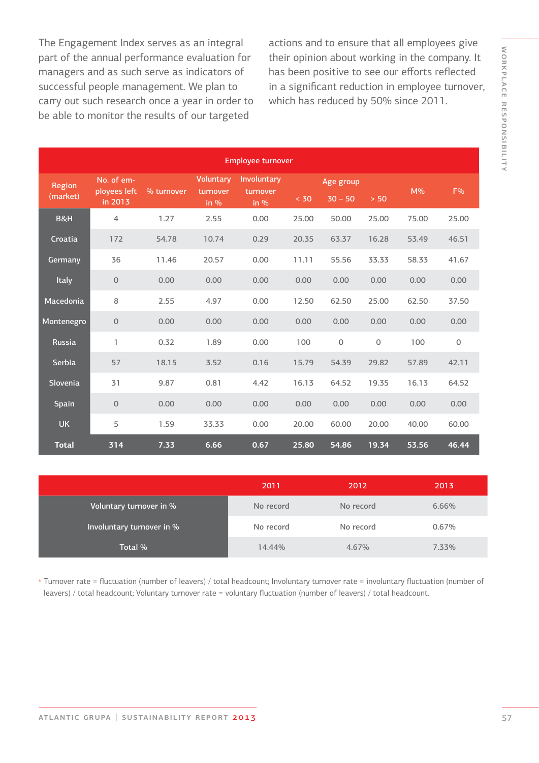The Engagement Index serves as an integral part of the annual performance evaluation for managers and as such serve as indicators of successful people management. We plan to carry out such research once a year in order to be able to monitor the results of our targeted

actions and to ensure that all employees give their opinion about working in the company. It has been positive to see our efforts reflected in a significant reduction in employee turnover, which has reduced by 50% since 2011.

| <b>Employee turnover</b> |                            |            |                              |                         |       |                     |             |       |                     |
|--------------------------|----------------------------|------------|------------------------------|-------------------------|-------|---------------------|-------------|-------|---------------------|
| Region                   | No. of em-<br>ployees left | % turnover | <b>Voluntary</b><br>turnover | Involuntary<br>turnover |       | Age group           |             | $M\%$ | F%                  |
| (market)                 | in 2013                    |            | in $%$                       | in $%$                  | < 30  | $30 - 50$           | $> 50$      |       |                     |
| B&H                      | $\overline{4}$             | 1.27       | 2.55                         | 0.00                    | 25.00 | 50.00               | 25.00       | 75.00 | 25.00               |
| Croatia                  | 172                        | 54.78      | 10.74                        | 0.29                    | 20.35 | 63.37               | 16.28       | 53.49 | 46.51               |
| Germany                  | 36                         | 11.46      | 20.57                        | 0.00                    | 11.11 | 55.56               | 33.33       | 58.33 | 41.67               |
| Italy                    | $\mathbf 0$                | 0.00       | 0.00                         | 0.00                    | 0.00  | 0.00                | 0.00        | 0.00  | 0.00                |
| Macedonia                | 8                          | 2.55       | 4.97                         | 0.00                    | 12.50 | 62.50               | 25.00       | 62.50 | 37.50               |
| Montenegro               | $\mathbf 0$                | 0.00       | 0.00                         | 0.00                    | 0.00  | 0.00                | 0.00        | 0.00  | 0.00                |
| <b>Russia</b>            | 1                          | 0.32       | 1.89                         | 0.00                    | 100   | $\mathsf{O}\xspace$ | $\mathbf 0$ | 100   | $\mathsf{O}\xspace$ |
| Serbia                   | 57                         | 18.15      | 3.52                         | 0.16                    | 15.79 | 54.39               | 29.82       | 57.89 | 42.11               |
| Slovenia                 | 31                         | 9.87       | 0.81                         | 4.42                    | 16.13 | 64.52               | 19.35       | 16.13 | 64.52               |
| Spain                    | $\mathbf{O}$               | 0.00       | 0.00                         | 0.00                    | 0.00  | 0.00                | 0.00        | 0.00  | 0.00                |
| <b>UK</b>                | 5                          | 1.59       | 33.33                        | 0.00                    | 20.00 | 60.00               | 20.00       | 40.00 | 60.00               |
| <b>Total</b>             | 314                        | 7.33       | 6.66                         | 0.67                    | 25.80 | 54.86               | 19.34       | 53.56 | 46.44               |

|                           | 2011      | 2012      | 2013     |
|---------------------------|-----------|-----------|----------|
| Voluntary turnover in %   | No record | No record | 6.66%    |
| Involuntary turnover in % | No record | No record | 0.67%    |
| Total %                   | 14.44%    | 4.67%     | $7.33\%$ |

Turnover rate = fluctuation (number of leavers) / total headcount; Involuntary turnover rate = involuntary fluctuation (number of \* leavers) / total headcount; Voluntary turnover rate = voluntary fluctuation (number of leavers) / total headcount.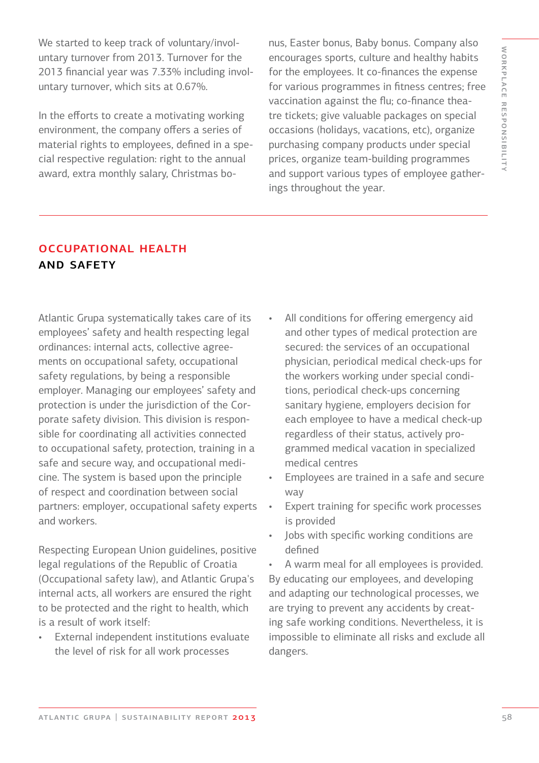We started to keep track of voluntary/involuntary turnover from 2013. Turnover for the 2013 financial year was 7.33% including involuntary turnover, which sits at 0.67%.

In the efforts to create a motivating working environment, the company offers a series of material rights to employees, defined in a special respective regulation: right to the annual award, extra monthly salary, Christmas bo-

nus, Easter bonus, Baby bonus. Company also encourages sports, culture and healthy habits for the employees. It co-finances the expense for various programmes in fitness centres; free vaccination against the flu; co-finance theatre tickets; give valuable packages on special occasions (holidays, vacations, etc), organize purchasing company products under special prices, organize team-building programmes and support various types of employee gatherings throughout the year.

### occupational health and safety

Atlantic Grupa systematically takes care of its employees' safety and health respecting legal ordinances: internal acts, collective agreements on occupational safety, occupational safety regulations, by being a responsible employer. Managing our employees' safety and protection is under the jurisdiction of the Corporate safety division. This division is responsible for coordinating all activities connected to occupational safety, protection, training in a safe and secure way, and occupational medicine. The system is based upon the principle of respect and coordination between social partners: employer, occupational safety experts and workers.

Respecting European Union guidelines, positive legal regulations of the Republic of Croatia (Occupational safety law), and Atlantic Grupa's internal acts, all workers are ensured the right to be protected and the right to health, which is a result of work itself:

• External independent institutions evaluate the level of risk for all work processes

- All conditions for offering emergency aid and other types of medical protection are secured: the services of an occupational physician, periodical medical check-ups for the workers working under special conditions, periodical check-ups concerning sanitary hygiene, employers decision for each employee to have a medical check-up regardless of their status, actively programmed medical vacation in specialized medical centres
- Employees are trained in a safe and secure way
- Expert training for specific work processes is provided
- Jobs with specific working conditions are defined

• A warm meal for all employees is provided. By educating our employees, and developing and adapting our technological processes, we are trying to prevent any accidents by creating safe working conditions. Nevertheless, it is impossible to eliminate all risks and exclude all dangers.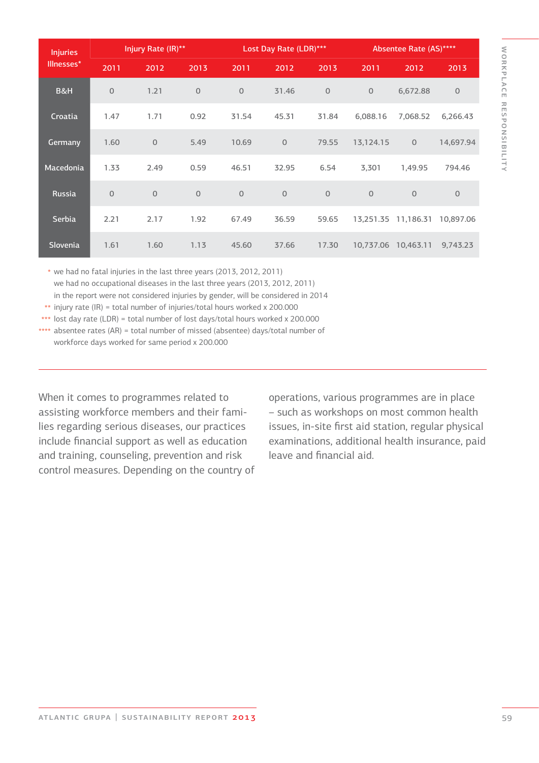| <b>Injuries</b>  | Injury Rate (IR)** |                |              | Lost Day Rate (LDR)*** |                |              | Absentee Rate (AS)**** |                |              |
|------------------|--------------------|----------------|--------------|------------------------|----------------|--------------|------------------------|----------------|--------------|
| Illnesses*       | 2011               | 2012           | 2013         | 2011                   | 2012           | 2013         | 2011                   | 2012           | 2013         |
| B&H              | $\circ$            | 1.21           | $\mathbf{O}$ | $\mathbf{O}$           | 31.46          | $\mathbf{O}$ | $\overline{0}$         | 6,672.88       | $\mathbf{O}$ |
| Croatia          | 1.47               | 1.71           | 0.92         | 31.54                  | 45.31          | 31.84        | 6,088.16               | 7,068.52       | 6,266.43     |
| Germany          | 1.60               | $\mathbf{O}$   | 5.49         | 10.69                  | $\overline{O}$ | 79.55        | 13,124.15              | $\overline{O}$ | 14,697.94    |
| <b>Macedonia</b> | 1.33               | 2.49           | 0.59         | 46.51                  | 32.95          | 6.54         | 3,301                  | 1,49.95        | 794.46       |
| <b>Russia</b>    | $\circ$            | $\overline{0}$ | $\mathbf{O}$ | $\mathbf{O}$           | $\overline{O}$ | $\Omega$     | $\overline{0}$         | $\overline{O}$ | $\Omega$     |
| Serbia           | 2.21               | 2.17           | 1.92         | 67.49                  | 36.59          | 59.65        | 13,251.35              | 11,186.31      | 10,897.06    |
| Slovenia         | 1.61               | 1.60           | 1.13         | 45.60                  | 37.66          | 17.30        | 10,737.06              | 10,463.11      | 9,743.23     |

we had no fatal injuries in the last three years (2013, 2012, 2011) \* we had no occupational diseases in the last three years (2013, 2012, 2011) in the report were not considered injuries by gender, will be considered in 2014

injury rate (IR) = total number of injuries/total hours worked x 200.000 \*\*

lost day rate (LDR) = total number of lost days/total hours worked x 200.000 \*\*\*

absentee rates (AR) = total number of missed (absentee) days/total number of \*\*\*\* workforce days worked for same period x 200.000

When it comes to programmes related to assisting workforce members and their families regarding serious diseases, our practices include financial support as well as education and training, counseling, prevention and risk control measures. Depending on the country of

operations, various programmes are in place – such as workshops on most common health issues, in-site first aid station, regular physical examinations, additional health insurance, paid leave and financial aid.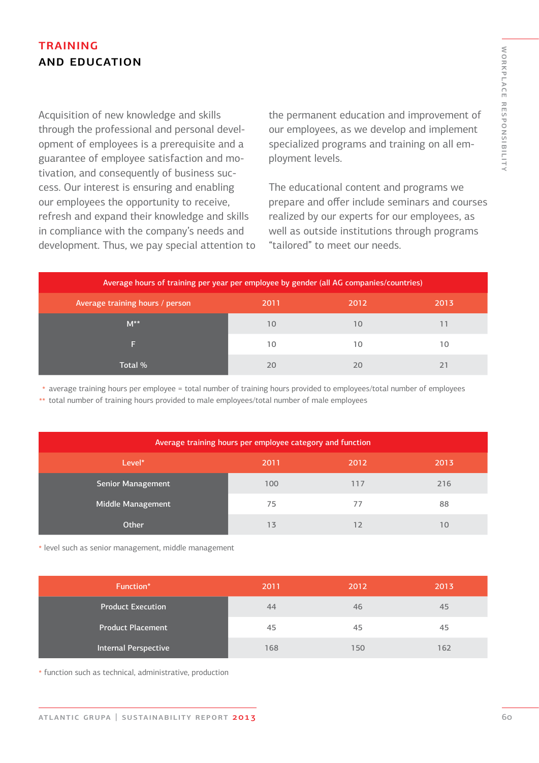## **TRAINING** and education

Acquisition of new knowledge and skills through the professional and personal development of employees is a prerequisite and a guarantee of employee satisfaction and motivation, and consequently of business success. Our interest is ensuring and enabling our employees the opportunity to receive, refresh and expand their knowledge and skills in compliance with the company's needs and development. Thus, we pay special attention to the permanent education and improvement of our employees, as we develop and implement specialized programs and training on all employment levels.

The educational content and programs we prepare and offer include seminars and courses realized by our experts for our employees, as well as outside institutions through programs "tailored" to meet our needs.

| Average hours of training per year per employee by gender (all AG companies/countries) |      |      |      |  |  |  |  |
|----------------------------------------------------------------------------------------|------|------|------|--|--|--|--|
| Average training hours / person                                                        | 2011 | 2012 | 2013 |  |  |  |  |
| $M^{\ast\ast}$                                                                         | 10   | 10   |      |  |  |  |  |
|                                                                                        | 10   | 10   | 10   |  |  |  |  |
| Total %                                                                                | 20   |      |      |  |  |  |  |

 $\ast$  average training hours per employee = total number of training hours provided to employees/total number of employees

total number of training hours provided to male employees/total number of male employees \*\*

| Average training hours per employee category and function |      |      |      |  |  |  |  |
|-----------------------------------------------------------|------|------|------|--|--|--|--|
| Level*                                                    | 2011 | 2012 | 2013 |  |  |  |  |
| <b>Senior Management</b>                                  | 100  | 117  | 216  |  |  |  |  |
| Middle Management                                         | 75   | 77   | 88   |  |  |  |  |
| Other                                                     | 13   |      | 10   |  |  |  |  |

level such as senior management, middle management \*

| Function*                | 2011 | 2012 | 2013 |
|--------------------------|------|------|------|
| <b>Product Execution</b> | 44   | 46   | 45   |
| <b>Product Placement</b> | 45   | 45   | 45   |
| Internal Perspective     | 168  | 150  | 162  |

function such as technical, administrative, production \*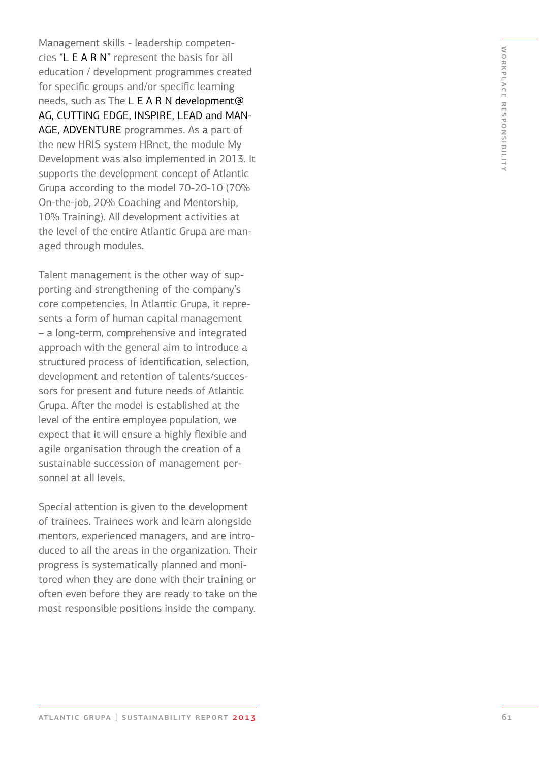Management skills - leadership competen cies "L E A R N" represent the basis for all education / development programmes created for specific groups and/or specific learning needs, such as The L E A R N development@ AG, CUTTING EDGE, INSPIRE, LEAD and MAN - AGE, ADVENTURE programmes. As a part of the new HRIS system HRnet, the module My Development was also implemented in 2013. It supports the development concept of Atlantic Grupa according to the model 70-20-10 (70% On-the-job, 20% Coaching and Mentorship, 10% Training). All development activities at the level of the entire Atlantic Grupa are man aged through modules.

Talent management is the other way of sup porting and strengthening of the company's core competencies. In Atlantic Grupa, it repre sents a form of human capital management – a long-term, comprehensive and integrated approach with the general aim to introduce a structured process of identification, selection, development and retention of talents/succes sors for present and future needs of Atlantic Grupa. After the model is established at the level of the entire employee population, we expect that it will ensure a highly flexible and agile organisation through the creation of a sustainable succession of management per sonnel at all levels.

Special attention is given to the development of trainees. Trainees work and learn alongside mentors, experienced managers, and are intro duced to all the areas in the organization. Their progress is systematically planned and moni tored when they are done with their training or often even before they are ready to take on the most responsible positions inside the company.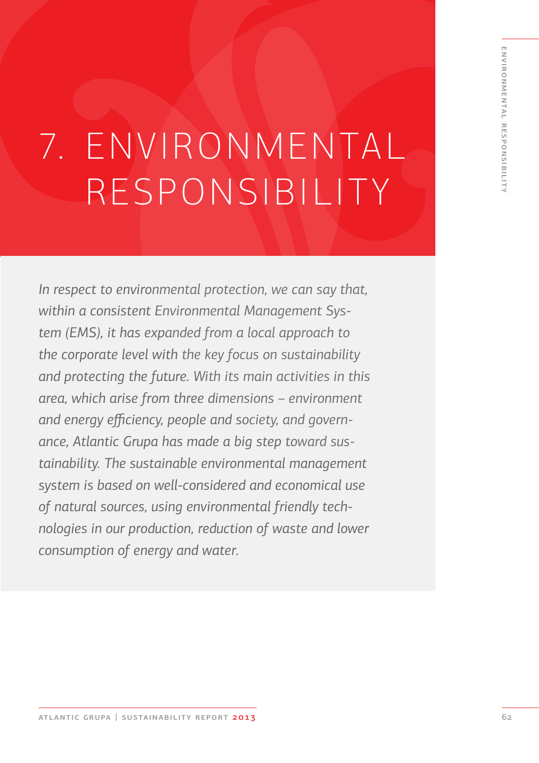# 7. ENVIRONMENTAL RESPONSIBILITY

*In respect to environmental protection, we can say that, within a consistent Environmental Management System (EMS), it has expanded from a local approach to the corporate level with the key focus on sustainability and protecting the future. With its main activities in this area, which arise from three dimensions – environment and energy efficiency, people and society, and governance, Atlantic Grupa has made a big step toward sustainability. The sustainable environmental management system is based on well-considered and economical use of natural sources, using environmental friendly technologies in our production, reduction of waste and lower consumption of energy and water.*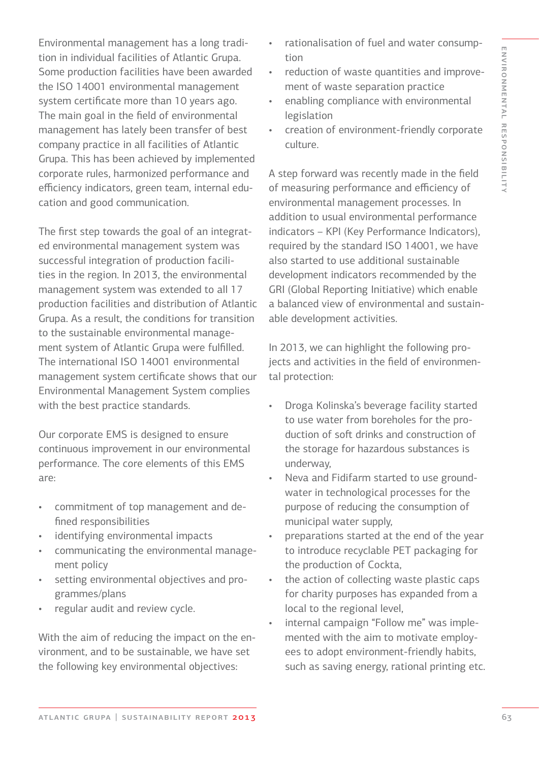Environmental management has a long tradition in individual facilities of Atlantic Grupa. Some production facilities have been awarded the ISO 14001 environmental management system certificate more than 10 years ago. The main goal in the field of environmental management has lately been transfer of best company practice in all facilities of Atlantic Grupa. This has been achieved by implemented corporate rules, harmonized performance and efficiency indicators, green team, internal education and good communication.

The first step towards the goal of an integrated environmental management system was successful integration of production facilities in the region. In 2013, the environmental management system was extended to all 17 production facilities and distribution of Atlantic Grupa. As a result, the conditions for transition to the sustainable environmental management system of Atlantic Grupa were fulfilled. The international ISO 14001 environmental management system certificate shows that our Environmental Management System complies with the best practice standards.

Our corporate EMS is designed to ensure continuous improvement in our environmental performance. The core elements of this EMS are:

- commitment of top management and defined responsibilities
- identifying environmental impacts
- communicating the environmental management policy
- setting environmental objectives and programmes/plans
- regular audit and review cycle.

With the aim of reducing the impact on the environment, and to be sustainable, we have set the following key environmental objectives:

- rationalisation of fuel and water consumption
- reduction of waste quantities and improvement of waste separation practice
- enabling compliance with environmental legislation
- creation of environment-friendly corporate culture.

A step forward was recently made in the field of measuring performance and efficiency of environmental management processes. In addition to usual environmental performance indicators – KPI (Key Performance Indicators), required by the standard ISO 14001, we have also started to use additional sustainable development indicators recommended by the GRI (Global Reporting Initiative) which enable a balanced view of environmental and sustainable development activities.

In 2013, we can highlight the following projects and activities in the field of environmental protection:

- Droga Kolinska's beverage facility started to use water from boreholes for the production of soft drinks and construction of the storage for hazardous substances is underway,
- Neva and Fidifarm started to use groundwater in technological processes for the purpose of reducing the consumption of municipal water supply,
- preparations started at the end of the year to introduce recyclable PET packaging for the production of Cockta,
- the action of collecting waste plastic caps for charity purposes has expanded from a local to the regional level,
- internal campaign "Follow me" was implemented with the aim to motivate employees to adopt environment-friendly habits, such as saving energy, rational printing etc.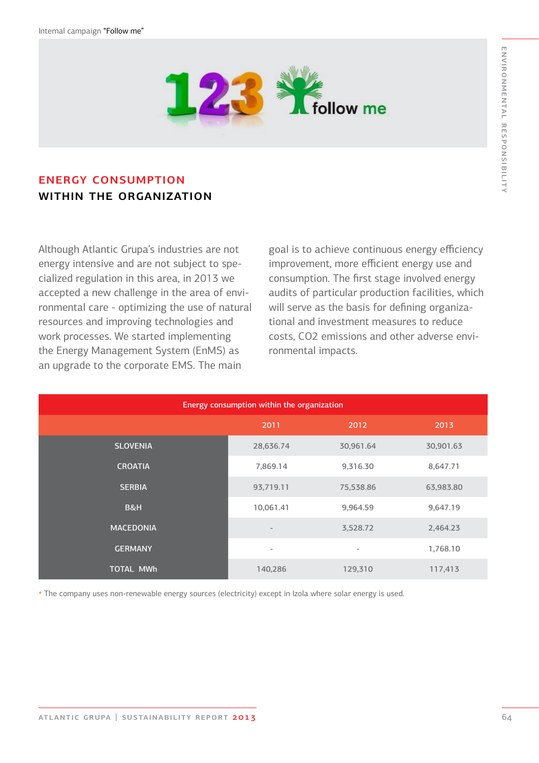

## energy consumption WITHIN THE ORGANIZATION

Although Atlantic Grupa's industries are not energy intensive and are not subject to specialized regulation in this area, in 2013 we accepted a new challenge in the area of environmental care - optimizing the use of natural resources and improving technologies and work processes. We started implementing the Energy Management System (EnMS) as an upgrade to the corporate EMS. The main

goal is to achieve continuous energy efficiency improvement, more efficient energy use and consumption. The first stage involved energy audits of particular production facilities, which will serve as the basis for defining organizational and investment measures to reduce costs, CO2 emissions and other adverse environmental impacts.

| Energy consumption within the organization |                          |                          |           |  |  |  |  |  |
|--------------------------------------------|--------------------------|--------------------------|-----------|--|--|--|--|--|
|                                            | 2011                     | 2012                     | 2013      |  |  |  |  |  |
| <b>SLOVENIA</b>                            | 28,636.74                | 30,961.64                | 30,901.63 |  |  |  |  |  |
| <b>CROATIA</b>                             | 7,869.14                 | 9,316.30                 | 8,647.71  |  |  |  |  |  |
| <b>SERBIA</b>                              | 93,719.11                | 75,538.86                | 63,983.80 |  |  |  |  |  |
| B&H                                        | 10,061.41                | 9,964.59                 | 9,647.19  |  |  |  |  |  |
| <b>MACEDONIA</b>                           |                          | 3,528.72                 | 2,464.23  |  |  |  |  |  |
| <b>GERMANY</b>                             | $\overline{\phantom{a}}$ | $\overline{\phantom{a}}$ | 1,768.10  |  |  |  |  |  |
| <b>TOTAL MWh</b>                           | 140,286                  | 129,310                  | 117,413   |  |  |  |  |  |

\* The company uses non-renewable energy sources (electricity) except in Izola where solar energy is used.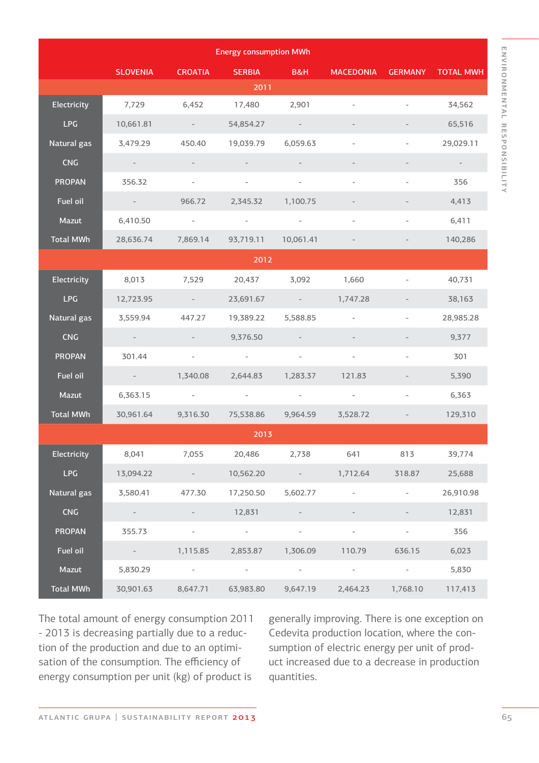|                  |                                                       |                                                       | <b>Energy consumption MWh</b> |                                                             |                          |                          |                  |
|------------------|-------------------------------------------------------|-------------------------------------------------------|-------------------------------|-------------------------------------------------------------|--------------------------|--------------------------|------------------|
|                  | <b>SLOVENIA</b>                                       | <b>CROATIA</b>                                        | <b>SERBIA</b>                 | B&H                                                         | <b>MACEDONIA</b>         | <b>GERMANY</b>           | <b>TOTAL MWH</b> |
|                  |                                                       |                                                       | 2011                          |                                                             |                          |                          |                  |
| Electricity      | 7,729                                                 | 6,452                                                 | 17,480                        | 2,901                                                       |                          |                          | 34,562           |
| LPG              | 10,661.81                                             | $\alpha_{\rm{max}}=1$                                 | 54,854.27                     | $\sim 100$ m $^{-1}$                                        |                          |                          | 65,516           |
| Natural gas      | 3,479.29                                              | 450.40                                                | 19,039.79                     | 6,059.63                                                    |                          |                          | 29,029.11        |
| <b>CNG</b>       | $\sim$ $ \sim$                                        |                                                       |                               |                                                             |                          |                          |                  |
| <b>PROPAN</b>    | 356.32                                                | $\overline{\phantom{a}}$                              |                               | $\overline{\phantom{a}}$                                    |                          |                          | 356              |
| Fuel oil         | $\alpha_{\rm{max}}=0.01$                              | 966.72                                                | 2,345.32                      | 1,100.75                                                    |                          | $\overline{\phantom{a}}$ | 4,413            |
| Mazut            | 6,410.50                                              | $\sim$                                                | $\sim$                        | $\overline{\phantom{a}}$                                    |                          |                          | 6,411            |
| <b>Total MWh</b> | 28,636.74                                             | 7,869.14                                              | 93,719.11                     | 10,061.41                                                   |                          |                          | 140,286          |
|                  |                                                       |                                                       | 2012                          |                                                             |                          |                          |                  |
| Electricity      | 8,013                                                 | 7,529                                                 | 20,437                        | 3,092                                                       | 1,660                    | $\overline{\phantom{a}}$ | 40,731           |
| <b>LPG</b>       | 12,723.95                                             | $\mathcal{L}_{\rm{max}}$ and $\mathcal{L}_{\rm{max}}$ | 23,691.67                     | $\mathcal{L}(\mathcal{L})$ and $\mathcal{L}(\mathcal{L})$ . | 1,747.28                 |                          | 38,163           |
| Natural gas      | 3,559.94                                              | 447.27                                                | 19,389.22                     | 5,588.85                                                    | $\overline{\phantom{a}}$ |                          | 28,985.28        |
| <b>CNG</b>       | $\mathcal{L}_{\rm{max}}$ and $\mathcal{L}_{\rm{max}}$ | $\sim$                                                | 9,376.50                      |                                                             |                          |                          | 9,377            |
| <b>PROPAN</b>    | 301.44                                                | $\overline{\phantom{a}}$                              | $\sim$ $ \sim$                | $\overline{\phantom{a}}$                                    | $\overline{\phantom{a}}$ |                          | 301              |
| Fuel oil         | <b>Common</b>                                         | 1,340.08                                              | 2,644.83                      | 1,283.37                                                    | 121.83                   | $\overline{\phantom{a}}$ | 5,390            |
| Mazut            | 6,363.15                                              | $\sim 100$                                            | $\sim 100$ m $^{-1}$          | $\sim$ $-$                                                  | $\sim$ $-$               |                          | 6,363            |
| <b>Total MWh</b> | 30,961.64                                             | 9,316.30                                              | 75,538.86                     | 9,964.59                                                    | 3,528.72                 |                          | 129,310          |
|                  |                                                       |                                                       | 2013                          |                                                             |                          |                          |                  |
| Electricity      | 8,041                                                 | 7,055                                                 | 20,486                        | 2,738                                                       | 641                      | 813                      | 39,774           |
| <b>LPG</b>       | 13,094.22                                             | $\sim 100$                                            | 10,562.20                     | $\sim$ $-$                                                  | 1,712.64                 | 318.87                   | 25,688           |
| Natural gas      | 3,580.41                                              | 477.30                                                | 17,250.50                     | 5,602.77                                                    |                          | $\overline{\phantom{a}}$ | 26,910.98        |
| <b>CNG</b>       |                                                       |                                                       | 12,831                        |                                                             |                          |                          | 12,831           |
| <b>PROPAN</b>    | 355.73                                                | $\overline{\phantom{a}}$                              | $\sim$                        | $\overline{\phantom{a}}$                                    |                          |                          | 356              |
| Fuel oil         |                                                       | 1,115.85                                              | 2,853.87                      | 1,306.09                                                    | 110.79                   | 636.15                   | 6,023            |
| Mazut            | 5,830.29                                              | $\sim 10^{-1}$                                        | $\sim$                        | $\overline{\phantom{a}}$                                    | $\sim 100$               | $\sim$                   | 5,830            |
| <b>Total MWh</b> | 30,901.63                                             | 8,647.71                                              | 63,983.80                     | 9,647.19                                                    | 2,464.23                 | 1,768.10                 | 117,413          |

ENVIRONMENTAL RESPONSIBILITY

environmental responsibility

The total amount of energy consumption 2011 - 2013 is decreasing partially due to a reduction of the production and due to an optimisation of the consumption. The efficiency of energy consumption per unit (kg) of product is

generally improving. There is one exception on Cedevita production location, where the consumption of electric energy per unit of product increased due to a decrease in production quantities.

atlantic grupa | sustainability report 2013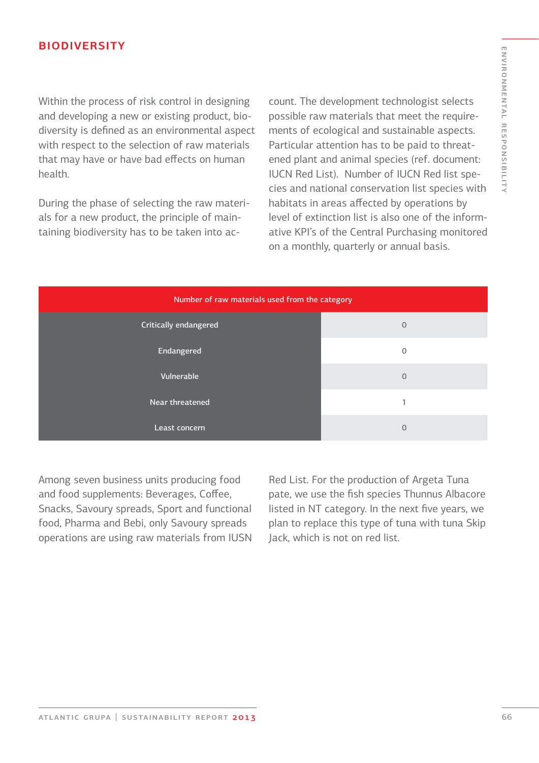#### **BIODIVERSITY**

Within the process of risk control in designing and developing a new or existing product, biodiversity is defined as an environmental aspect with respect to the selection of raw materials that may have or have bad effects on human health.

During the phase of selecting the raw materials for a new product, the principle of maintaining biodiversity has to be taken into ac-

count. The development technologist selects possible raw materials that meet the requirements of ecological and sustainable aspects. Particular attention has to be paid to threatened plant and animal species (ref. document: IUCN Red List). Number of IUCN Red list species and national conservation list species with habitats in areas affected by operations by level of extinction list is also one of the informative KPI's of the Central Purchasing monitored on a monthly, quarterly or annual basis.

| Number of raw materials used from the category |                |  |  |  |
|------------------------------------------------|----------------|--|--|--|
| Critically endangered                          | $\mathbf 0$    |  |  |  |
| Endangered                                     | $\mathbf{0}$   |  |  |  |
| Vulnerable                                     | $\overline{0}$ |  |  |  |
| Near threatened                                |                |  |  |  |
| Least concern                                  | $\mathbf 0$    |  |  |  |

Among seven business units producing food and food supplements: Beverages, Coffee, Snacks, Savoury spreads, Sport and functional food, Pharma and Bebi, only Savoury spreads operations are using raw materials from IUSN

Red List. For the production of Argeta Tuna pate, we use the fish species Thunnus Albacore listed in NT category. In the next five years, we plan to replace this type of tuna with tuna Skip Jack, which is not on red list.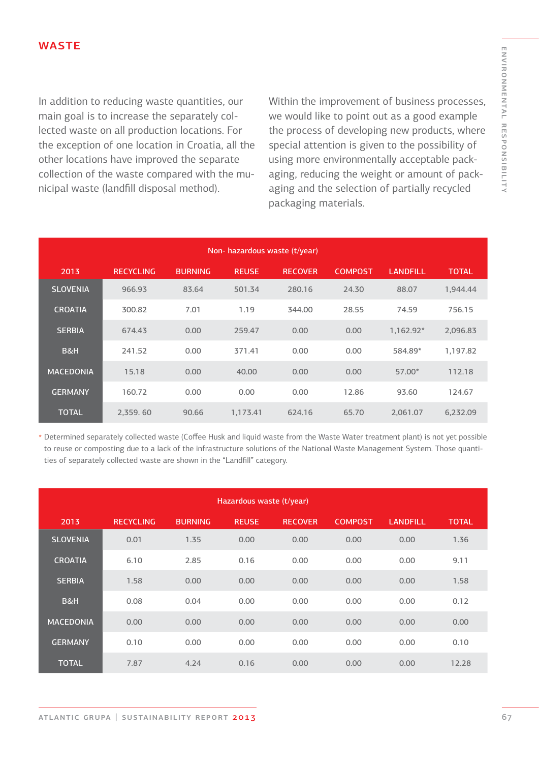In addition to reducing waste quantities, our main goal is to increase the separately collected waste on all production locations. For the exception of one location in Croatia, all the other locations have improved the separate collection of the waste compared with the municipal waste (landfill disposal method).

Within the improvement of business processes, we would like to point out as a good example the process of developing new products, where special attention is given to the possibility of using more environmentally acceptable packaging, reducing the weight or amount of packaging and the selection of partially recycled packaging materials.

| Non-hazardous waste (t/year) |                  |                |              |                |                |                 |              |
|------------------------------|------------------|----------------|--------------|----------------|----------------|-----------------|--------------|
| 2013                         | <b>RECYCLING</b> | <b>BURNING</b> | <b>REUSE</b> | <b>RECOVER</b> | <b>COMPOST</b> | <b>LANDFILL</b> | <b>TOTAL</b> |
| <b>SLOVENIA</b>              | 966.93           | 83.64          | 501.34       | 280.16         | 24.30          | 88.07           | 1,944.44     |
| <b>CROATIA</b>               | 300.82           | 7.01           | 1.19         | 344.00         | 28.55          | 74.59           | 756.15       |
| <b>SERBIA</b>                | 674.43           | 0.00           | 259.47       | 0.00           | 0.00           | 1,162.92*       | 2,096.83     |
| B&H                          | 241.52           | 0.00           | 371.41       | 0.00           | 0.00           | 584.89*         | 1,197.82     |
| <b>MACEDONIA</b>             | 15.18            | 0.00           | 40.00        | 0.00           | 0.00           | 57.00*          | 112.18       |
| <b>GERMANY</b>               | 160.72           | 0.00           | 0.00         | 0.00           | 12.86          | 93.60           | 124.67       |
| <b>TOTAL</b>                 | 2,359.60         | 90.66          | 1,173.41     | 624.16         | 65.70          | 2.061.07        | 6,232.09     |

Determined separately collected waste (Coffee Husk and liquid waste from the Waste Water treatment plant) is not yet possible \* to reuse or composting due to a lack of the infrastructure solutions of the National Waste Management System. Those quantities of separately collected waste are shown in the "Landfill" category.

|                  |                  |                | Hazardous waste (t/year) |                |                |                 |              |
|------------------|------------------|----------------|--------------------------|----------------|----------------|-----------------|--------------|
| 2013             | <b>RECYCLING</b> | <b>BURNING</b> | <b>REUSE</b>             | <b>RECOVER</b> | <b>COMPOST</b> | <b>LANDFILL</b> | <b>TOTAL</b> |
| <b>SLOVENIA</b>  | 0.01             | 1.35           | 0.00                     | 0.00           | 0.00           | 0.00            | 1.36         |
| <b>CROATIA</b>   | 6.10             | 2.85           | 0.16                     | 0.00           | 0.00           | 0.00            | 9.11         |
| <b>SERBIA</b>    | 1.58             | 0.00           | 0.00                     | 0.00           | 0.00           | 0.00            | 1.58         |
| B&H              | 0.08             | 0.04           | 0.00                     | 0.00           | 0.00           | 0.00            | 0.12         |
| <b>MACEDONIA</b> | 0.00             | 0.00           | 0.00                     | 0.00           | 0.00           | 0.00            | 0.00         |
| <b>GERMANY</b>   | 0.10             | 0.00           | 0.00                     | 0.00           | 0.00           | 0.00            | 0.10         |
| <b>TOTAL</b>     | 7.87             | 4.24           | 0.16                     | 0.00           | 0.00           | 0.00            | 12.28        |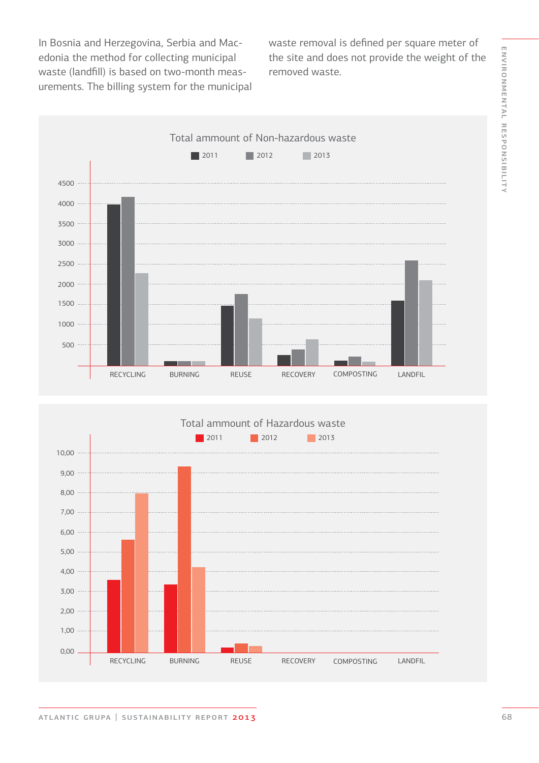ENVIRONMENTAL RESPONSIBILITY environmental responsibility

In Bosnia and Herzegovina, Serbia and Macedonia the method for collecting municipal waste (landfill) is based on two-month measurements. The billing system for the municipal waste removal is defined per square meter of the site and does not provide the weight of the removed waste.



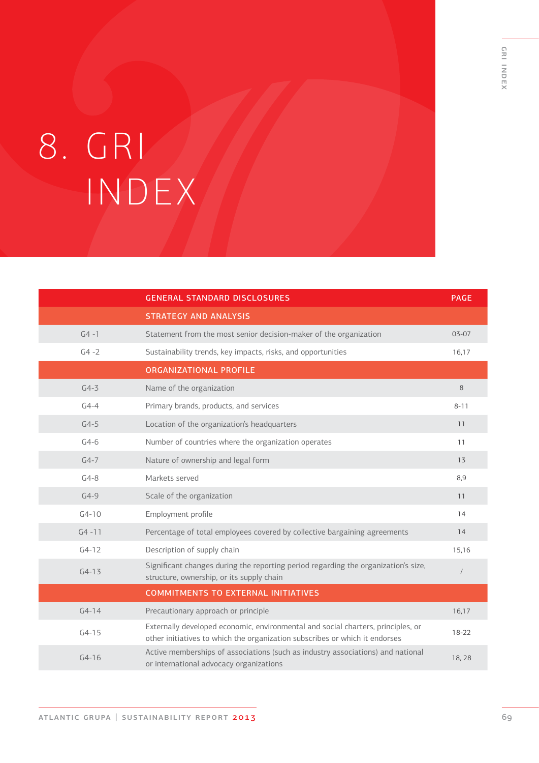# 8. GRI INDEX

|           | <b>GENERAL STANDARD DISCLOSURES</b>                                                                                                                             | <b>PAGE</b> |
|-----------|-----------------------------------------------------------------------------------------------------------------------------------------------------------------|-------------|
|           | <b>STRATEGY AND ANALYSIS</b>                                                                                                                                    |             |
| $G4 - 1$  | Statement from the most senior decision-maker of the organization                                                                                               | $03 - 07$   |
| $G4 - 2$  | Sustainability trends, key impacts, risks, and opportunities                                                                                                    | 16,17       |
|           | <b>ORGANIZATIONAL PROFILE</b>                                                                                                                                   |             |
| $G4-3$    | Name of the organization                                                                                                                                        | 8           |
| $G4-4$    | Primary brands, products, and services                                                                                                                          | $8 - 11$    |
| $G4-5$    | Location of the organization's headquarters                                                                                                                     | 11          |
| $G4-6$    | Number of countries where the organization operates                                                                                                             | 11          |
| $G4-7$    | Nature of ownership and legal form                                                                                                                              | 13          |
| $G4-8$    | Markets served                                                                                                                                                  | 8,9         |
| $G4-9$    | Scale of the organization                                                                                                                                       | 11          |
| $G4-10$   | Employment profile                                                                                                                                              | 14          |
| $G4 - 11$ | Percentage of total employees covered by collective bargaining agreements                                                                                       | 14          |
| $G4-12$   | Description of supply chain                                                                                                                                     | 15,16       |
| $G4-13$   | Significant changes during the reporting period regarding the organization's size,<br>structure, ownership, or its supply chain                                 | $\sqrt{2}$  |
|           | <b>COMMITMENTS TO EXTERNAL INITIATIVES</b>                                                                                                                      |             |
| $G4 - 14$ | Precautionary approach or principle                                                                                                                             | 16,17       |
| $G4-15$   | Externally developed economic, environmental and social charters, principles, or<br>other initiatives to which the organization subscribes or which it endorses | $18 - 22$   |
| $G4-16$   | Active memberships of associations (such as industry associations) and national<br>or international advocacy organizations                                      | 18,28       |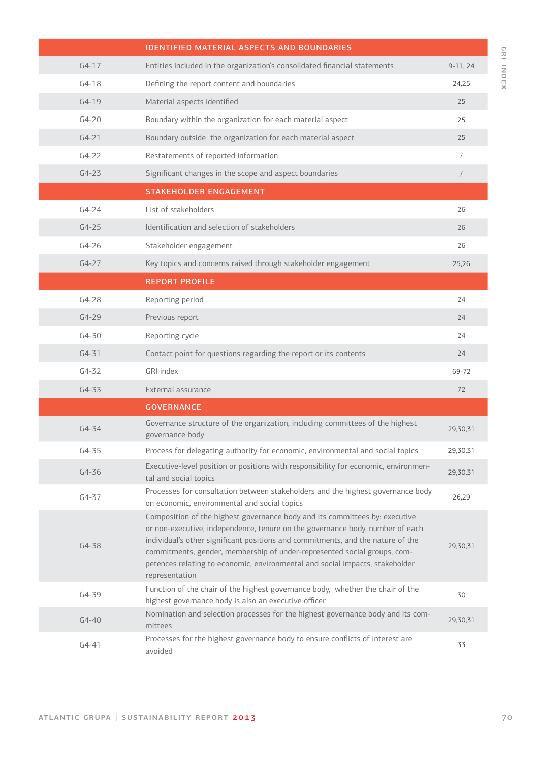|           | <b>IDENTIFIED MATERIAL ASPECTS AND BOUNDARIES</b>                                                                                                                                                                                                                                                                                                                                                                             |            |
|-----------|-------------------------------------------------------------------------------------------------------------------------------------------------------------------------------------------------------------------------------------------------------------------------------------------------------------------------------------------------------------------------------------------------------------------------------|------------|
| $G4-17$   | Entities included in the organization's consolidated financial statements                                                                                                                                                                                                                                                                                                                                                     | $9-11, 24$ |
| $G4-18$   | Defining the report content and boundaries                                                                                                                                                                                                                                                                                                                                                                                    | 24,25      |
| $G4-19$   | Material aspects identified                                                                                                                                                                                                                                                                                                                                                                                                   | 25         |
| $G4 - 20$ | Boundary within the organization for each material aspect                                                                                                                                                                                                                                                                                                                                                                     | 25         |
| $G4 - 21$ | Boundary outside the organization for each material aspect                                                                                                                                                                                                                                                                                                                                                                    | 25         |
| $G4-22$   | Restatements of reported information                                                                                                                                                                                                                                                                                                                                                                                          |            |
| $G4 - 23$ | Significant changes in the scope and aspect boundaries                                                                                                                                                                                                                                                                                                                                                                        | $\sqrt{2}$ |
|           | <b>STAKEHOLDER ENGAGEMENT</b>                                                                                                                                                                                                                                                                                                                                                                                                 |            |
| $G4 - 24$ | List of stakeholders                                                                                                                                                                                                                                                                                                                                                                                                          | 26         |
| $G4 - 25$ | Identification and selection of stakeholders                                                                                                                                                                                                                                                                                                                                                                                  | 26         |
| $G4 - 26$ | Stakeholder engagement                                                                                                                                                                                                                                                                                                                                                                                                        | 26         |
| $G4-27$   | Key topics and concerns raised through stakeholder engagement                                                                                                                                                                                                                                                                                                                                                                 | 25,26      |
|           | <b>REPORT PROFILE</b>                                                                                                                                                                                                                                                                                                                                                                                                         |            |
| $G4-28$   | Reporting period                                                                                                                                                                                                                                                                                                                                                                                                              | 24         |
| $G4-29$   | Previous report                                                                                                                                                                                                                                                                                                                                                                                                               | 24         |
| $G4 - 30$ | Reporting cycle                                                                                                                                                                                                                                                                                                                                                                                                               | 24         |
| $G4 - 31$ | Contact point for questions regarding the report or its contents                                                                                                                                                                                                                                                                                                                                                              | 24         |
| $G4 - 32$ | GRI index                                                                                                                                                                                                                                                                                                                                                                                                                     | 69-72      |
| $G4 - 33$ | External assurance                                                                                                                                                                                                                                                                                                                                                                                                            | 72         |
|           | <b>GOVERNANCE</b>                                                                                                                                                                                                                                                                                                                                                                                                             |            |
| $G4 - 34$ | Governance structure of the organization, including committees of the highest<br>governance body                                                                                                                                                                                                                                                                                                                              | 29,30,31   |
| $G4 - 35$ | Process for delegating authority for economic, environmental and social topics                                                                                                                                                                                                                                                                                                                                                | 29,30,31   |
| $G4 - 36$ | Executive-level position or positions with responsibility for economic, environmen-<br>tal and social topics                                                                                                                                                                                                                                                                                                                  | 29,30,31   |
| $G4 - 37$ | Processes for consultation between stakeholders and the highest governance body<br>on economic, environmental and social topics                                                                                                                                                                                                                                                                                               | 26,29      |
| $G4 - 38$ | Composition of the highest governance body and its committees by: executive<br>or non-executive, independence, tenure on the governance body, number of each<br>individual's other significant positions and commitments, and the nature of the<br>commitments, gender, membership of under-represented social groups, com-<br>petences relating to economic, environmental and social impacts, stakeholder<br>representation | 29,30,31   |
| $G4 - 39$ | Function of the chair of the highest governance body, whether the chair of the<br>highest governance body is also an executive officer                                                                                                                                                                                                                                                                                        | 30         |
| $G4 - 40$ | Nomination and selection processes for the highest governance body and its com-<br>mittees                                                                                                                                                                                                                                                                                                                                    | 29,30,31   |
| $G4 - 41$ | Processes for the highest governance body to ensure conflicts of interest are<br>avoided                                                                                                                                                                                                                                                                                                                                      | 33         |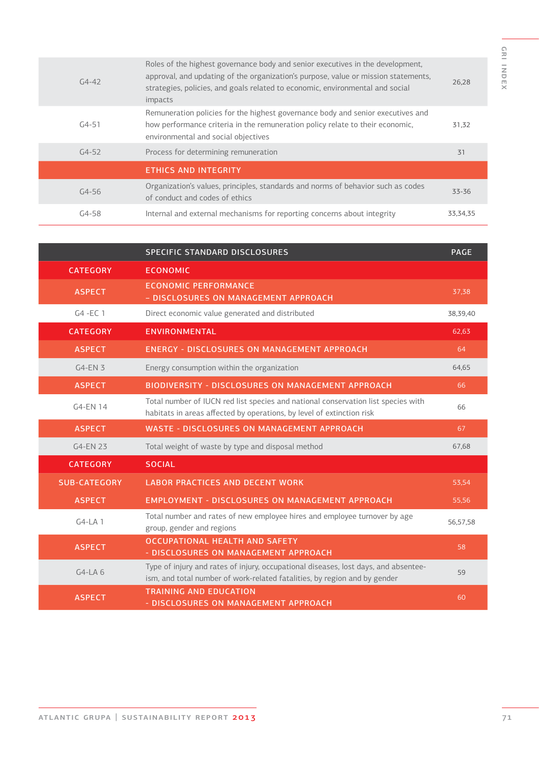| $G4 - 42$ | Roles of the highest governance body and senior executives in the development,<br>approval, and updating of the organization's purpose, value or mission statements,<br>strategies, policies, and goals related to economic, environmental and social<br>impacts | 26,28      |
|-----------|------------------------------------------------------------------------------------------------------------------------------------------------------------------------------------------------------------------------------------------------------------------|------------|
| $G4 - 51$ | Remuneration policies for the highest governance body and senior executives and<br>how performance criteria in the remuneration policy relate to their economic,<br>environmental and social objectives                                                          | 31,32      |
| $G4 - 52$ | Process for determining remuneration                                                                                                                                                                                                                             | 31         |
|           | <b>ETHICS AND INTEGRITY</b>                                                                                                                                                                                                                                      |            |
| $G4 - 56$ | Organization's values, principles, standards and norms of behavior such as codes<br>of conduct and codes of ethics                                                                                                                                               | 33-36      |
| $G4 - 58$ | Internal and external mechanisms for reporting concerns about integrity                                                                                                                                                                                          | 33, 34, 35 |

|                     | SPECIFIC STANDARD DISCLOSURES                                                                                                                                    | <b>PAGE</b> |
|---------------------|------------------------------------------------------------------------------------------------------------------------------------------------------------------|-------------|
| <b>CATEGORY</b>     | <b>ECONOMIC</b>                                                                                                                                                  |             |
| <b>ASPECT</b>       | <b>ECONOMIC PERFORMANCE</b><br>- DISCLOSURES ON MANAGEMENT APPROACH                                                                                              | 37,38       |
| $G4$ -EC 1          | Direct economic value generated and distributed                                                                                                                  | 38,39,40    |
| <b>CATEGORY</b>     | <b>ENVIRONMENTAL</b>                                                                                                                                             | 62,63       |
| <b>ASPECT</b>       | <b>ENERGY - DISCLOSURES ON MANAGEMENT APPROACH</b>                                                                                                               | 64          |
| $G4$ -EN 3          | Energy consumption within the organization                                                                                                                       | 64,65       |
| <b>ASPECT</b>       | <b>BIODIVERSITY - DISCLOSURES ON MANAGEMENT APPROACH</b>                                                                                                         | 66          |
| G4-EN 14            | Total number of IUCN red list species and national conservation list species with<br>habitats in areas affected by operations, by level of extinction risk       | 66          |
| <b>ASPECT</b>       | <b>WASTE - DISCLOSURES ON MANAGEMENT APPROACH</b>                                                                                                                | 67          |
| G4-EN 23            | Total weight of waste by type and disposal method                                                                                                                | 67,68       |
| <b>CATEGORY</b>     | <b>SOCIAL</b>                                                                                                                                                    |             |
| <b>SUB-CATEGORY</b> | <b>LABOR PRACTICES AND DECENT WORK</b>                                                                                                                           | 53,54       |
| <b>ASPECT</b>       | <b>EMPLOYMENT - DISCLOSURES ON MANAGEMENT APPROACH</b>                                                                                                           | 55,56       |
| $G4-LA1$            | Total number and rates of new employee hires and employee turnover by age<br>group, gender and regions                                                           | 56,57,58    |
| <b>ASPECT</b>       | <b>OCCUPATIONAL HEALTH AND SAFETY</b><br>- DISCLOSURES ON MANAGEMENT APPROACH                                                                                    | 58          |
| $G4-LA6$            | Type of injury and rates of injury, occupational diseases, lost days, and absentee-<br>ism, and total number of work-related fatalities, by region and by gender | 59          |
| <b>ASPECT</b>       | <b>TRAINING AND FDUCATION</b><br>- DISCLOSURES ON MANAGEMENT APPROACH                                                                                            | 60          |